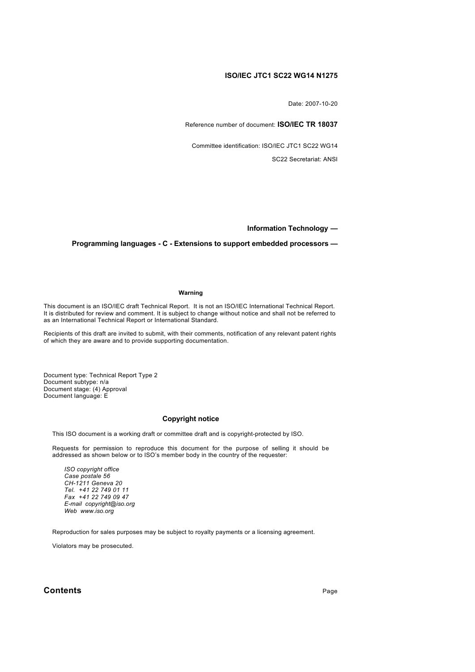# **ISO/IEC JTC1 SC22 WG14 N1275**

Date: 2007-10-20

Reference number of document: **ISO/IEC TR 18037**

Committee identification: ISO/IEC JTC1 SC22 WG14

SC22 Secretariat: ANSI

**Information Technology —**

## **Programming languages - C - Extensions to support embedded processors —**

#### **Warning**

This document is an ISO/IEC draft Technical Report. It is not an ISO/IEC International Technical Report. It is distributed for review and comment. It is subject to change without notice and shall not be referred to as an International Technical Report or International Standard.

Recipients of this draft are invited to submit, with their comments, notification of any relevant patent rights of which they are aware and to provide supporting documentation.

Document type: Technical Report Type 2 Document subtype: n/a Document stage: (4) Approval Document language: E

## **Copyright notice**

This ISO document is a working draft or committee draft and is copyright-protected by ISO.

Requests for permission to reproduce this document for the purpose of selling it should be addressed as shown below or to ISO's member body in the country of the requester:

*ISO copyright office Case postale 56 CH-1211 Geneva 20 Tel. +41 22 749 01 11 Fax +41 22 749 09 47 E-mail copyright@iso.org Web www.iso.org*

Reproduction for sales purposes may be subject to royalty payments or a licensing agreement.

Violators may be prosecuted.

## **Contents** Page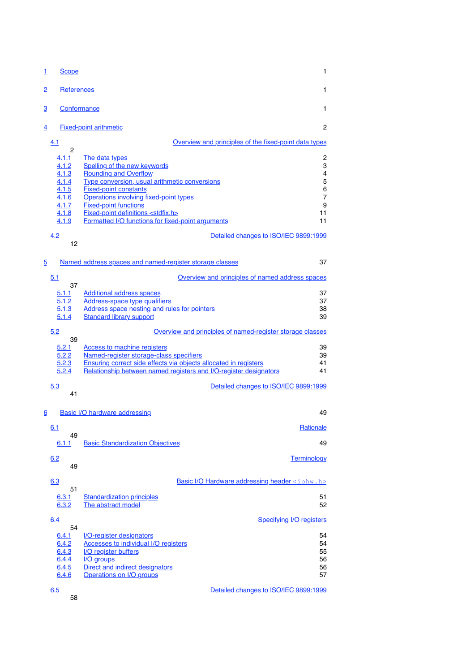| $\mathbf{1}$   | <b>Scope</b>      |                                                                        | 1         |
|----------------|-------------------|------------------------------------------------------------------------|-----------|
| $\overline{2}$ | <b>References</b> |                                                                        | 1         |
| 3              | Conformance       |                                                                        | 1         |
| $\overline{4}$ |                   | <b>Fixed-point arithmetic</b>                                          | 2         |
|                | 4.1               | Overview and principles of the fixed-point data types                  |           |
|                | $\overline{c}$    |                                                                        |           |
|                | 4.1.1<br>4.1.2    | The data types<br>Spelling of the new keywords                         | 2<br>3    |
|                | 4.1.3             | <b>Rounding and Overflow</b>                                           | 4         |
|                | 4.1.4             | Type conversion, usual arithmetic conversions                          | 5         |
|                | 4.1.5<br>4.1.6    | <b>Fixed-point constants</b><br>Operations involving fixed-point types | 6<br>7    |
|                | 4.1.7             | <b>Fixed-point functions</b>                                           | 9         |
|                | 4.1.8             | Fixed-point definitions <stdfix.h></stdfix.h>                          | 11        |
|                | 4.1.9             | Formatted I/O functions for fixed-point arguments                      | 11        |
|                | 4.2               | Detailed changes to ISO/IEC 9899:1999                                  |           |
|                | 12                |                                                                        |           |
| 5              |                   | Named address spaces and named-register storage classes                | 37        |
|                | 5.1               | Overview and principles of named address spaces                        |           |
|                | 37<br>5.1.1       | <b>Additional address spaces</b>                                       | 37        |
|                | 5.1.2             | <b>Address-space type qualifiers</b>                                   | 37        |
|                | 5.1.3             | Address space nesting and rules for pointers                           | 38        |
|                | 5.1.4             | <b>Standard library support</b>                                        | 39        |
|                | 5.2               | Overview and principles of named-register storage classes              |           |
|                | 39<br>5.2.1       | <b>Access to machine registers</b>                                     | 39        |
|                | 5.2.2             | Named-register storage-class specifiers                                | 39        |
|                | 5.2.3             | Ensuring correct side effects via objects allocated in registers       | 41        |
|                | 5.2.4             | Relationship between named registers and I/O-register designators      | 41        |
|                | 5.3<br>41         | Detailed changes to ISO/IEC 9899:1999                                  |           |
| 6              |                   | <b>Basic I/O hardware addressing</b>                                   | 49        |
|                |                   |                                                                        |           |
|                | 6.1<br>49         |                                                                        | Rationale |
|                | 6.1.1             | <b>Basic Standardization Objectives</b>                                | 49        |
|                |                   |                                                                        |           |
|                | 6.2<br>49         | <b>Terminology</b>                                                     |           |
|                | 6.3               | Basic I/O Hardware addressing header <iohw.h></iohw.h>                 |           |
|                | 51                |                                                                        |           |
|                | 6.3.1<br>6.3.2    | <b>Standardization principles</b><br>The abstract model                | 51<br>52  |
|                |                   |                                                                        |           |
|                | 6.4<br>54         | <b>Specifying I/O registers</b>                                        |           |
|                | 6.4.1             | <b>I/O-register designators</b>                                        | 54        |
|                | 6.4.2             | <b>Accesses to individual I/O registers</b>                            | 54        |
|                | 6.4.3             | <b>I/O register buffers</b>                                            | 55        |
|                | 6.4.4<br>6.4.5    | I/O groups<br>Direct and indirect designators                          | 56<br>56  |
|                | 6.4.6             | <b>Operations on I/O groups</b>                                        | 57        |
|                |                   |                                                                        |           |
|                | 6.5               | Detailed changes to ISO/IEC 9899:1999                                  |           |

58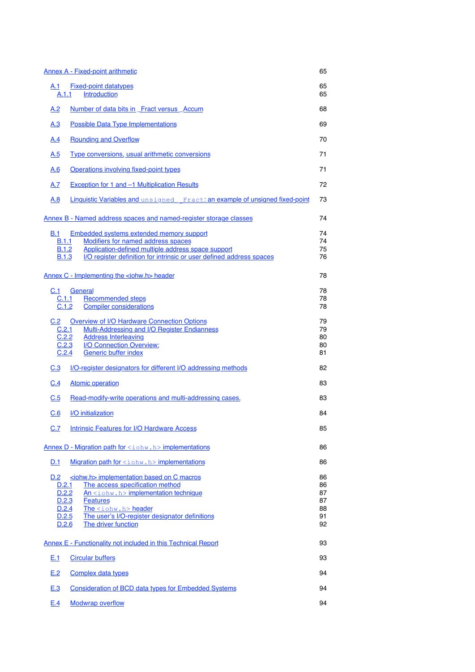|                       | <b>Annex A - Fixed-point arithmetic</b>                                                                                    | 65       |
|-----------------------|----------------------------------------------------------------------------------------------------------------------------|----------|
| A.1<br>A.1.1          | <b>Fixed-point datatypes</b><br>Introduction                                                                               | 65<br>65 |
| A.2                   | Number of data bits in Fract versus Accum                                                                                  | 68       |
| <u>A.3</u>            | <b>Possible Data Type Implementations</b>                                                                                  | 69       |
| A.4                   | <b>Rounding and Overflow</b>                                                                                               | 70       |
| <u>A.5</u>            | Type conversions, usual arithmetic conversions                                                                             | 71       |
| <u>A.6</u>            | Operations involving fixed-point types                                                                                     | 71       |
| A.7                   | Exception for 1 and -1 Multiplication Results                                                                              | 72       |
| A.8                   | Linguistic Variables and unsigned Fract: an example of unsigned fixed-point                                                | 73       |
|                       | Annex B - Named address spaces and named-register storage classes                                                          | 74       |
| B.1                   | Embedded systems extended memory support                                                                                   | 74       |
| B.1.1                 | <b>Modifiers for named address spaces</b>                                                                                  | 74       |
| B.1.2<br><b>B.1.3</b> | Application-defined multiple address space support<br>I/O register definition for intrinsic or user defined address spaces | 75<br>76 |
|                       |                                                                                                                            |          |
|                       | Annex C - Implementing the <iohw.h> header</iohw.h>                                                                        | 78       |
| C.1                   | General                                                                                                                    | 78       |
| C.1.1                 | <b>Recommended steps</b>                                                                                                   | 78       |
| C.1.2                 | <b>Compiler considerations</b>                                                                                             | 78       |
| C.2                   | <b>Overview of I/O Hardware Connection Options</b>                                                                         | 79       |
| C.2.1                 | <b>Multi-Addressing and I/O Register Endianness</b>                                                                        | 79       |
| C.2.2                 | <b>Address Interleaving</b>                                                                                                | 80       |
|                       | C.2.3<br>I/O Connection Overview:                                                                                          | 80       |
| C.2.4                 | <b>Generic buffer index</b>                                                                                                | 81       |
| C.3                   | I/O-register designators for different I/O addressing methods                                                              | 82       |
| C.4                   | <b>Atomic operation</b>                                                                                                    | 83       |
| C.5                   | Read-modify-write operations and multi-addressing cases.                                                                   | 83       |
| C.6                   | I/O initialization                                                                                                         | 84       |
| C.7                   | <b>Intrinsic Features for I/O Hardware Access</b>                                                                          | 85       |
|                       | Annex D - Migration path for <iohw.h> implementations</iohw.h>                                                             | 86       |
| <u>D.1</u>            | Migration path for <iohw.h> implementations</iohw.h>                                                                       | 86       |
| D.2                   | siohw.h> implementation based on C macros                                                                                  | 86       |
| D.2.1                 | The access specification method                                                                                            | 86       |
| D.2.2                 | $An i ohw.h> implementation technique$                                                                                     | 87<br>87 |
| D.2.3<br>D.2.4        | <b>Features</b><br>The <iohw.h> header</iohw.h>                                                                            | 88       |
| D.2.5                 | The user's I/O-register designator definitions                                                                             | 91       |
| D.2.6                 | The driver function                                                                                                        | 92       |
|                       | <b>Annex E - Functionality not included in this Technical Report</b>                                                       | 93       |
| E.1                   | <b>Circular buffers</b>                                                                                                    | 93       |
| E.2                   | <b>Complex data types</b>                                                                                                  | 94       |
| E.3                   | <b>Consideration of BCD data types for Embedded Systems</b>                                                                | 94       |
| E.4                   | <b>Modwrap overflow</b>                                                                                                    | 94       |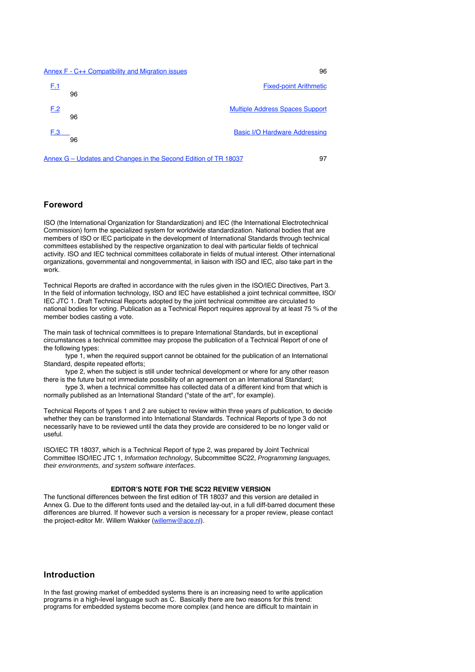#### Annex F - C++ Compatibility and Migration issues 96



Annex G – Updates and Changes in the Second Edition of TR 18037 97

# **Foreword**

ISO (the International Organization for Standardization) and IEC (the International Electrotechnical Commission) form the specialized system for worldwide standardization. National bodies that are members of ISO or IEC participate in the development of International Standards through technical committees established by the respective organization to deal with particular fields of technical activity. ISO and IEC technical committees collaborate in fields of mutual interest. Other international organizations, governmental and nongovernmental, in liaison with ISO and IEC, also take part in the work.

Technical Reports are drafted in accordance with the rules given in the ISO/IEC Directives, Part 3. In the field of information technology, ISO and IEC have established a joint technical committee, ISO/ IEC JTC 1. Draft Technical Reports adopted by the joint technical committee are circulated to national bodies for voting. Publication as a Technical Report requires approval by at least 75 % of the member bodies casting a vote.

The main task of technical committees is to prepare International Standards, but in exceptional circumstances a technical committee may propose the publication of a Technical Report of one of the following types:

type 1, when the required support cannot be obtained for the publication of an International Standard, despite repeated efforts;

type 2, when the subject is still under technical development or where for any other reason there is the future but not immediate possibility of an agreement on an International Standard;

type 3, when a technical committee has collected data of a different kind from that which is normally published as an International Standard ("state of the art", for example).

Technical Reports of types 1 and 2 are subject to review within three years of publication, to decide whether they can be transformed into International Standards. Technical Reports of type 3 do not necessarily have to be reviewed until the data they provide are considered to be no longer valid or useful.

ISO/IEC TR 18037, which is a Technical Report of type 2, was prepared by Joint Technical Committee ISO/IEC JTC 1, Information technology, Subcommittee SC22, Programming languages, their environments, and system software interfaces.

## **EDITOR'S NOTE FOR THE SC22 REVIEW VERSION**

The functional differences between the first edition of TR 18037 and this version are detailed in Annex G. Due to the different fonts used and the detailed lay-out, in a full diff-barred document these differences are blurred. If however such a version is necessary for a proper review, please contact the project-editor Mr. Willem Wakker (willemw@ace.nl).

# **Introduction**

In the fast growing market of embedded systems there is an increasing need to write application programs in a high-level language such as C. Basically there are two reasons for this trend: programs for embedded systems become more complex (and hence are difficult to maintain in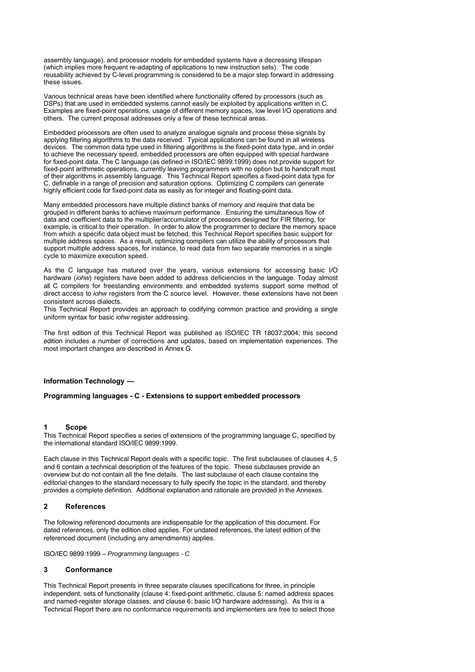assembly language), and processor models for embedded systems have a decreasing lifespan (which implies more frequent re-adapting of applications to new instruction sets). The code reusability achieved by C-level programming is considered to be a major step forward in addressing these issues.

Various technical areas have been identified where functionality offered by processors (such as DSPs) that are used in embedded systems cannot easily be exploited by applications written in C. Examples are fixed-point operations, usage of different memory spaces, low level I/O operations and others. The current proposal addresses only a few of these technical areas.

Embedded processors are often used to analyze analogue signals and process these signals by applying filtering algorithms to the data received. Typical applications can be found in all wireless devices. The common data type used in filtering algorithms is the fixed-point data type, and in order to achieve the necessary speed, embedded processors are often equipped with special hardware for fixed-point data. The C language (as defined in ISO/IEC 9899:1999) does not provide support for fixed-point arithmetic operations, currently leaving programmers with no option but to handcraft most of their algorithms in assembly language. This Technical Report specifies a fixed-point data type for C, definable in a range of precision and saturation options. Optimizing C compilers can generate highly efficient code for fixed-point data as easily as for integer and floating-point data.

Many embedded processors have multiple distinct banks of memory and require that data be grouped in different banks to achieve maximum performance. Ensuring the simultaneous flow of data and coefficient data to the multiplier/accumulator of processors designed for FIR filtering, for example, is critical to their operation. In order to allow the programmer to declare the memory space from which a specific data object must be fetched, this Technical Report specifies basic support for multiple address spaces. As a result, optimizing compilers can utilize the ability of processors that support multiple address spaces, for instance, to read data from two separate memories in a single cycle to maximize execution speed.

As the C language has matured over the years, various extensions for accessing basic I/O hardware (iohw) registers have been added to address deficiencies in the language. Today almost all C compilers for freestanding environments and embedded systems support some method of direct access to iohw registers from the C source level. However, these extensions have not been consistent across dialects.

This Technical Report provides an approach to codifying common practice and providing a single uniform syntax for basic iohw register addressing.

The first edition of this Technical Report was published as ISO/IEC TR 18037:2004; this second edition includes a number of corrections and updates, based on implementation experiences. The most important changes are described in Annex G.

#### **Information Technology —**

## **Programming languages - C - Extensions to support embedded processors**

#### **1 Scope**

This Technical Report specifies a series of extensions of the programming language C, specified by the international standard ISO/IEC 9899:1999.

Each clause in this Technical Report deals with a specific topic. The first subclauses of clauses 4, 5 and 6 contain a technical description of the features of the topic. These subclauses provide an overview but do not contain all the fine details. The last subclause of each clause contains the editorial changes to the standard necessary to fully specify the topic in the standard, and thereby provides a complete definition. Additional explanation and rationale are provided in the Annexes.

### **2 References**

The following referenced documents are indispensable for the application of this document. For dated references, only the edition cited applies. For undated references, the latest edition of the referenced document (including any amendments) applies.

ISO/IEC 9899:1999 – Programming languages - C

## **3 Conformance**

This Technical Report presents in three separate clauses specifications for three, in principle independent, sets of functionality (clause 4: fixed-point arithmetic, clause 5: named address spaces and named-register storage classes, and clause 6: basic I/O hardware addressing). As this is a Technical Report there are no conformance requirements and implementers are free to select those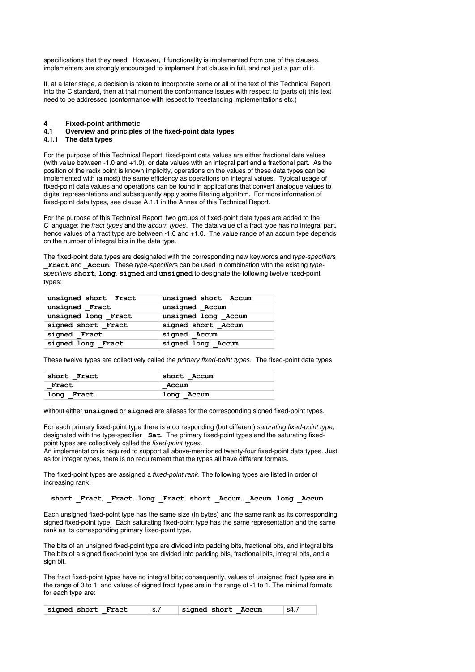specifications that they need. However, if functionality is implemented from one of the clauses, implementers are strongly encouraged to implement that clause in full, and not just a part of it.

If, at a later stage, a decision is taken to incorporate some or all of the text of this Technical Report into the C standard, then at that moment the conformance issues with respect to (parts of) this text need to be addressed (conformance with respect to freestanding implementations etc.)

## **4 Fixed-point arithmetic**

# **4.1 Overview and principles of the fixed-point data types**

## **4.1.1 The data types**

For the purpose of this Technical Report, fixed-point data values are either fractional data values (with value between -1.0 and +1.0), or data values with an integral part and a fractional part. As the position of the radix point is known implicitly, operations on the values of these data types can be implemented with (almost) the same efficiency as operations on integral values. Typical usage of fixed-point data values and operations can be found in applications that convert analogue values to digital representations and subsequently apply some filtering algorithm. For more information of fixed-point data types, see clause A.1.1 in the Annex of this Technical Report.

For the purpose of this Technical Report, two groups of fixed-point data types are added to the C language: the fract types and the accum types. The data value of a fract type has no integral part, hence values of a fract type are between -1.0 and +1.0. The value range of an accum type depends on the number of integral bits in the data type.

The fixed-point data types are designated with the corresponding new keywords and type-specifiers **Fract and Accum**. These type-specifiers can be used in combination with the existing typespecifiers **short**, **long**, **signed** and **unsigned** to designate the following twelve fixed-point types:

| unsigned short Fract | unsigned short Accum |  |  |
|----------------------|----------------------|--|--|
| unsigned Fract       | unsigned Accum       |  |  |
| unsigned long Fract  | unsigned long Accum  |  |  |
| signed short Fract   | signed short Accum   |  |  |
| signed Fract         | signed Accum         |  |  |
| signed long Fract    | signed long Accum    |  |  |

These twelve types are collectively called the *primary fixed-point types*. The fixed-point data types

| short Fract | short Accum |  |
|-------------|-------------|--|
| Fract       | Accum       |  |
| long Fract  | long Accum  |  |

without either **unsigned** or **signed** are aliases for the corresponding signed fixed-point types.

For each primary fixed-point type there is a corresponding (but different) saturating fixed-point type, designated with the type-specifier **Sat**. The primary fixed-point types and the saturating fixedpoint types are collectively called the fixed-point types.

An implementation is required to support all above-mentioned twenty-four fixed-point data types. Just as for integer types, there is no requirement that the types all have different formats.

The fixed-point types are assigned a fixed-point rank. The following types are listed in order of increasing rank:

**short \_Fract**, **\_Fract**, **long \_Fract**, **short \_Accum**, **\_Accum**, **long \_Accum**

Each unsigned fixed-point type has the same size (in bytes) and the same rank as its corresponding signed fixed-point type. Each saturating fixed-point type has the same representation and the same rank as its corresponding primary fixed-point type.

The bits of an unsigned fixed-point type are divided into padding bits, fractional bits, and integral bits. The bits of a signed fixed-point type are divided into padding bits, fractional bits, integral bits, and a sign bit.

The fract fixed-point types have no integral bits; consequently, values of unsigned fract types are in the range of 0 to 1, and values of signed fract types are in the range of -1 to 1. The minimal formats for each type are:

| signed short Fract | ∣s.7 | signed short Accum | ' s4.7 |
|--------------------|------|--------------------|--------|
|--------------------|------|--------------------|--------|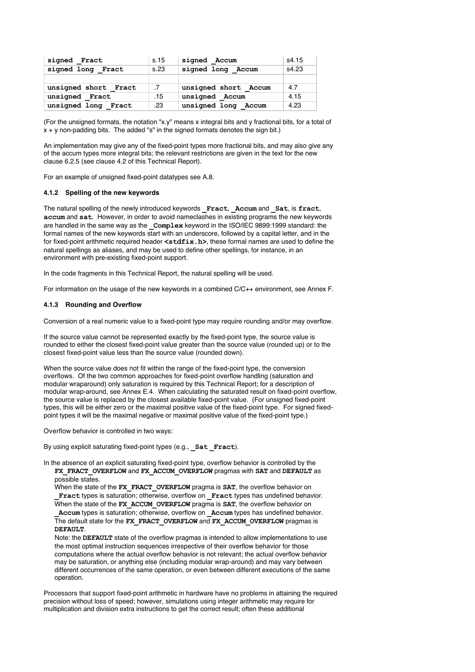| signed Fract           | s.15            | signed Accum         | s4.15 |
|------------------------|-----------------|----------------------|-------|
| signed long Fract      | s.23            | signed long Accum    | s4.23 |
|                        |                 |                      |       |
| unsigned short Fract   | $.7\phantom{0}$ | unsigned short Accum | 4.7   |
| unsigned Fract         | .15             | unsigned Accum       | 4.15  |
| unsigned long<br>Fract | .23             | unsigned long Accum  | 4.23  |

(For the unsigned formats, the notation "x.y" means x integral bits and y fractional bits, for a total of  $x + y$  non-padding bits. The added "s" in the signed formats denotes the sign bit.)

An implementation may give any of the fixed-point types more fractional bits, and may also give any of the accum types more integral bits; the relevant restrictions are given in the text for the new clause 6.2.5 (see clause 4.2 of this Technical Report).

For an example of unsigned fixed-point datatypes see A.8.

## **4.1.2 Spelling of the new keywords**

The natural spelling of the newly introduced keywords **\_Fract**, **\_Accum** and **\_Sat**, is **fract**, **accum** and **sat**. However, in order to avoid nameclashes in existing programs the new keywords are handled in the same way as the **Complex** keyword in the ISO/IEC 9899:1999 standard: the formal names of the new keywords start with an underscore, followed by a capital letter, and in the for fixed-point arithmetic required header **<stdfix.h>**, these formal names are used to define the natural spellings as aliases, and may be used to define other spellings, for instance, in an environment with pre-existing fixed-point support.

In the code fragments in this Technical Report, the natural spelling will be used.

For information on the usage of the new keywords in a combined C/C++ environment, see Annex F.

## **4.1.3 Rounding and Overflow**

Conversion of a real numeric value to a fixed-point type may require rounding and/or may overflow.

If the source value cannot be represented exactly by the fixed-point type, the source value is rounded to either the closest fixed-point value greater than the source value (rounded up) or to the closest fixed-point value less than the source value (rounded down).

When the source value does not fit within the range of the fixed-point type, the conversion overflows. Of the two common approaches for fixed-point overflow handling (saturation and modular wraparound) only saturation is required by this Technical Report; for a description of modular wrap-around, see Annex E.4. When calculating the saturated result on fixed-point overflow, the source value is replaced by the closest available fixed-point value. (For unsigned fixed-point types, this will be either zero or the maximal positive value of the fixed-point type. For signed fixedpoint types it will be the maximal negative or maximal positive value of the fixed-point type.)

Overflow behavior is controlled in two ways:

By using explicit saturating fixed-point types (e.g., **Sat Fract**).

In the absence of an explicit saturating fixed-point type, overflow behavior is controlled by the **FX\_FRACT\_OVERFLOW** and **FX\_ACCUM\_OVERFLOW** pragmas with **SAT** and **DEFAULT** as possible states.

When the state of the **FX\_FRACT\_OVERFLOW** pragma is **SAT**, the overflow behavior on **\_Fract** types is saturation; otherwise, overflow on **\_Fract** types has undefined behavior. When the state of the **FX** ACCUM OVERFLOW pragma is **SAT**, the overflow behavior on

**\_Accum** types is saturation; otherwise, overflow on **\_Accum** types has undefined behavior. The default state for the **FX\_FRACT\_OVERFLOW** and **FX\_ACCUM\_OVERFLOW** pragmas is **DEFAULT**.

Note: the **DEFAULT** state of the overflow pragmas is intended to allow implementations to use the most optimal instruction sequences irrespective of their overflow behavior for those computations where the actual overflow behavior is not relevant; the actual overflow behavior may be saturation, or anything else (including modular wrap-around) and may vary between different occurrences of the same operation, or even between different executions of the same operation.

Processors that support fixed-point arithmetic in hardware have no problems in attaining the required precision without loss of speed; however, simulations using integer arithmetic may require for multiplication and division extra instructions to get the correct result; often these additional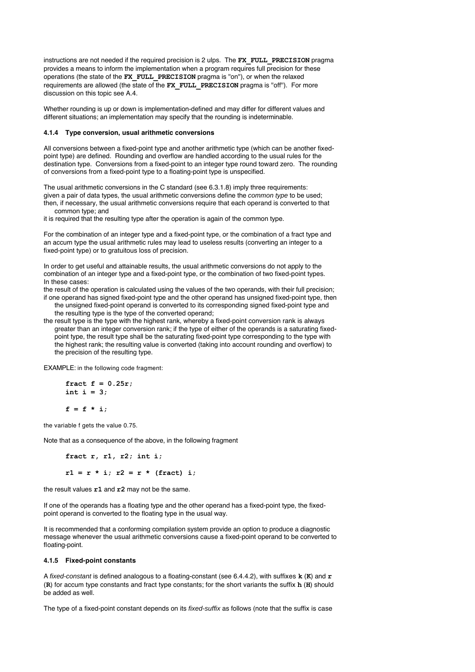instructions are not needed if the required precision is 2 ulps. The **FX\_FULL\_PRECISION** pragma provides a means to inform the implementation when a program requires full precision for these operations (the state of the **FX\_FULL\_PRECISION** pragma is ''on''), or when the relaxed requirements are allowed (the state of the **FX\_FULL\_PRECISION** pragma is ''off''). For more discussion on this topic see A.4.

Whether rounding is up or down is implementation-defined and may differ for different values and different situations; an implementation may specify that the rounding is indeterminable.

## **4.1.4 Type conversion, usual arithmetic conversions**

All conversions between a fixed-point type and another arithmetic type (which can be another fixedpoint type) are defined. Rounding and overflow are handled according to the usual rules for the destination type. Conversions from a fixed-point to an integer type round toward zero. The rounding of conversions from a fixed-point type to a floating-point type is unspecified.

The usual arithmetic conversions in the C standard (see 6.3.1.8) imply three requirements: given a pair of data types, the usual arithmetic conversions define the *common type* to be used; then, if necessary, the usual arithmetic conversions require that each operand is converted to that common type; and

it is required that the resulting type after the operation is again of the common type.

For the combination of an integer type and a fixed-point type, or the combination of a fract type and an accum type the usual arithmetic rules may lead to useless results (converting an integer to a fixed-point type) or to gratuitous loss of precision.

In order to get useful and attainable results, the usual arithmetic conversions do not apply to the combination of an integer type and a fixed-point type, or the combination of two fixed-point types. In these cases:

the result of the operation is calculated using the values of the two operands, with their full precision; if one operand has signed fixed-point type and the other operand has unsigned fixed-point type, then

the unsigned fixed-point operand is converted to its corresponding signed fixed-point type and the resulting type is the type of the converted operand;

the result type is the type with the highest rank, whereby a fixed-point conversion rank is always greater than an integer conversion rank; if the type of either of the operands is a saturating fixedpoint type, the result type shall be the saturating fixed-point type corresponding to the type with the highest rank; the resulting value is converted (taking into account rounding and overflow) to the precision of the resulting type.

EXAMPLE: in the following code fragment:

**fract f = 0.25r; int i = 3;**  $f = f * i;$ 

the variable f gets the value 0.75.

Note that as a consequence of the above, in the following fragment

**fract r, r1, r2; int i;**

 $r1 = r * i; r2 = r * (fract) i;$ 

the result values **r1** and **r2** may not be the same.

If one of the operands has a floating type and the other operand has a fixed-point type, the fixedpoint operand is converted to the floating type in the usual way.

It is recommended that a conforming compilation system provide an option to produce a diagnostic message whenever the usual arithmetic conversions cause a fixed-point operand to be converted to floating-point.

## **4.1.5 Fixed-point constants**

A fixed-constant is defined analogous to a floating-constant (see 6.4.4.2), with suffixes **k** (**K**) and **r** (**R**) for accum type constants and fract type constants; for the short variants the suffix **h** (**H**) should be added as well.

The type of a fixed-point constant depends on its fixed-suffix as follows (note that the suffix is case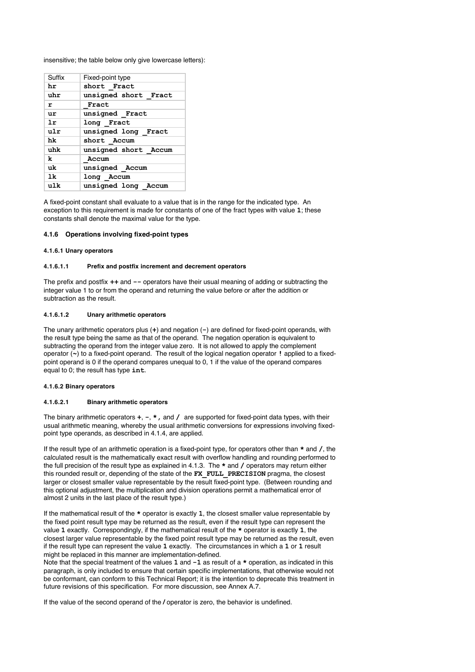insensitive; the table below only give lowercase letters):

| Suffix | Fixed-point type     |
|--------|----------------------|
| hr     | short Fract          |
| uhr    | unsigned short Fract |
| r      | Fract                |
| ur     | unsigned Fract       |
| 1r     | long Fract           |
| ulr    | unsigned long Fract  |
| hk     | short Accum          |
| uhk    | unsigned short Accum |
| k      | Accum                |
| uk     | unsigned Accum       |
| 1k     | long Accum           |
| ulk    | unsigned long Accum  |

A fixed-point constant shall evaluate to a value that is in the range for the indicated type. An exception to this requirement is made for constants of one of the fract types with value **1**; these constants shall denote the maximal value for the type.

#### **4.1.6 Operations involving fixed-point types**

#### **4.1.6.1 Unary operators**

## **4.1.6.1.1 Prefix and postfix increment and decrement operators**

The prefix and postfix **++** and **--** operators have their usual meaning of adding or subtracting the integer value 1 to or from the operand and returning the value before or after the addition or subtraction as the result.

#### **4.1.6.1.2 Unary arithmetic operators**

The unary arithmetic operators plus (**+**) and negation (**-**) are defined for fixed-point operands, with the result type being the same as that of the operand. The negation operation is equivalent to subtracting the operand from the integer value zero. It is not allowed to apply the complement operator (**~**) to a fixed-point operand. The result of the logical negation operator **!** applied to a fixedpoint operand is 0 if the operand compares unequal to 0, 1 if the value of the operand compares equal to 0; the result has type **int**.

#### **4.1.6.2 Binary operators**

#### **4.1.6.2.1 Binary arithmetic operators**

The binary arithmetic operators **+**, **-**, **\*,** and **/** are supported for fixed-point data types, with their usual arithmetic meaning, whereby the usual arithmetic conversions for expressions involving fixedpoint type operands, as described in 4.1.4, are applied.

If the result type of an arithmetic operation is a fixed-point type, for operators other than **\*** and **/**, the calculated result is the mathematically exact result with overflow handling and rounding performed to the full precision of the result type as explained in 4.1.3. The **\*** and **/** operators may return either this rounded result or, depending of the state of the **FX\_FULL\_PRECISION** pragma, the closest larger or closest smaller value representable by the result fixed-point type. (Between rounding and this optional adjustment, the multiplication and division operations permit a mathematical error of almost 2 units in the last place of the result type.)

If the mathematical result of the **\*** operator is exactly **1**, the closest smaller value representable by the fixed point result type may be returned as the result, even if the result type can represent the value **1** exactly. Correspondingly, if the mathematical result of the **\*** operator is exactly **1**, the closest larger value representable by the fixed point result type may be returned as the result, even if the result type can represent the value **1** exactly. The circumstances in which a **1** or **1** result might be replaced in this manner are implementation-defined.

Note that the special treatment of the values **1** and **-1** as result of a **\*** operation, as indicated in this paragraph, is only included to ensure that certain specific implementations, that otherwise would not be conformant, can conform to this Technical Report; it is the intention to deprecate this treatment in future revisions of this specification. For more discussion, see Annex A.7.

If the value of the second operand of the **/** operator is zero, the behavior is undefined.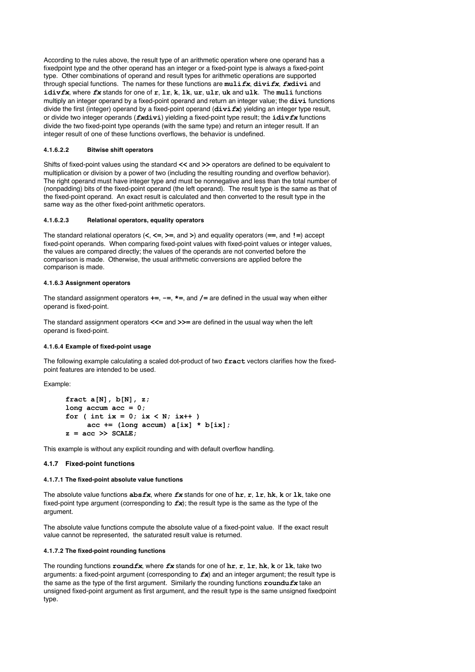According to the rules above, the result type of an arithmetic operation where one operand has a fixedpoint type and the other operand has an integer or a fixed-point type is always a fixed-point type. Other combinations of operand and result types for arithmetic operations are supported through special functions. The names for these functions are **muli***fx*, **divi***fx*, *fx***divi** and **idiv***fx*, where *fx* stands for one of **r**, **lr**, **k**, **lk**, **ur**, **ulr**, **uk** and **ulk**. The **muli** functions multiply an integer operand by a fixed-point operand and return an integer value; the **divi** functions divide the first (integer) operand by a fixed-point operand (**divi***fx*) yielding an integer type result, or divide two integer operands (*fx***divi**) yielding a fixed-point type result; the **idiv***fx* functions divide the two fixed-point type operands (with the same type) and return an integer result. If an integer result of one of these functions overflows, the behavior is undefined.

## **4.1.6.2.2 Bitwise shift operators**

Shifts of fixed-point values using the standard **<<** and **>>** operators are defined to be equivalent to multiplication or division by a power of two (including the resulting rounding and overflow behavior). The right operand must have integer type and must be nonnegative and less than the total number of (nonpadding) bits of the fixed-point operand (the left operand). The result type is the same as that of the fixed-point operand. An exact result is calculated and then converted to the result type in the same way as the other fixed-point arithmetic operators.

#### **4.1.6.2.3 Relational operators, equality operators**

The standard relational operators (**<**, **<=**, **>=**, and **>**) and equality operators (**==**, and **!=**) accept fixed-point operands. When comparing fixed-point values with fixed-point values or integer values, the values are compared directly; the values of the operands are not converted before the comparison is made. Otherwise, the usual arithmetic conversions are applied before the comparison is made.

#### **4.1.6.3 Assignment operators**

The standard assignment operators **+=**, **-=**, **\*=**, and **/=** are defined in the usual way when either operand is fixed-point.

The standard assignment operators **<<=** and **>>=** are defined in the usual way when the left operand is fixed-point.

#### **4.1.6.4 Example of fixed-point usage**

The following example calculating a scaled dot-product of two **fract** vectors clarifies how the fixedpoint features are intended to be used.

#### Example:

```
fract a[N], b[N], z;
long accum acc = 0;
for ( int ix = 0; ix < N; ix++ )
     acc += (long account) a[ix] * b[ix];z = acc \gg SCALE;
```
This example is without any explicit rounding and with default overflow handling.

#### **4.1.7 Fixed-point functions**

#### **4.1.7.1 The fixed-point absolute value functions**

The absolute value functions **abs***fx*, where *fx* stands for one of **hr**, **r**, **lr**, **hk**, **k** or **lk**, take one fixed-point type argument (corresponding to *fx*); the result type is the same as the type of the argument.

The absolute value functions compute the absolute value of a fixed-point value. If the exact result value cannot be represented, the saturated result value is returned.

#### **4.1.7.2 The fixed-point rounding functions**

The rounding functions **round***fx*, where *fx* stands for one of **hr**, **r**, **lr**, **hk**, **k** or **lk**, take two arguments: a fixed-point argument (corresponding to *fx*) and an integer argument; the result type is the same as the type of the first argument. Similarly the rounding functions **roundu***fx* take an unsigned fixed-point argument as first argument, and the result type is the same unsigned fixedpoint type.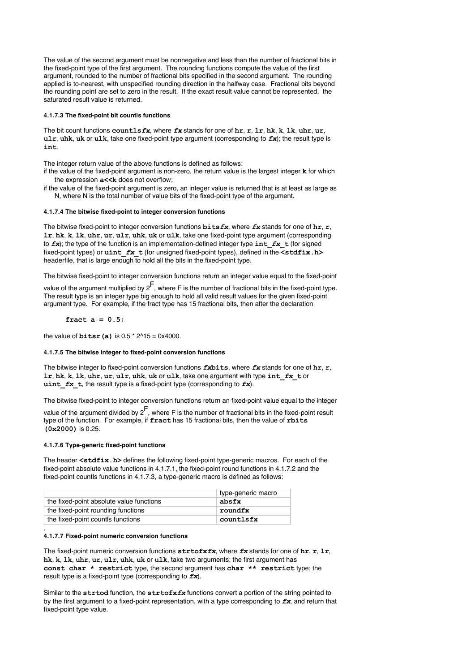The value of the second argument must be nonnegative and less than the number of fractional bits in the fixed-point type of the first argument. The rounding functions compute the value of the first argument, rounded to the number of fractional bits specified in the second argument. The rounding applied is to-nearest, with unspecified rounding direction in the halfway case. Fractional bits beyond the rounding point are set to zero in the result. If the exact result value cannot be represented, the saturated result value is returned.

#### **4.1.7.3 The fixed-point bit countls functions**

The bit count functions **countls***fx*, where *fx* stands for one of **hr**, **r**, **lr**, **hk**, **k**, **lk**, **uhr**, **ur**, **ulr**, **uhk**, **uk** or **ulk**, take one fixed-point type argument (corresponding to  $f(x)$ ; the result type is **int**.

The integer return value of the above functions is defined as follows:

- if the value of the fixed-point argument is non-zero, the return value is the largest integer **k** for which the expression **a<<k** does not overflow;
- if the value of the fixed-point argument is zero, an integer value is returned that is at least as large as N, where N is the total number of value bits of the fixed-point type of the argument.

#### **4.1.7.4 The bitwise fixed-point to integer conversion functions**

The bitwise fixed-point to integer conversion functions **bits***fx*, where *fx* stands for one of **hr**, **r**, **lr**, **hk**, **k**, **lk**, **uhr**, **ur**, **ulr**, **uhk**, **uk** or **ulk**, take one fixed-point type argument (corresponding to  $f\mathbf{x}$ ); the type of the function is an implementation-defined integer type  $\mathbf{int} f\mathbf{x} + f$  (for signed fixed-point types) or **uint\_***fx***\_t** (for unsigned fixed-point types), defined in the **<stdfix.h>** headerfile, that is large enough to hold all the bits in the fixed-point type.

The bitwise fixed-point to integer conversion functions return an integer value equal to the fixed-point

value of the argument multiplied by  $2^F$ , where F is the number of fractional bits in the fixed-point type. The result type is an integer type big enough to hold all valid result values for the given fixed-point argument type. For example, if the fract type has 15 fractional bits, then after the declaration

#### **fract a = 0.5;**

the value of **bitsr(a)** is  $0.5 * 2^1 15 = 0x4000$ .

#### **4.1.7.5 The bitwise integer to fixed-point conversion functions**

The bitwise integer to fixed-point conversion functions *fx***bits**, where *fx* stands for one of **hr**, **r**, **lr**, **hk**, **k**, **lk**, **uhr**, **ur**, **ulr**, **uhk**, **uk** or **ulk**, take one argument with type **int\_***fx***\_t** or **uint**  $f$ **x t**, the result type is a fixed-point type (corresponding to  $f$ **x**).

The bitwise fixed-point to integer conversion functions return an fixed-point value equal to the integer

value of the argument divided by  $2^F$ , where F is the number of fractional bits in the fixed-point result type of the function. For example, if **fract** has 15 fractional bits, then the value of **rbits (0x2000)** is 0.25.

### **4.1.7.6 Type-generic fixed-point functions**

The header <stdfix.h> defines the following fixed-point type-generic macros. For each of the fixed-point absolute value functions in 4.1.7.1, the fixed-point round functions in 4.1.7.2 and the fixed-point countls functions in 4.1.7.3, a type-generic macro is defined as follows:

|                                          | type-generic macro |
|------------------------------------------|--------------------|
| the fixed-point absolute value functions | absfx              |
| the fixed-point rounding functions       | roundfx            |
| the fixed-point countls functions        | countlsfx          |

#### **4.1.7.7 Fixed-point numeric conversion functions**

.

The fixed-point numeric conversion functions **strtofx***fx*, where *fx* stands for one of **hr**, **r**, **lr**, **hk**, **k**, **lk**, **uhr**, **ur**, **ulr**, **uhk**, **uk** or **ulk**, take two arguments: the first argument has **const char \* restrict** type, the second argument has **char \*\* restrict** type; the result type is a fixed-point type (corresponding to *fx*).

Similar to the **strtod** function, the **strtofx***fx* functions convert a portion of the string pointed to by the first argument to a fixed-point representation, with a type corresponding to *fx*, and return that fixed-point type value.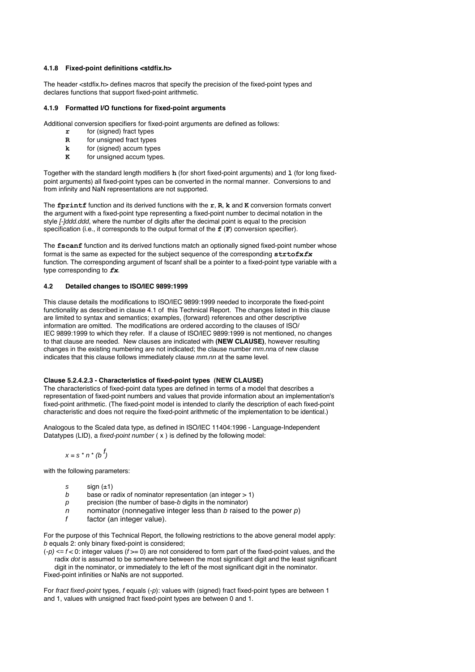## **4.1.8 Fixed-point definitions <stdfix.h>**

The header <stdfix.h> defines macros that specify the precision of the fixed-point types and declares functions that support fixed-point arithmetic.

## **4.1.9 Formatted I/O functions for fixed-point arguments**

Additional conversion specifiers for fixed-point arguments are defined as follows:

- **r** for (signed) fract types
- **R** for unsigned fract types<br>**k** for (signed) accum type
- for (signed) accum types
- **K** for unsigned accum types.

Together with the standard length modifiers **h** (for short fixed-point arguments) and **l** (for long fixedpoint arguments) all fixed-point types can be converted in the normal manner. Conversions to and from infinity and NaN representations are not supported.

The **fprintf** function and its derived functions with the **r**, **R**, **k** and **K** conversion formats convert the argument with a fixed-point type representing a fixed-point number to decimal notation in the style [-]ddd.ddd, where the number of digits after the decimal point is equal to the precision specification (i.e., it corresponds to the output format of the **f** (**F**) conversion specifier).

The **fscanf** function and its derived functions match an optionally signed fixed-point number whose format is the same as expected for the subject sequence of the corresponding **strtofx***fx* function. The corresponding argument of fscanf shall be a pointer to a fixed-point type variable with a type corresponding to *fx*.

#### **4.2 Detailed changes to ISO/IEC 9899:1999**

This clause details the modifications to ISO/IEC 9899:1999 needed to incorporate the fixed-point functionality as described in clause 4.1 of this Technical Report. The changes listed in this clause are limited to syntax and semantics; examples, (forward) references and other descriptive information are omitted. The modifications are ordered according to the clauses of ISO/ IEC 9899:1999 to which they refer. If a clause of ISO/IEC 9899:1999 is not mentioned, no changes to that clause are needed. New clauses are indicated with **(NEW CLAUSE)**, however resulting changes in the existing numbering are not indicated; the clause number mm.nna of new clause indicates that this clause follows immediately clause  $mmnn$  at the same level.

#### **Clause 5.2.4.2.3 - Characteristics of fixed-point types (NEW CLAUSE)**

The characteristics of fixed-point data types are defined in terms of a model that describes a representation of fixed-point numbers and values that provide information about an implementation's fixed-point arithmetic. (The fixed-point model is intended to clarify the description of each fixed-point characteristic and does not require the fixed-point arithmetic of the implementation to be identical.)

Analogous to the Scaled data type, as defined in ISO/IEC 11404:1996 - Language-Independent Datatypes (LID), a fixed-point number ( x ) is defined by the following model:

 $x = s * n * (b')$ 

with the following parameters:

- s  $\sinh (1 + 1)$
- b base or radix of nominator representation (an integer  $> 1$ )
- $p$  precision (the number of base-b digits in the nominator)
- n nominator (nonnegative integer less than b raised to the power  $p$ )
- f factor (an integer value).

For the purpose of this Technical Report, the following restrictions to the above general model apply: b equals 2: only binary fixed-point is considered;

 $(-p) \le f \le 0$ : integer values  $(f \ge 0)$  are not considered to form part of the fixed-point values, and the radix dot is assumed to be somewhere between the most significant digit and the least significant digit in the nominator, or immediately to the left of the most significant digit in the nominator.

Fixed-point infinities or NaNs are not supported.

For fract fixed-point types, f equals  $(-p)$ : values with (signed) fract fixed-point types are between 1 and 1, values with unsigned fract fixed-point types are between 0 and 1.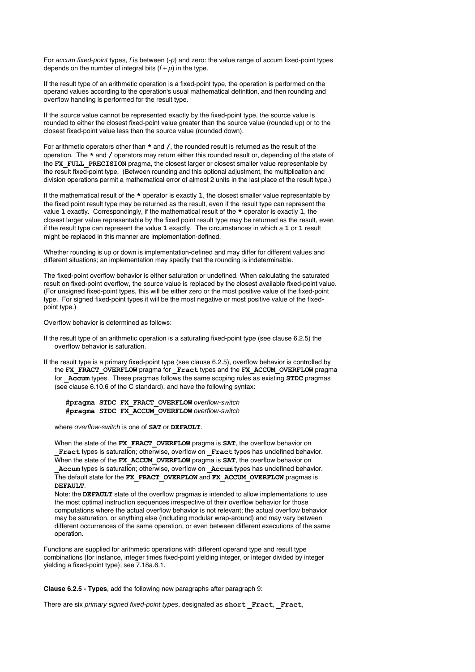For accum fixed-point types, f is between  $(-p)$  and zero: the value range of accum fixed-point types depends on the number of integral bits  $(f + p)$  in the type.

If the result type of an arithmetic operation is a fixed-point type, the operation is performed on the operand values according to the operation's usual mathematical definition, and then rounding and overflow handling is performed for the result type.

If the source value cannot be represented exactly by the fixed-point type, the source value is rounded to either the closest fixed-point value greater than the source value (rounded up) or to the closest fixed-point value less than the source value (rounded down).

For arithmetic operators other than **\*** and **/**, the rounded result is returned as the result of the operation. The **\*** and **/** operators may return either this rounded result or, depending of the state of the **FX\_FULL\_PRECISION** pragma, the closest larger or closest smaller value representable by the result fixed-point type. (Between rounding and this optional adjustment, the multiplication and division operations permit a mathematical error of almost 2 units in the last place of the result type.)

If the mathematical result of the **\*** operator is exactly **1**, the closest smaller value representable by the fixed point result type may be returned as the result, even if the result type can represent the value **1** exactly. Correspondingly, if the mathematical result of the **\*** operator is exactly **1**, the closest larger value representable by the fixed point result type may be returned as the result, even if the result type can represent the value **1** exactly. The circumstances in which a **1** or **1** result might be replaced in this manner are implementation-defined.

Whether rounding is up or down is implementation-defined and may differ for different values and different situations; an implementation may specify that the rounding is indeterminable.

The fixed-point overflow behavior is either saturation or undefined. When calculating the saturated result on fixed-point overflow, the source value is replaced by the closest available fixed-point value. (For unsigned fixed-point types, this will be either zero or the most positive value of the fixed-point type. For signed fixed-point types it will be the most negative or most positive value of the fixedpoint type.)

Overflow behavior is determined as follows:

- If the result type of an arithmetic operation is a saturating fixed-point type (see clause 6.2.5) the overflow behavior is saturation.
- If the result type is a primary fixed-point type (see clause 6.2.5), overflow behavior is controlled by the **FX\_FRACT\_OVERFLOW** pragma for **\_Fract** types and the **FX\_ACCUM\_OVERFLOW** pragma for **\_Accum** types. These pragmas follows the same scoping rules as existing **STDC** pragmas (see clause 6.10.6 of the C standard), and have the following syntax:

**#pragma STDC FX\_FRACT\_OVERFLOW** overflow-switch **#pragma STDC FX\_ACCUM\_OVERFLOW** overflow-switch

where overflow-switch is one of **SAT** or **DEFAULT**.

When the state of the **FX\_FRACT\_OVERFLOW** pragma is **SAT**, the overflow behavior on **\_Fract** types is saturation; otherwise, overflow on **\_Fract** types has undefined behavior. When the state of the FX\_ACCUM\_OVERFLOW pragma is SAT, the overflow behavior on

**\_Accum** types is saturation; otherwise, overflow on **\_Accum** types has undefined behavior. The default state for the **FX\_FRACT\_OVERFLOW** and **FX\_ACCUM\_OVERFLOW** pragmas is **DEFAULT**.

Note: the **DEFAULT** state of the overflow pragmas is intended to allow implementations to use the most optimal instruction sequences irrespective of their overflow behavior for those computations where the actual overflow behavior is not relevant; the actual overflow behavior may be saturation, or anything else (including modular wrap-around) and may vary between different occurrences of the same operation, or even between different executions of the same operation.

Functions are supplied for arithmetic operations with different operand type and result type combinations (for instance, integer times fixed-point yielding integer, or integer divided by integer yielding a fixed-point type); see 7.18a.6.1.

**Clause 6.2.5 - Types**, add the following new paragraphs after paragraph 9:

There are six primary signed fixed-point types, designated as **short \_Fract**, **\_Fract**,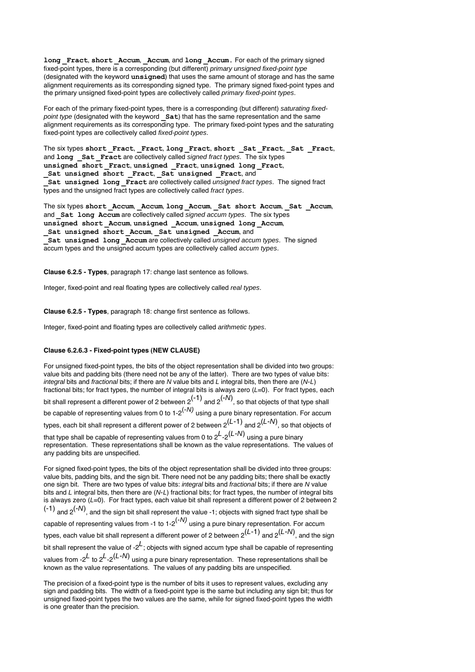**long Fract**, **short Accum**, **Accum**, and **long Accum**. For each of the primary signed fixed-point types, there is a corresponding (but different) primary unsigned fixed-point type (designated with the keyword **unsigned**) that uses the same amount of storage and has the same alignment requirements as its corresponding signed type. The primary signed fixed-point types and the primary unsigned fixed-point types are collectively called primary fixed-point types.

For each of the primary fixed-point types, there is a corresponding (but different) saturating fixedpoint type (designated with the keyword **Sat**) that has the same representation and the same alignment requirements as its corresponding type. The primary fixed-point types and the saturating fixed-point types are collectively called fixed-point types.

The six types **short \_Fract**, **\_Fract**, **long \_Fract**, **short \_Sat \_Fract**, **\_Sat \_Fract**, and **long** Sat Fract are collectively called signed fract types. The six types **unsigned short \_Fract**, **unsigned \_Fract**, **unsigned long \_Fract**, Sat unsigned short Fract, Sat unsigned Fract, and **\_Sat unsigned long \_Fract** are collectively called unsigned fract types. The signed fract types and the unsigned fract types are collectively called fract types.

The six types **short \_Accum**, **\_Accum**, **long \_Accum**, **\_Sat short Accum**, **\_Sat \_Accum**, and **Sat long Accum** are collectively called signed accum types. The six types **unsigned short Accum**, **unsigned Accum**, **unsigned** long **Accum**, Sat unsigned short **Accum**, Sat unsigned **Accum**, and **Sat unsigned long Accum** are collectively called unsigned accum types. The signed accum types and the unsigned accum types are collectively called accum types.

**Clause 6.2.5 - Types**, paragraph 17: change last sentence as follows.

Integer, fixed-point and real floating types are collectively called real types.

**Clause 6.2.5 - Types**, paragraph 18: change first sentence as follows.

Integer, fixed-point and floating types are collectively called arithmetic types.

### **Clause 6.2.6.3 - Fixed-point types (NEW CLAUSE)**

For unsigned fixed-point types, the bits of the object representation shall be divided into two groups: value bits and padding bits (there need not be any of the latter). There are two types of value bits: integral bits and fractional bits; if there are N value bits and L integral bits, then there are (N-L) fractional bits; for fract types, the number of integral bits is always zero  $(L=0)$ . For fract types, each bit shall represent a different power of 2 between 2 $^{(-1)}$  and 2 $^{(-N)}$ , so that objects of that type shall be capable of representing values from 0 to  $1-2^{(-N)}$  using a pure binary representation. For accum types, each bit shall represent a different power of 2 between  $2^{(L\text{-}1)}$  and  $2^{(L\text{-}N)}$ , so that objects of that type shall be capable of representing values from 0 to 2 ${}^L\text{-}2^{(L\text{-}N)}$  using a pure binary representation. These representations shall be known as the value representations. The values of any padding bits are unspecified. For signed fixed-point types, the bits of the object representation shall be divided into three groups: value bits, padding bits, and the sign bit. There need not be any padding bits; there shall be exactly one sign bit. There are two types of value bits: integral bits and fractional bits; if there are N value

bits and  $L$  integral bits, then there are  $(N-L)$  fractional bits; for fract types, the number of integral bits is always zero (L=0). For fract types, each value bit shall represent a different power of 2 between 2  $(-1)$  and  $2^{(-N)}$ , and the sign bit shall represent the value -1; objects with signed fract type shall be capable of representing values from -1 to 1-2<sup> $(-N)$ </sup> using a pure binary representation. For accum types, each value bit shall represent a different power of 2 between  $2^{(L\text{-}1)}$  and  $2^{(L\text{-}N)}$ , and the sign bit shall represent the value of  $-2^L$ ; objects with signed accum type shall be capable of representing values from -2 $^L$  to 2 $^L$ -2 $^{(L-N)}$  using a pure binary representation. These representations shall be known as the value representations. The values of any padding bits are unspecified.

The precision of a fixed-point type is the number of bits it uses to represent values, excluding any sign and padding bits. The width of a fixed-point type is the same but including any sign bit; thus for unsigned fixed-point types the two values are the same, while for signed fixed-point types the width is one greater than the precision.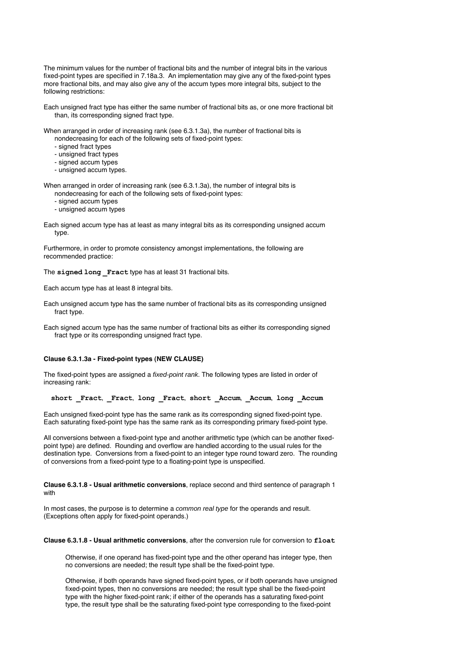The minimum values for the number of fractional bits and the number of integral bits in the various fixed-point types are specified in 7.18a.3. An implementation may give any of the fixed-point types more fractional bits, and may also give any of the accum types more integral bits, subject to the following restrictions:

Each unsigned fract type has either the same number of fractional bits as, or one more fractional bit than, its corresponding signed fract type.

When arranged in order of increasing rank (see 6.3.1.3a), the number of fractional bits is nondecreasing for each of the following sets of fixed-point types:

- signed fract types
- unsigned fract types
- signed accum types
- unsigned accum types.

When arranged in order of increasing rank (see 6.3.1.3a), the number of integral bits is nondecreasing for each of the following sets of fixed-point types:

- signed accum types
- unsigned accum types

Each signed accum type has at least as many integral bits as its corresponding unsigned accum type.

Furthermore, in order to promote consistency amongst implementations, the following are recommended practice:

The **signed long \_Fract** type has at least 31 fractional bits.

Each accum type has at least 8 integral bits.

Each unsigned accum type has the same number of fractional bits as its corresponding unsigned fract type.

Each signed accum type has the same number of fractional bits as either its corresponding signed fract type or its corresponding unsigned fract type.

#### **Clause 6.3.1.3a - Fixed-point types (NEW CLAUSE)**

The fixed-point types are assigned a *fixed-point rank*. The following types are listed in order of increasing rank:

**short \_Fract**, **\_Fract**, **long \_Fract**, **short \_Accum**, **\_Accum**, **long \_Accum**

Each unsigned fixed-point type has the same rank as its corresponding signed fixed-point type. Each saturating fixed-point type has the same rank as its corresponding primary fixed-point type.

All conversions between a fixed-point type and another arithmetic type (which can be another fixedpoint type) are defined. Rounding and overflow are handled according to the usual rules for the destination type. Conversions from a fixed-point to an integer type round toward zero. The rounding of conversions from a fixed-point type to a floating-point type is unspecified.

**Clause 6.3.1.8 - Usual arithmetic conversions**, replace second and third sentence of paragraph 1 with

In most cases, the purpose is to determine a *common real type* for the operands and result. (Exceptions often apply for fixed-point operands.)

**Clause 6.3.1.8 - Usual arithmetic conversions**, after the conversion rule for conversion to **float**

Otherwise, if one operand has fixed-point type and the other operand has integer type, then no conversions are needed; the result type shall be the fixed-point type.

Otherwise, if both operands have signed fixed-point types, or if both operands have unsigned fixed-point types, then no conversions are needed; the result type shall be the fixed-point type with the higher fixed-point rank; if either of the operands has a saturating fixed-point type, the result type shall be the saturating fixed-point type corresponding to the fixed-point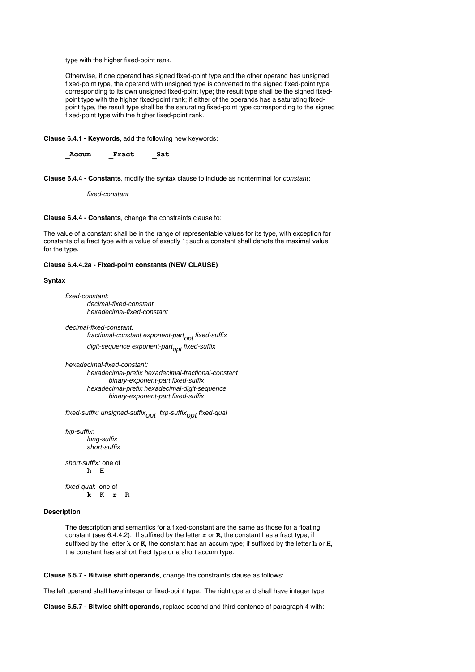type with the higher fixed-point rank.

Otherwise, if one operand has signed fixed-point type and the other operand has unsigned fixed-point type, the operand with unsigned type is converted to the signed fixed-point type corresponding to its own unsigned fixed-point type; the result type shall be the signed fixedpoint type with the higher fixed-point rank; if either of the operands has a saturating fixedpoint type, the result type shall be the saturating fixed-point type corresponding to the signed fixed-point type with the higher fixed-point rank.

**Clause 6.4.1 - Keywords**, add the following new keywords:

**\_Accum \_Fract \_Sat**

**Clause 6.4.4 - Constants**, modify the syntax clause to include as nonterminal for constant:

fixed-constant

**Clause 6.4.4 - Constants**, change the constraints clause to:

The value of a constant shall be in the range of representable values for its type, with exception for constants of a fract type with a value of exactly 1; such a constant shall denote the maximal value for the type.

#### **Clause 6.4.4.2a - Fixed-point constants (NEW CLAUSE)**

#### **Syntax**

fixed-constant: decimal-fixed-constant hexadecimal-fixed-constant

decimal-fixed-constant:

fractional-constant exponent-part<sub>ont</sub> fixed-suffix digit-sequence exponent-part<sub>opt</sub> fixed-suffix

hexadecimal-fixed-constant:

hexadecimal-prefix hexadecimal-fractional-constant binary-exponent-part fixed-suffix hexadecimal-prefix hexadecimal-digit-sequence binary-exponent-part fixed-suffix

fixed-suffix: unsigned-suffix<sub>opt</sub> fxp-suffix<sub>opt</sub> fixed-qual

fxp-suffix: long-suffix short-suffix short-suffix: one of **h H** fixed-qual: one of

**k K r R**

## **Description**

The description and semantics for a fixed-constant are the same as those for a floating constant (see 6.4.4.2). If suffixed by the letter **r** or **R**, the constant has a fract type; if suffixed by the letter **k** or **K**, the constant has an accum type; if suffixed by the letter **h** or **H**, the constant has a short fract type or a short accum type.

**Clause 6.5.7 - Bitwise shift operands**, change the constraints clause as follows:

The left operand shall have integer or fixed-point type. The right operand shall have integer type.

**Clause 6.5.7 - Bitwise shift operands**, replace second and third sentence of paragraph 4 with: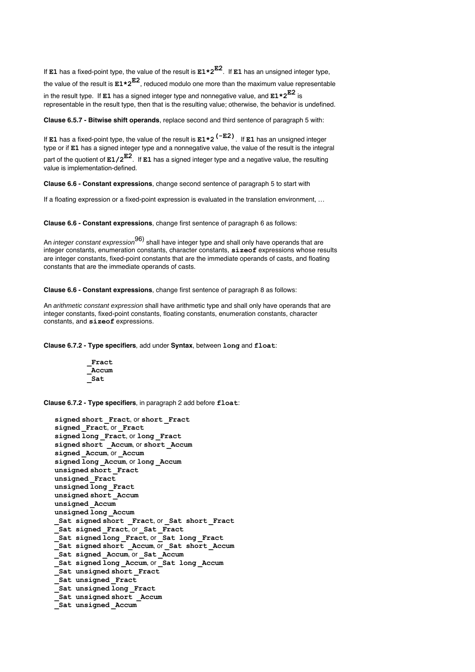If **E1** has a fixed-point type, the value of the result is **E1\*2E2**. If **E1** has an unsigned integer type, the value of the result is **E1\*2E2**, reduced modulo one more than the maximum value representable in the result type. If **E1** has a signed integer type and nonnegative value, and **E1\*2E2** is representable in the result type, then that is the resulting value; otherwise, the behavior is undefined.

**Clause 6.5.7 - Bitwise shift operands**, replace second and third sentence of paragraph 5 with:

If **E1** has a fixed-point type, the value of the result is **E1\*2(-E2)**. If **E1** has an unsigned integer type or if **E1** has a signed integer type and a nonnegative value, the value of the result is the integral part of the quotient of **E1/2E2**. If **E1** has a signed integer type and a negative value, the resulting value is implementation-defined.

**Clause 6.6 - Constant expressions**, change second sentence of paragraph 5 to start with

If a floating expression or a fixed-point expression is evaluated in the translation environment, ...

**Clause 6.6 - Constant expressions**, change first sentence of paragraph 6 as follows:

An *integer constant expression*<sup>96)</sup> shall have integer type and shall only have operands that are integer constants, enumeration constants, character constants, **sizeof** expressions whose results are integer constants, fixed-point constants that are the immediate operands of casts, and floating constants that are the immediate operands of casts.

**Clause 6.6 - Constant expressions**, change first sentence of paragraph 8 as follows:

An arithmetic constant expression shall have arithmetic type and shall only have operands that are integer constants, fixed-point constants, floating constants, enumeration constants, character constants, and **sizeof** expressions.

**Clause 6.7.2 - Type specifiers**, add under **Syntax**, between **long** and **float**:

**\_Fract \_Accum \_Sat**

**Clause 6.7.2 - Type specifiers**, in paragraph 2 add before **float**:

```
signed short _Fract, or short _Fract
signed _Fract, or _Fract
signed long _Fract, or long _Fract
signed short _Accum, or short _Accum
signed _Accum, or _Accum
signed long _Accum, or long _Accum
unsigned short _Fract
unsigned _Fract
unsigned long _Fract
unsigned short _Accum
unsigned _Accum
unsigned long _Accum
_Sat signed short _Fract, or _Sat short _Fract
_Sat signed _Fract, or _Sat _Fract
\overline{\phantom{a}} Sat signed long Fract, or Sat long Fract
\overline{\text{Sat signal short}} Accum, or Sat short Accum
_Sat signed _Accum, or _Sat _Accum
-Sat signed long Accum, or Sat long Accum
_Sat unsigned short _Fract
^-Sat unsigned Fract
_Sat unsigned long _Fract
_Sat unsigned short _Accum
Sat unsigned Accum
```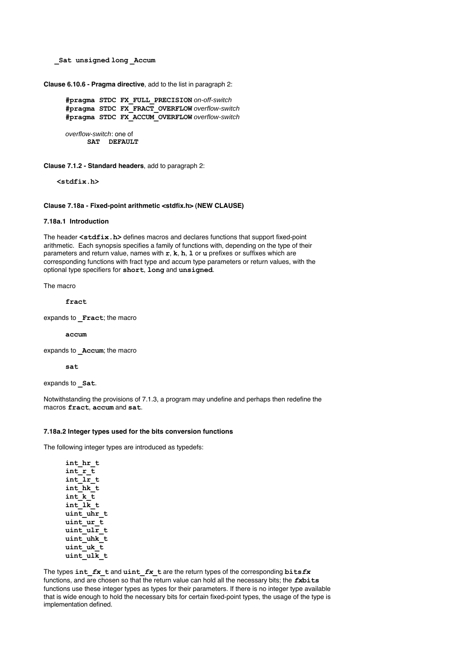**\_Sat unsigned long \_Accum**

**Clause 6.10.6 - Pragma directive**, add to the list in paragraph 2:

**#pragma STDC FX\_FULL\_PRECISION** on-off-switch **#pragma STDC FX\_FRACT\_OVERFLOW** overflow-switch **#pragma STDC FX\_ACCUM\_OVERFLOW** overflow-switch

overflow-switch: one of **SAT DEFAULT**

**Clause 7.1.2 - Standard headers**, add to paragraph 2:

**<stdfix.h>**

## **Clause 7.18a - Fixed-point arithmetic <stdfix.h> (NEW CLAUSE)**

## **7.18a.1 Introduction**

The header **<stdfix.h>** defines macros and declares functions that support fixed-point arithmetic. Each synopsis specifies a family of functions with, depending on the type of their parameters and return value, names with **r**, **k**, **h**, **l** or **u** prefixes or suffixes which are corresponding functions with fract type and accum type parameters or return values, with the optional type specifiers for **short**, **long** and **unsigned**.

The macro

**fract**

expands to **Fract**; the macro

**accum**

expands to **Accum**; the macro

**sat**

```
expands to _Sat.
```
Notwithstanding the provisions of 7.1.3, a program may undefine and perhaps then redefine the macros **fract**, **accum** and **sat**.

## **7.18a.2 Integer types used for the bits conversion functions**

The following integer types are introduced as typedefs:

**int\_hr\_t int\_r\_t int\_lr\_t int\_hk\_t int\_k\_t int\_lk\_t uint\_uhr\_t** uint\_ur\_t **uint\_ulr\_t uint\_uhk\_t** uint\_uk\_t uint\_ulk\_t

The types **int\_***fx***\_t** and **uint\_***fx***\_t** are the return types of the corresponding **bits***fx* functions, and are chosen so that the return value can hold all the necessary bits; the *fx***bits** functions use these integer types as types for their parameters. If there is no integer type available that is wide enough to hold the necessary bits for certain fixed-point types, the usage of the type is implementation defined.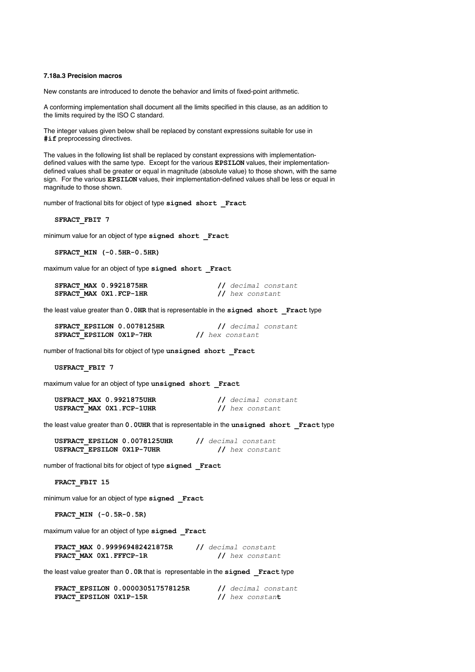## **7.18a.3 Precision macros**

New constants are introduced to denote the behavior and limits of fixed-point arithmetic.

A conforming implementation shall document all the limits specified in this clause, as an addition to the limits required by the ISO C standard.

The integer values given below shall be replaced by constant expressions suitable for use in **#if** preprocessing directives.

The values in the following list shall be replaced by constant expressions with implementationdefined values with the same type. Except for the various **EPSILON** values, their implementationdefined values shall be greater or equal in magnitude (absolute value) to those shown, with the same sign. For the various **EPSILON** values, their implementation-defined values shall be less or equal in magnitude to those shown.

number of fractional bits for object of type **signed short \_Fract**

**SFRACT\_FBIT 7**

minimum value for an object of type **signed short \_Fract**

**SFRACT\_MIN (-0.5HR-0.5HR)**

maximum value for an object of type signed short Fract

| <b>SFRACT MAX 0.9921875HR</b> | // decimal constant |
|-------------------------------|---------------------|
| SFRACT MAX 0X1.FCP-1HR        | // hex constant     |

the least value greater than **0.0HR** that is representable in the **signed short \_Fract** type

| SFRACT EPSILON 0.0078125HR |  | // decimal constant |  |
|----------------------------|--|---------------------|--|
| SFRACT EPSILON 0X1P-7HR    |  | // hex constant     |  |

number of fractional bits for object of type **unsigned short \_Fract**

**USFRACT\_FBIT 7**

maximum value for an object of type **unsigned short \_Fract**

| USFRACT MAX 0.9921875UHR  | // decimal constant |
|---------------------------|---------------------|
| USFRACT MAX 0X1. FCP-1UHR | // hex constant     |

the least value greater than **0.0UHR** that is representable in the **unsigned short \_Fract** type

| USFRACT EPSILON 0.0078125UHR |  | // decimal constant |
|------------------------------|--|---------------------|
| USFRACT EPSILON 0X1P-7UHR    |  | // hex constant     |

number of fractional bits for object of type **signed \_Fract**

**FRACT\_FBIT 15**

minimum value for an object of type **signed \_Fract**

**FRACT\_MIN (-0.5R-0.5R)**

maximum value for an object of type **signed \_Fract**

**FRACT\_MAX 0.999969482421875R //** *decimal constant* **FRACT\_MAX 0X1.FFFCP-1R //** *hex constant*

the least value greater than **0.0R** that is representable in the **signed \_Fract** type

|  | FRACT EPSILON 0.000030517578125R |                 | // decimal constant |
|--|----------------------------------|-----------------|---------------------|
|  | FRACT EPSILON 0X1P-15R           | // hex constant |                     |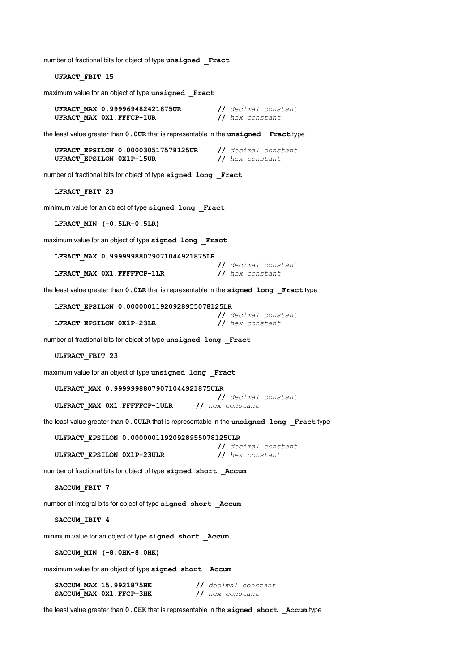number of fractional bits for object of type **unsigned \_Fract**

**UFRACT\_FBIT 15**

maximum value for an object of type **unsigned \_Fract**

**UFRACT\_MAX 0.999969482421875UR //** *decimal constant* UFRACT\_MAX 0X1.FFFCP-1UR

the least value greater than **0.0UR** that is representable in the **unsigned \_Fract** type

|                          | UFRACT EPSILON 0.000030517578125UR |                 | // decimal constant |
|--------------------------|------------------------------------|-----------------|---------------------|
| UFRACT EPSILON 0X1P-15UR |                                    | // hex constant |                     |

number of fractional bits for object of type **signed long \_Fract**

**LFRACT\_FBIT 23**

minimum value for an object of type **signed long \_Fract**

**LFRACT\_MIN (-0.5LR-0.5LR)**

maximum value for an object of type **signed long \_Fract**

**LFRACT\_MAX 0.99999988079071044921875LR**

**LFRACT\_MAX 0X1.FFFFFCP-1LR //** *hex constant*

**//** *decimal constant*

the least value greater than **0.0LR** that is representable in the **signed long \_Fract** type

**LFRACT\_EPSILON 0.00000011920928955078125LR**

|                          |  |  |                 | // decimal constant |
|--------------------------|--|--|-----------------|---------------------|
| LFRACT EPSILON 0X1P-23LR |  |  | // hex constant |                     |

number of fractional bits for object of type **unsigned long \_Fract**

**ULFRACT\_FBIT 23**

maximum value for an object of type **unsigned long \_Fract**

**ULFRACT\_MAX 0.99999988079071044921875ULR**

**//** *decimal constant* **ULFRACT\_MAX 0X1.FFFFFCP-1ULR //** *hex constant*

the least value greater than **0.0ULR** that is representable in the **unsigned long \_Fract** type

**ULFRACT\_EPSILON 0.00000011920928955078125ULR**

**ULFRACT\_EPSILON 0X1P-23ULR //** *hex constant*

**//** *decimal constant*

number of fractional bits for object of type **signed short \_Accum**

**SACCUM\_FBIT 7**

number of integral bits for object of type **signed short \_Accum**

**SACCUM\_IBIT 4**

minimum value for an object of type **signed short \_Accum**

**SACCUM\_MIN (-8.0HK-8.0HK)**

maximum value for an object of type **signed short \_Accum**

| SACCUM MAX 15.9921875HK  | // decimal constant |
|--------------------------|---------------------|
| SACCUM MAX 0X1. FFCP+3HK | // hex constant     |

the least value greater than **0.0HK** that is representable in the **signed short \_Accum** type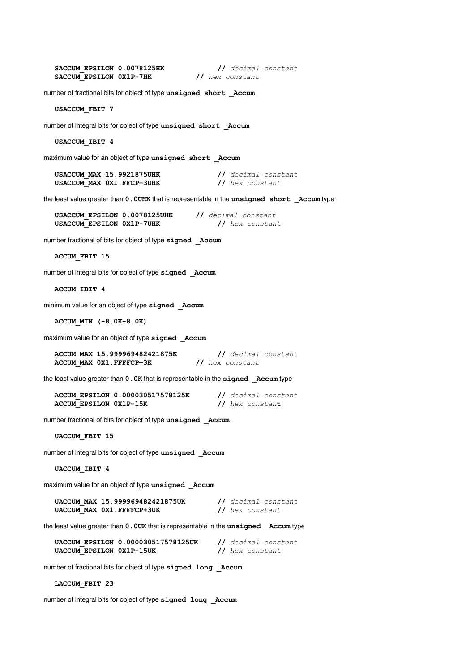| SACCUM EPSILON 0.0078125HK | // decimal constant |
|----------------------------|---------------------|
| SACCUM EPSILON 0X1P-7HK    | // hex constant     |

number of fractional bits for object of type **unsigned short \_Accum**

**USACCUM\_FBIT 7**

number of integral bits for object of type **unsigned short \_Accum**

**USACCUM\_IBIT 4**

maximum value for an object of type **unsigned short \_Accum**

| USACCUM MAX 15.9921875UHK | // decimal constant |
|---------------------------|---------------------|
| USACCUM MAX 0X1.FFCP+3UHK | // hex constant     |

the least value greater than **0.0UHK** that is representable in the **unsigned short \_Accum** type

| USACCUM EPSILON 0.0078125UHK |  | // decimal constant |
|------------------------------|--|---------------------|
| USACCUM EPSILON 0X1P-7UHK    |  | // hex constant     |

number fractional of bits for object of type **signed \_Accum**

**ACCUM\_FBIT 15**

number of integral bits for object of type **signed \_Accum**

**ACCUM\_IBIT 4**

minimum value for an object of type **signed \_Accum**

**ACCUM\_MIN (-8.0K-8.0K)**

maximum value for an object of type **signed \_Accum**

**ACCUM\_MAX 15.999969482421875K //** *decimal constant* **ACCUM\_MAX 0X1.FFFFCP+3K //** *hex constant*

the least value greater than **0.0K** that is representable in the **signed \_Accum** type

**ACCUM\_EPSILON 0.000030517578125K //** *decimal constant* **ACCUM\_EPSILON 0X1P-15K //** *hex constan***t**

number fractional of bits for object of type **unsigned \_Accum**

**UACCUM\_FBIT 15**

number of integral bits for object of type **unsigned \_Accum**

**UACCUM\_IBIT 4**

maximum value for an object of type **unsigned \_Accum**

| UACCUM MAX 15.999969482421875UK | // decimal constant |
|---------------------------------|---------------------|
| UACCUM MAX 0X1. FFFFCP+3UK      | // hex constant     |

the least value greater than **0.0UK** that is representable in the **unsigned \_Accum** type

**UACCUM\_EPSILON 0.000030517578125UK //** *decimal constant* **UACCUM\_EPSILON 0X1P-15UK //** *hex constant*

number of fractional bits for object of type **signed long \_Accum**

**LACCUM\_FBIT 23**

number of integral bits for object of type **signed long \_Accum**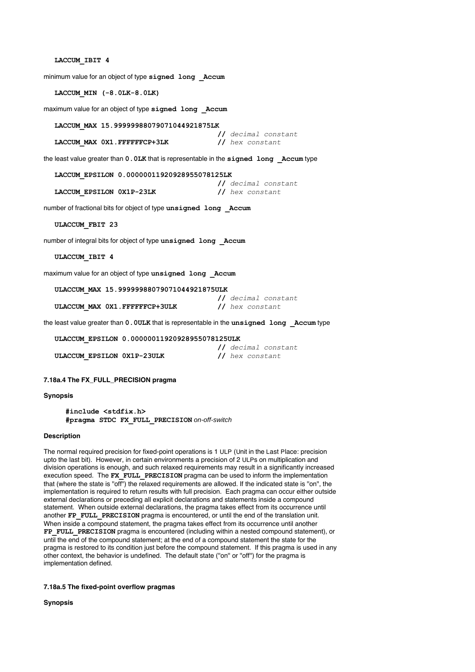## **LACCUM\_IBIT 4**

minimum value for an object of type **signed long \_Accum**

**LACCUM\_MIN (-8.0LK-8.0LK)**

maximum value for an object of type **signed long \_Accum**

**LACCUM\_MAX 15.99999988079071044921875LK**

**LACCUM\_MAX 0X1.FFFFFFCP+3LK //** *hex constant*

**//** *decimal constant*

the least value greater than  $0.0$ LK that is representable in the signed long Accum type

**LACCUM\_EPSILON 0.00000011920928955078125LK**

LACCUM EPSILON  $0x1P-23LK$ 

**//** *decimal constant*

number of fractional bits for object of type **unsigned long \_Accum**

**ULACCUM\_FBIT 23**

number of integral bits for object of type **unsigned long \_Accum**

**ULACCUM\_IBIT 4**

maximum value for an object of type **unsigned long \_Accum**

**ULACCUM\_MAX 15.99999988079071044921875ULK**

**ULACCUM\_MAX 0X1.FFFFFFCP+3ULK //** *hex constant*

**//** *decimal constant*

the least value greater than **0.0ULK** that is representable in the **unsigned long \_Accum** type

**ULACCUM\_EPSILON 0.00000011920928955078125ULK**

**ULACCUM\_EPSILON 0X1P-23ULK //** *hex constant*

**//** *decimal constant*

#### **7.18a.4 The FX\_FULL\_PRECISION pragma**

#### **Synopsis**

**#include <stdfix.h> #pragma STDC FX\_FULL\_PRECISION** on-off-switch

## **Description**

The normal required precision for fixed-point operations is 1 ULP (Unit in the Last Place: precision upto the last bit). However, in certain environments a precision of 2 ULPs on multiplication and division operations is enough, and such relaxed requirements may result in a significantly increased execution speed. The **FX\_FULL\_PRECISION** pragma can be used to inform the implementation that (where the state is ''off'') the relaxed requirements are allowed. If the indicated state is ''on'', the implementation is required to return results with full precision. Each pragma can occur either outside external declarations or preceding all explicit declarations and statements inside a compound statement. When outside external declarations, the pragma takes effect from its occurrence until another **FP\_FULL\_PRECISION** pragma is encountered, or until the end of the translation unit. When inside a compound statement, the pragma takes effect from its occurrence until another **FP\_FULL\_PRECISION** pragma is encountered (including within a nested compound statement), or until the end of the compound statement; at the end of a compound statement the state for the pragma is restored to its condition just before the compound statement. If this pragma is used in any other context, the behavior is undefined. The default state (''on'' or ''off'') for the pragma is implementation defined.

## **7.18a.5 The fixed-point overflow pragmas**

**Synopsis**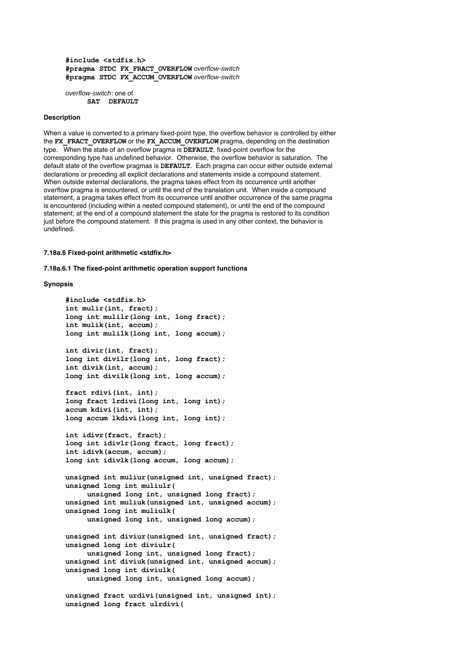**#include <stdfix.h> #pragma STDC FX\_FRACT\_OVERFLOW** overflow-switch **#pragma STDC FX\_ACCUM\_OVERFLOW** overflow-switch

overflow-switch: one of **SAT DEFAULT**

## **Description**

When a value is converted to a primary fixed-point type, the overflow behavior is controlled by either the **FX\_FRACT\_OVERFLOW** or the **FX\_ACCUM\_OVERFLOW** pragma, depending on the destination type. When the state of an overflow pragma is **DEFAULT**, fixed-point overflow for the corresponding type has undefined behavior. Otherwise, the overflow behavior is saturation. The default state of the overflow pragmas is **DEFAULT**. Each pragma can occur either outside external declarations or preceding all explicit declarations and statements inside a compound statement. When outside external declarations, the pragma takes effect from its occurrence until another overflow pragma is encountered, or until the end of the translation unit. When inside a compound statement, a pragma takes effect from its occurrence until another occurrence of the same pragma is encountered (including within a nested compound statement), or until the end of the compound statement; at the end of a compound statement the state for the pragma is restored to its condition just before the compound statement. If this pragma is used in any other context, the behavior is undefined.

**7.18a.6 Fixed-point arithmetic <stdfix.h>**

**7.18a.6.1 The fixed-point arithmetic operation support functions**

## **Synopsis**

```
#include <stdfix.h>
int mulir(int, fract);
long int mulilr(long int, long fract);
int mulik(int, accum);
long int mulilk(long int, long accum);
int divir(int, fract);
long int divilr(long int, long fract);
int divik(int, accum);
long int divilk(long int, long accum);
fract rdivi(int, int);
long fract lrdivi(long int, long int);
accum kdivi(int, int);
long accum lkdivi(long int, long int);
int idivr(fract, fract);
long int idivlr(long fract, long fract);
int idivk(accum, accum);
long int idivlk(long accum, long accum);
unsigned int muliur(unsigned int, unsigned fract);
unsigned long int muliulr(
     unsigned long int, unsigned long fract);
unsigned int muliuk(unsigned int, unsigned accum);
unsigned long int muliulk(
     unsigned long int, unsigned long accum);
unsigned int diviur(unsigned int, unsigned fract);
unsigned long int diviulr(
     unsigned long int, unsigned long fract);
unsigned int diviuk(unsigned int, unsigned accum);
unsigned long int diviulk(
     unsigned long int, unsigned long accum);
```
**unsigned fract urdivi(unsigned int, unsigned int); unsigned long fract ulrdivi(**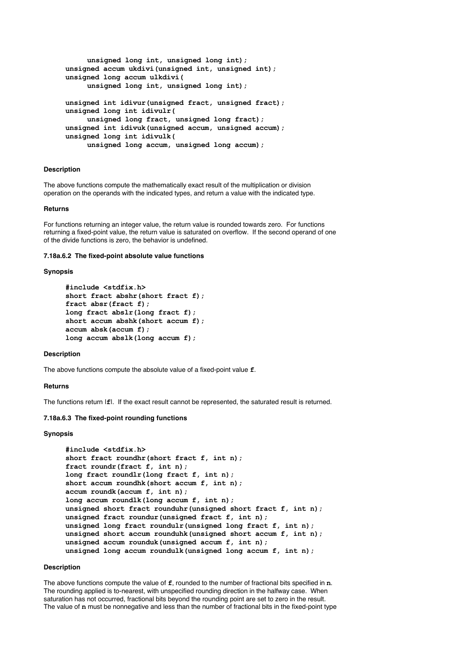```
unsigned long int, unsigned long int);
unsigned accum ukdivi(unsigned int, unsigned int);
unsigned long accum ulkdivi(
     unsigned long int, unsigned long int);
unsigned int idivur(unsigned fract, unsigned fract);
unsigned long int idivulr(
     unsigned long fract, unsigned long fract);
unsigned int idivuk(unsigned accum, unsigned accum);
unsigned long int idivulk(
     unsigned long accum, unsigned long accum);
```
## **Description**

The above functions compute the mathematically exact result of the multiplication or division operation on the operands with the indicated types, and return a value with the indicated type.

#### **Returns**

For functions returning an integer value, the return value is rounded towards zero. For functions returning a fixed-point value, the return value is saturated on overflow. If the second operand of one of the divide functions is zero, the behavior is undefined.

#### **7.18a.6.2 The fixed-point absolute value functions**

#### **Synopsis**

```
#include <stdfix.h>
short fract abshr(short fract f);
fract absr(fract f);
long fract abslr(long fract f);
short accum abshk(short accum f);
accum absk(accum f);
long accum abslk(long accum f);
```
## **Description**

The above functions compute the absolute value of a fixed-point value **f**.

#### **Returns**

The functions return |**f**|. If the exact result cannot be represented, the saturated result is returned.

#### **7.18a.6.3 The fixed-point rounding functions**

#### **Synopsis**

```
#include <stdfix.h>
short fract roundhr(short fract f, int n);
fract roundr(fract f, int n);
long fract roundlr(long fract f, int n);
short accum roundhk(short accum f, int n);
accum roundk(accum f, int n);
long accum roundlk(long accum f, int n);
unsigned short fract rounduhr(unsigned short fract f, int n);
unsigned fract roundur(unsigned fract f, int n);
unsigned long fract roundulr(unsigned long fract f, int n);
unsigned short accum rounduhk(unsigned short accum f, int n);
unsigned accum rounduk(unsigned accum f, int n);
unsigned long accum roundulk(unsigned long accum f, int n);
```
#### **Description**

The above functions compute the value of **f**, rounded to the number of fractional bits specified in **n**. The rounding applied is to-nearest, with unspecified rounding direction in the halfway case. When saturation has not occurred, fractional bits beyond the rounding point are set to zero in the result. The value of **n** must be nonnegative and less than the number of fractional bits in the fixed-point type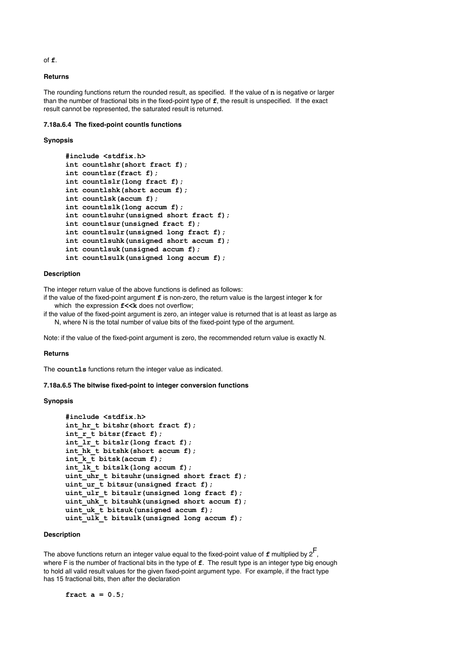of **f**.

## **Returns**

The rounding functions return the rounded result, as specified. If the value of **n** is negative or larger than the number of fractional bits in the fixed-point type of **f**, the result is unspecified. If the exact result cannot be represented, the saturated result is returned.

**7.18a.6.4 The fixed-point countls functions**

#### **Synopsis**

```
#include <stdfix.h>
int countlshr(short fract f);
int countlsr(fract f);
int countlslr(long fract f);
int countlshk(short accum f);
int countlsk(accum f);
int countlslk(long accum f);
int countlsuhr(unsigned short fract f);
int countlsur(unsigned fract f);
int countlsulr(unsigned long fract f);
int countlsuhk(unsigned short accum f);
int countlsuk(unsigned accum f);
int countlsulk(unsigned long accum f);
```
## **Description**

The integer return value of the above functions is defined as follows:

if the value of the fixed-point argument **f** is non-zero, the return value is the largest integer **k** for which the expression  $f<< k$  does not overflow;

if the value of the fixed-point argument is zero, an integer value is returned that is at least as large as N, where N is the total number of value bits of the fixed-point type of the argument.

Note: if the value of the fixed-point argument is zero, the recommended return value is exactly N.

#### **Returns**

The **countls** functions return the integer value as indicated.

## **7.18a.6.5 The bitwise fixed-point to integer conversion functions**

#### **Synopsis**

```
#include <stdfix.h>
int_hr_t bitshr(short fract f);
int_r_t bitsr(fract f);
int_lr_t bitslr(long fract f);
int_hk_t bitshk(short accum f);
int_k k bitsk(accum f);
int_lk_t bitslk(long accum f);
uint_uhr_t bitsuhr(unsigned short fract f);
uint ur t bitsur(unsigned fract f);
uint_ulr_t bitsulr(unsigned long fract f);
uint_uhk_t bitsuhk(unsigned short accum f);
uint_uk_t bitsuk(unsigned accum f);
uint_ulk_t bitsulk(unsigned long accum f);
```
#### **Description**

The above functions return an integer value equal to the fixed-point value of **<sup>f</sup>** multiplied by 2F, where F is the number of fractional bits in the type of **f**. The result type is an integer type big enough to hold all valid result values for the given fixed-point argument type. For example, if the fract type has 15 fractional bits, then after the declaration

**fract a = 0.5;**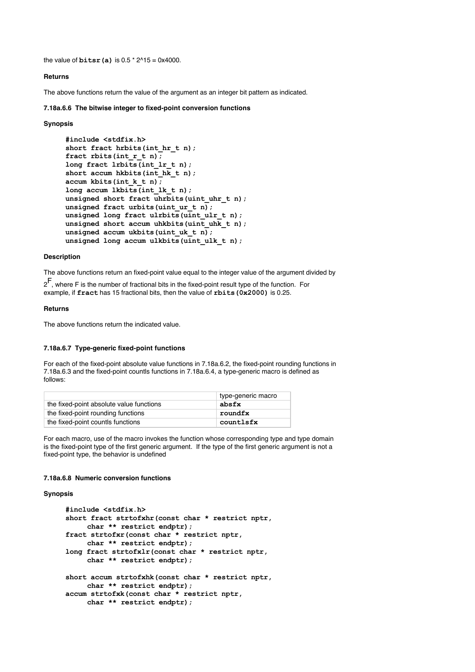the value of  $\text{bitsr}(a)$  is  $0.5 * 2^{\text{A}}15 = 0x4000$ .

## **Returns**

The above functions return the value of the argument as an integer bit pattern as indicated.

## **7.18a.6.6 The bitwise integer to fixed-point conversion functions**

## **Synopsis**

```
#include <stdfix.h>
short fract hrbits(int hr t n);
fract rbits(int r t n);
long fract lrbits(int_lr_t n);
short accum hkbits(int hk t n);
accum kbits(int_k_t n);
long accum lkbits(int_lk_t n);
unsigned short fract uhrbits(uint_uhr_t n);
unsigned fract urbits(uint_ur_t n);
unsigned long fract ulrbits(uint ulr t n);
unsigned short accum uhkbits(uint uhk t n);
unsigned accum ukbits(uint uk t n);
unsigned long accum ulkbits(uint ulk t n);
```
## **Description**

The above functions return an fixed-point value equal to the integer value of the argument divided by

 $2^{\mathsf{F}}$ , where F is the number of fractional bits in the fixed-point result type of the function. For example, if **fract** has 15 fractional bits, then the value of **rbits(0x2000)** is 0.25.

## **Returns**

The above functions return the indicated value.

## **7.18a.6.7 Type-generic fixed-point functions**

For each of the fixed-point absolute value functions in 7.18a.6.2, the fixed-point rounding functions in 7.18a.6.3 and the fixed-point countls functions in 7.18a.6.4, a type-generic macro is defined as follows:

|                                          | type-generic macro |
|------------------------------------------|--------------------|
| the fixed-point absolute value functions | absfx              |
| the fixed-point rounding functions       | roundfx            |
| the fixed-point countls functions        | countlsfx          |

For each macro, use of the macro invokes the function whose corresponding type and type domain is the fixed-point type of the first generic argument. If the type of the first generic argument is not a fixed-point type, the behavior is undefined

## **7.18a.6.8 Numeric conversion functions**

## **Synopsis**

```
#include <stdfix.h>
short fract strtofxhr(const char * restrict nptr,
     char ** restrict endptr);
fract strtofxr(const char * restrict nptr,
    char ** restrict endptr);
long fract strtofxlr(const char * restrict nptr,
     char ** restrict endptr);
short accum strtofxhk(const char * restrict nptr,
     char ** restrict endptr);
accum strtofxk(const char * restrict nptr,
     char ** restrict endptr);
```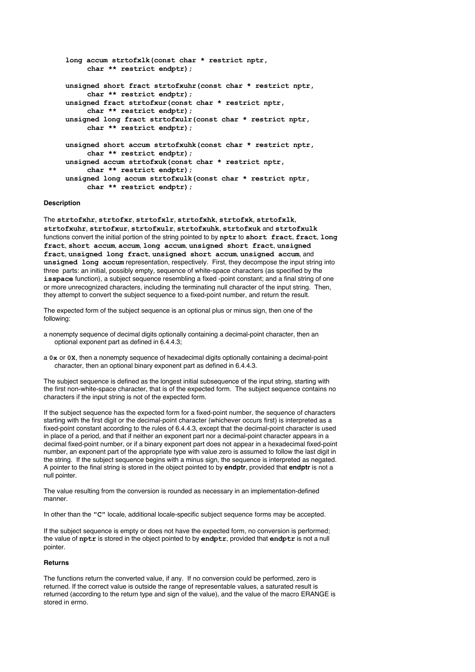```
long accum strtofxlk(const char * restrict nptr,
     char ** restrict endptr);
unsigned short fract strtofxuhr(const char * restrict nptr,
     char ** restrict endptr);
unsigned fract strtofxur(const char * restrict nptr,
     char ** restrict endptr);
unsigned long fract strtofxulr(const char * restrict nptr,
     char ** restrict endptr);
unsigned short accum strtofxuhk(const char * restrict nptr,
     char ** restrict endptr);
unsigned accum strtofxuk(const char * restrict nptr,
     char ** restrict endptr);
unsigned long accum strtofxulk(const char * restrict nptr,
     char ** restrict endptr);
```
#### **Description**

The **strtofxhr**, **strtofxr**, **strtofxlr**, **strtofxhk**, **strtofxk**, **strtofxlk**, **strtofxuhr**, **strtofxur**, **strtofxulr**, **strtofxuhk**, **strtofxuk** and **strtofxulk** functions convert the initial portion of the string pointed to by **nptr** to **short fract**, **fract**, **long fract**, **short accum**, **accum**, **long accum**, **unsigned short fract**, **unsigned fract**, **unsigned long fract**, **unsigned short accum**, **unsigned accum**, and **unsigned long accum** representation, respectively. First, they decompose the input string into three parts: an initial, possibly empty, sequence of white-space characters (as specified by the **isspace** function), a subject sequence resembling a fixed -point constant; and a final string of one or more unrecognized characters, including the terminating null character of the input string. Then, they attempt to convert the subject sequence to a fixed-point number, and return the result.

The expected form of the subject sequence is an optional plus or minus sign, then one of the following:

- a nonempty sequence of decimal digits optionally containing a decimal-point character, then an optional exponent part as defined in 6.4.4.3;
- a **0x** or **0X**, then a nonempty sequence of hexadecimal digits optionally containing a decimal-point character, then an optional binary exponent part as defined in 6.4.4.3.

The subject sequence is defined as the longest initial subsequence of the input string, starting with the first non-white-space character, that is of the expected form. The subject sequence contains no characters if the input string is not of the expected form.

If the subject sequence has the expected form for a fixed-point number, the sequence of characters starting with the first digit or the decimal-point character (whichever occurs first) is interpreted as a fixed-point constant according to the rules of 6.4.4.3, except that the decimal-point character is used in place of a period, and that if neither an exponent part nor a decimal-point character appears in a decimal fixed-point number, or if a binary exponent part does not appear in a hexadecimal fixed-point number, an exponent part of the appropriate type with value zero is assumed to follow the last digit in the string. If the subject sequence begins with a minus sign, the sequence is interpreted as negated. A pointer to the final string is stored in the object pointed to by **endptr**, provided that **endptr** is not a null pointer.

The value resulting from the conversion is rounded as necessary in an implementation-defined manner.

In other than the **"C"** locale, additional locale-specific subject sequence forms may be accepted.

If the subject sequence is empty or does not have the expected form, no conversion is performed; the value of **nptr** is stored in the object pointed to by **endptr**, provided that **endptr** is not a null pointer.

#### **Returns**

The functions return the converted value, if any. If no conversion could be performed, zero is returned. If the correct value is outside the range of representable values, a saturated result is returned (according to the return type and sign of the value), and the value of the macro ERANGE is stored in errno.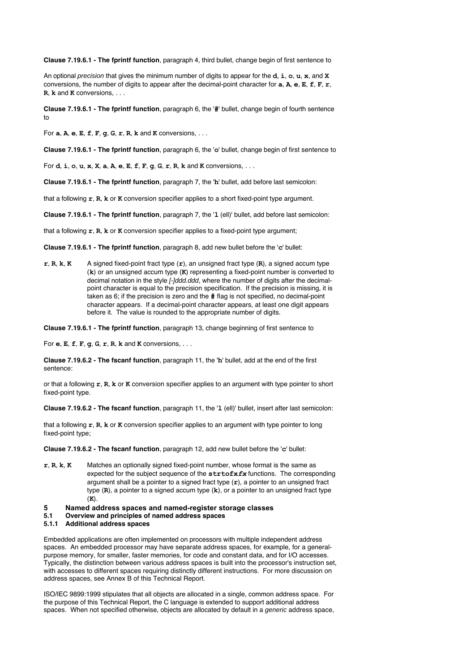**Clause 7.19.6.1 - The fprintf function**, paragraph 4, third bullet, change begin of first sentence to

An optional precision that gives the minimum number of digits to appear for the **d**, **i**, **o**, **u**, **x**, and **X** conversions, the number of digits to appear after the decimal-point character for **a**, **A**, **e**, **E**, **f**, **F**, **r**, **R**, **k** and **K** conversions, . . .

**Clause 7.19.6.1 - The fprintf function**, paragraph 6, the '**#**' bullet, change begin of fourth sentence to

For **a**, **A**, **e**, **E**, **f**, **F**, **g**, **G**, **r**, **R**, **k** and **K** conversions, . . .

**Clause 7.19.6.1 - The fprintf function**, paragraph 6, the '**o**' bullet, change begin of first sentence to

For **d**, **i**, **o**, **u**, **x**, **X**, **a**, **A**, **e**, **E**, **f**, **F**, **g**, **G**, **r**, **R**, **k** and **K** conversions, . . .

**Clause 7.19.6.1 - The fprintf function**, paragraph 7, the '**h**' bullet, add before last semicolon:

that a following **r**, **R**, **k** or **K** conversion specifier applies to a short fixed-point type argument.

**Clause 7.19.6.1 - The fprintf function**, paragraph 7, the '**l** (ell)' bullet, add before last semicolon:

that a following **r**, **R**, **k** or **K** conversion specifier applies to a fixed-point type argument;

**Clause 7.19.6.1 - The fprintf function**, paragraph 8, add new bullet before the '**c**' bullet:

**r**, **R**, **k**, **K** A signed fixed-point fract type (**r**), an unsigned fract type (**R**), a signed accum type (**k**) or an unsigned accum type (**K**) representing a fixed-point number is converted to decimal notation in the style [-]ddd.ddd, where the number of digits after the decimalpoint character is equal to the precision specification. If the precision is missing, it is taken as 6; if the precision is zero and the **#** flag is not specified, no decimal-point character appears. If a decimal-point character appears, at least one digit appears before it. The value is rounded to the appropriate number of digits.

**Clause 7.19.6.1 - The fprintf function**, paragraph 13, change beginning of first sentence to

For **e**, **E**, **f**, **F**, **g**, **G**, **r**, **R**, **k** and **K** conversions, . . .

**Clause 7.19.6.2 - The fscanf function**, paragraph 11, the '**h**' bullet, add at the end of the first sentence:

or that a following **r**, **R**, **k** or **K** conversion specifier applies to an argument with type pointer to short fixed-point type.

**Clause 7.19.6.2 - The fscanf function**, paragraph 11, the '**l** (ell)' bullet, insert after last semicolon:

that a following **r**, **R**, **k** or **K** conversion specifier applies to an argument with type pointer to long fixed-point type;

**Clause 7.19.6.2 - The fscanf function**, paragraph 12, add new bullet before the '**c**' bullet:

- **r**, **R**, **k**, **K** Matches an optionally signed fixed-point number, whose format is the same as expected for the subject sequence of the **strtofx***fx* functions. The corresponding argument shall be a pointer to a signed fract type (**r**), a pointer to an unsigned fract type (**R**), a pointer to a signed accum type (**k**), or a pointer to an unsigned fract type (**K**).
- **5 Named address spaces and named-register storage classes**
- **5.1 Overview and principles of named address spaces**
- **5.1.1 Additional address spaces**

Embedded applications are often implemented on processors with multiple independent address spaces. An embedded processor may have separate address spaces, for example, for a generalpurpose memory, for smaller, faster memories, for code and constant data, and for I/O accesses. Typically, the distinction between various address spaces is built into the processor's instruction set, with accesses to different spaces requiring distinctly different instructions. For more discussion on address spaces, see Annex B of this Technical Report.

ISO/IEC 9899:1999 stipulates that all objects are allocated in a single, common address space. For the purpose of this Technical Report, the C language is extended to support additional address spaces. When not specified otherwise, objects are allocated by default in a *generic* address space,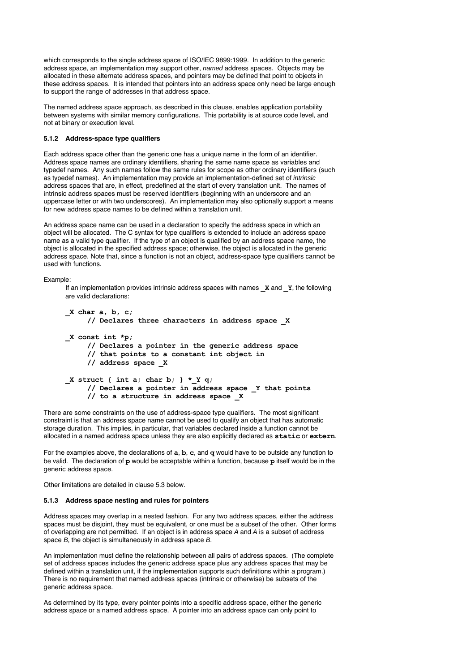which corresponds to the single address space of ISO/IEC 9899:1999. In addition to the generic address space, an implementation may support other, named address spaces. Objects may be allocated in these alternate address spaces, and pointers may be defined that point to objects in these address spaces. It is intended that pointers into an address space only need be large enough to support the range of addresses in that address space.

The named address space approach, as described in this clause, enables application portability between systems with similar memory configurations. This portability is at source code level, and not at binary or execution level.

## **5.1.2 Address-space type qualifiers**

Each address space other than the generic one has a unique name in the form of an identifier. Address space names are ordinary identifiers, sharing the same name space as variables and typedef names. Any such names follow the same rules for scope as other ordinary identifiers (such as typedef names). An implementation may provide an implementation-defined set of intrinsic address spaces that are, in effect, predefined at the start of every translation unit. The names of intrinsic address spaces must be reserved identifiers (beginning with an underscore and an uppercase letter or with two underscores). An implementation may also optionally support a means for new address space names to be defined within a translation unit.

An address space name can be used in a declaration to specify the address space in which an object will be allocated. The C syntax for type qualifiers is extended to include an address space name as a valid type qualifier. If the type of an object is qualified by an address space name, the object is allocated in the specified address space; otherwise, the object is allocated in the generic address space. Note that, since a function is not an object, address-space type qualifiers cannot be used with functions.

#### Example:

If an implementation provides intrinsic address spaces with names **\_X** and **\_Y**, the following are valid declarations:

```
_X char a, b, c;
     // Declares three characters in address space _X
_X const int *p;
     // Declares a pointer in the generic address space
     // that points to a constant int object in
     // address space _X
X struct { int a; char b; } * Y q;
     // Declares a pointer in address space _Y that points
     // to a structure in address space _X
```
There are some constraints on the use of address-space type qualifiers. The most significant constraint is that an address space name cannot be used to qualify an object that has automatic storage duration. This implies, in particular, that variables declared inside a function cannot be allocated in a named address space unless they are also explicitly declared as **static** or **extern**.

For the examples above, the declarations of **a**, **b**, **c**, and **q** would have to be outside any function to be valid. The declaration of **p** would be acceptable within a function, because **p** itself would be in the generic address space.

Other limitations are detailed in clause 5.3 below.

## **5.1.3 Address space nesting and rules for pointers**

Address spaces may overlap in a nested fashion. For any two address spaces, either the address spaces must be disjoint, they must be equivalent, or one must be a subset of the other. Other forms of overlapping are not permitted. If an object is in address space A and A is a subset of address space B, the object is simultaneously in address space B.

An implementation must define the relationship between all pairs of address spaces. (The complete set of address spaces includes the generic address space plus any address spaces that may be defined within a translation unit, if the implementation supports such definitions within a program.) There is no requirement that named address spaces (intrinsic or otherwise) be subsets of the generic address space.

As determined by its type, every pointer points into a specific address space, either the generic address space or a named address space. A pointer into an address space can only point to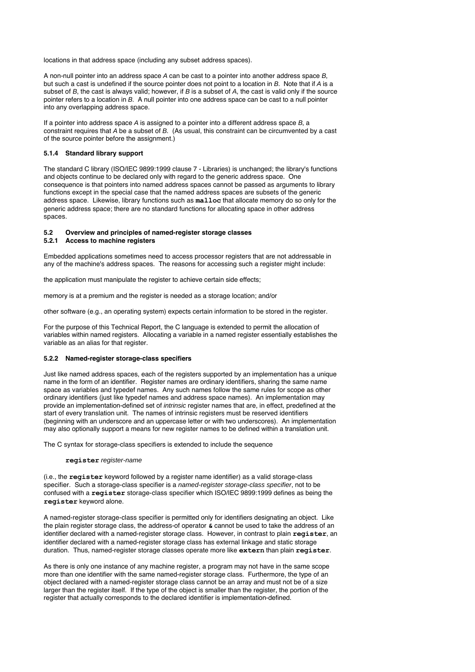locations in that address space (including any subset address spaces).

A non-null pointer into an address space A can be cast to a pointer into another address space B, but such a cast is undefined if the source pointer does not point to a location in B. Note that if A is a subset of  $B$ , the cast is always valid; however, if  $B$  is a subset of  $A$ , the cast is valid only if the source pointer refers to a location in B. A null pointer into one address space can be cast to a null pointer into any overlapping address space.

If a pointer into address space  $A$  is assigned to a pointer into a different address space  $B$ , a constraint requires that A be a subset of B. (As usual, this constraint can be circumvented by a cast of the source pointer before the assignment.)

## **5.1.4 Standard library support**

The standard C library (ISO/IEC 9899:1999 clause 7 - Libraries) is unchanged; the library's functions and objects continue to be declared only with regard to the generic address space. One consequence is that pointers into named address spaces cannot be passed as arguments to library functions except in the special case that the named address spaces are subsets of the generic address space. Likewise, library functions such as **malloc** that allocate memory do so only for the generic address space; there are no standard functions for allocating space in other address spaces.

# **5.2 Overview and principles of named-register storage classes**

## **5.2.1 Access to machine registers**

Embedded applications sometimes need to access processor registers that are not addressable in any of the machine's address spaces. The reasons for accessing such a register might include:

the application must manipulate the register to achieve certain side effects;

memory is at a premium and the register is needed as a storage location; and/or

other software (e.g., an operating system) expects certain information to be stored in the register.

For the purpose of this Technical Report, the C language is extended to permit the allocation of variables within named registers. Allocating a variable in a named register essentially establishes the variable as an alias for that register.

## **5.2.2 Named-register storage-class specifiers**

Just like named address spaces, each of the registers supported by an implementation has a unique name in the form of an identifier. Register names are ordinary identifiers, sharing the same name space as variables and typedef names. Any such names follow the same rules for scope as other ordinary identifiers (just like typedef names and address space names). An implementation may provide an implementation-defined set of intrinsic register names that are, in effect, predefined at the start of every translation unit. The names of intrinsic registers must be reserved identifiers (beginning with an underscore and an uppercase letter or with two underscores). An implementation may also optionally support a means for new register names to be defined within a translation unit.

The C syntax for storage-class specifiers is extended to include the sequence

#### **register** register-name

(i.e., the **register** keyword followed by a register name identifier) as a valid storage-class specifier. Such a storage-class specifier is a named-register storage-class specifier, not to be confused with a **register** storage-class specifier which ISO/IEC 9899:1999 defines as being the **register** keyword alone.

A named-register storage-class specifier is permitted only for identifiers designating an object. Like the plain register storage class, the address-of operator **&** cannot be used to take the address of an identifier declared with a named-register storage class. However, in contrast to plain **register**, an identifier declared with a named-register storage class has external linkage and static storage duration. Thus, named-register storage classes operate more like **extern** than plain **register**.

As there is only one instance of any machine register, a program may not have in the same scope more than one identifier with the same named-register storage class. Furthermore, the type of an object declared with a named-register storage class cannot be an array and must not be of a size larger than the register itself. If the type of the object is smaller than the register, the portion of the register that actually corresponds to the declared identifier is implementation-defined.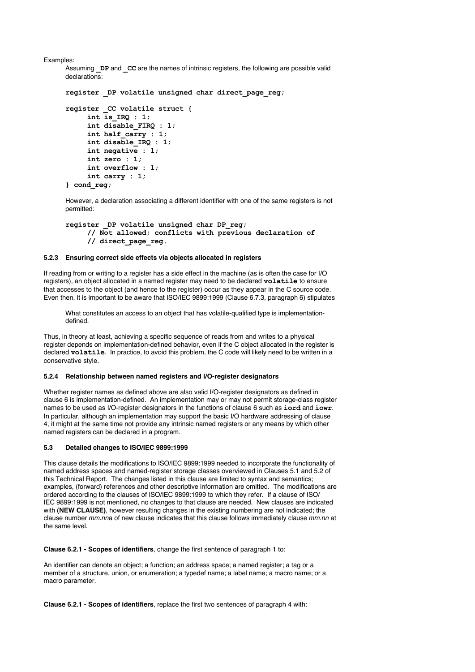Examples:

```
Assuming DP and CC are the names of intrinsic registers, the following are possible valid
declarations:
```

```
register _DP volatile unsigned char direct_page_reg;
register _CC volatile struct {
     int is_IRQ : 1;
     int disable_FIRQ : 1;
     int half_carry : 1;
     int disable_IRQ : 1;
     int negative : 1;
     int zero : 1;
     int overflow : 1;
     int carry : 1;
} cond_reg;
```
However, a declaration associating a different identifier with one of the same registers is not permitted:

```
register _DP volatile unsigned char DP_reg;
     // Not allowed; conflicts with previous declaration of
     // direct_page_reg.
```
## **5.2.3 Ensuring correct side effects via objects allocated in registers**

If reading from or writing to a register has a side effect in the machine (as is often the case for I/O registers), an object allocated in a named register may need to be declared **volatile** to ensure that accesses to the object (and hence to the register) occur as they appear in the C source code. Even then, it is important to be aware that ISO/IEC 9899:1999 (Clause 6.7.3, paragraph 6) stipulates

What constitutes an access to an object that has volatile-qualified type is implementationdefined.

Thus, in theory at least, achieving a specific sequence of reads from and writes to a physical register depends on implementation-defined behavior, even if the C object allocated in the register is declared **volatile**. In practice, to avoid this problem, the C code will likely need to be written in a conservative style.

## **5.2.4 Relationship between named registers and I/O-register designators**

Whether register names as defined above are also valid I/O-register designators as defined in clause 6 is implementation-defined. An implementation may or may not permit storage-class register names to be used as I/O-register designators in the functions of clause 6 such as **iord** and **iowr**. In particular, although an implementation may support the basic I/O hardware addressing of clause 4, it might at the same time not provide any intrinsic named registers or any means by which other named registers can be declared in a program.

#### **5.3 Detailed changes to ISO/IEC 9899:1999**

This clause details the modifications to ISO/IEC 9899:1999 needed to incorporate the functionality of named address spaces and named-register storage classes overviewed in Clauses 5.1 and 5.2 of this Technical Report. The changes listed in this clause are limited to syntax and semantics; examples, (forward) references and other descriptive information are omitted. The modifications are ordered according to the clauses of ISO/IEC 9899:1999 to which they refer. If a clause of ISO/ IEC 9899:1999 is not mentioned, no changes to that clause are needed. New clauses are indicated with **(NEW CLAUSE)**, however resulting changes in the existing numbering are not indicated; the clause number mm.nna of new clause indicates that this clause follows immediately clause mm.nn at the same level.

**Clause 6.2.1 - Scopes of identifiers**, change the first sentence of paragraph 1 to:

An identifier can denote an object; a function; an address space; a named register; a tag or a member of a structure, union, or enumeration; a typedef name; a label name; a macro name; or a macro parameter.

**Clause 6.2.1 - Scopes of identifiers**, replace the first two sentences of paragraph 4 with: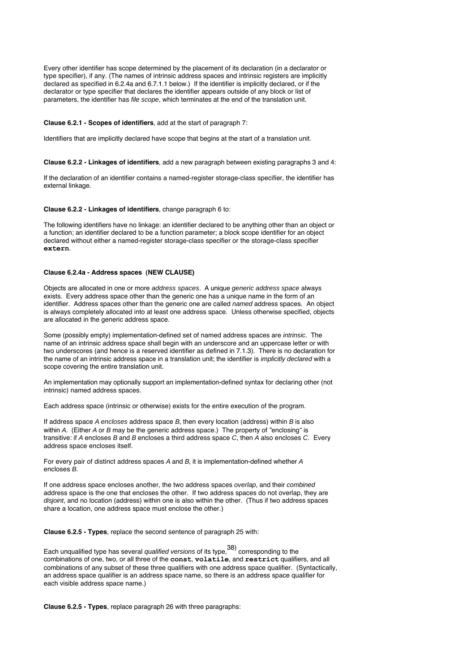Every other identifier has scope determined by the placement of its declaration (in a declarator or type specifier), if any. (The names of intrinsic address spaces and intrinsic registers are implicitly declared as specified in 6.2.4a and 6.7.1.1 below.) If the identifier is implicitly declared, or if the declarator or type specifier that declares the identifier appears outside of any block or list of parameters, the identifier has file scope, which terminates at the end of the translation unit.

### **Clause 6.2.1 - Scopes of identifiers**, add at the start of paragraph 7:

Identifiers that are implicitly declared have scope that begins at the start of a translation unit.

**Clause 6.2.2 - Linkages of identifiers**, add a new paragraph between existing paragraphs 3 and 4:

If the declaration of an identifier contains a named-register storage-class specifier, the identifier has external linkage.

#### **Clause 6.2.2 - Linkages of identifiers**, change paragraph 6 to:

The following identifiers have no linkage: an identifier declared to be anything other than an object or a function; an identifier declared to be a function parameter; a block scope identifier for an object declared without either a named-register storage-class specifier or the storage-class specifier **extern**.

#### **Clause 6.2.4a - Address spaces (NEW CLAUSE)**

Objects are allocated in one or more address spaces. A unique generic address space always exists. Every address space other than the generic one has a unique name in the form of an identifier. Address spaces other than the generic one are called named address spaces. An object is always completely allocated into at least one address space. Unless otherwise specified, objects are allocated in the generic address space.

Some (possibly empty) implementation-defined set of named address spaces are intrinsic. The name of an intrinsic address space shall begin with an underscore and an uppercase letter or with two underscores (and hence is a reserved identifier as defined in 7.1.3). There is no declaration for the name of an intrinsic address space in a translation unit; the identifier is *implicitly declared* with a scope covering the entire translation unit.

An implementation may optionally support an implementation-defined syntax for declaring other (not intrinsic) named address spaces.

Each address space (intrinsic or otherwise) exists for the entire execution of the program.

If address space  $A$  encloses address space  $B$ , then every location (address) within  $B$  is also within A. (Either A or B may be the generic address space.) The property of "enclosing" is transitive: if A encloses B and B encloses a third address space C, then A also encloses C. Every address space encloses itself.

For every pair of distinct address spaces A and B, it is implementation-defined whether A encloses B.

If one address space encloses another, the two address spaces overlap, and their combined address space is the one that encloses the other. If two address spaces do not overlap, they are disjoint, and no location (address) within one is also within the other. (Thus if two address spaces share a location, one address space must enclose the other.)

**Clause 6.2.5 - Types**, replace the second sentence of paragraph 25 with:

Each unqualified type has several qualified versions of its type,  $38)$  corresponding to the combinations of one, two, or all three of the **const**, **volatile**, and **restrict** qualifiers, and all combinations of any subset of these three qualifiers with one address space qualifier. (Syntactically, an address space qualifier is an address space name, so there is an address space qualifier for each visible address space name.)

**Clause 6.2.5 - Types**, replace paragraph 26 with three paragraphs: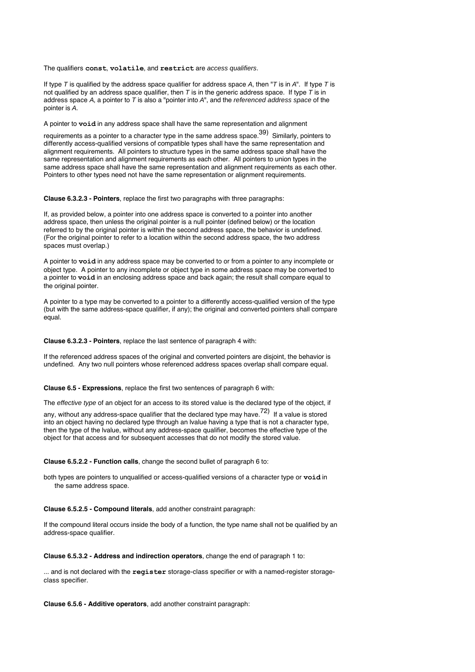The qualifiers **const**, **volatile**, and **restrict** are access qualifiers.

If type T is qualified by the address space qualifier for address space A, then "T is in  $A$ ". If type T is not qualified by an address space qualifier, then T is in the generic address space. If type T is in address space  $A$ , a pointer to  $T$  is also a "pointer into  $A$ ", and the *referenced address space* of the pointer is A.

A pointer to **void** in any address space shall have the same representation and alignment

requirements as a pointer to a character type in the same address space.<sup>39)</sup> Similarly, pointers to differently access-qualified versions of compatible types shall have the same representation and alignment requirements. All pointers to structure types in the same address space shall have the same representation and alignment requirements as each other. All pointers to union types in the same address space shall have the same representation and alignment requirements as each other. Pointers to other types need not have the same representation or alignment requirements.

**Clause 6.3.2.3 - Pointers**, replace the first two paragraphs with three paragraphs:

If, as provided below, a pointer into one address space is converted to a pointer into another address space, then unless the original pointer is a null pointer (defined below) or the location referred to by the original pointer is within the second address space, the behavior is undefined. (For the original pointer to refer to a location within the second address space, the two address spaces must overlap.)

A pointer to **void** in any address space may be converted to or from a pointer to any incomplete or object type. A pointer to any incomplete or object type in some address space may be converted to a pointer to **void** in an enclosing address space and back again; the result shall compare equal to the original pointer.

A pointer to a type may be converted to a pointer to a differently access-qualified version of the type (but with the same address-space qualifier, if any); the original and converted pointers shall compare equal.

**Clause 6.3.2.3 - Pointers**, replace the last sentence of paragraph 4 with:

If the referenced address spaces of the original and converted pointers are disjoint, the behavior is undefined. Any two null pointers whose referenced address spaces overlap shall compare equal.

**Clause 6.5 - Expressions**, replace the first two sentences of paragraph 6 with:

The effective type of an object for an access to its stored value is the declared type of the object, if

any, without any address-space qualifier that the declared type may have.<sup>72)</sup> If a value is stored into an object having no declared type through an lvalue having a type that is not a character type, then the type of the lvalue, without any address-space qualifier, becomes the effective type of the object for that access and for subsequent accesses that do not modify the stored value.

**Clause 6.5.2.2 - Function calls**, change the second bullet of paragraph 6 to:

both types are pointers to unqualified or access-qualified versions of a character type or **void** in the same address space.

**Clause 6.5.2.5 - Compound literals**, add another constraint paragraph:

If the compound literal occurs inside the body of a function, the type name shall not be qualified by an address-space qualifier.

**Clause 6.5.3.2 - Address and indirection operators**, change the end of paragraph 1 to:

... and is not declared with the **register** storage-class specifier or with a named-register storageclass specifier.

**Clause 6.5.6 - Additive operators**, add another constraint paragraph: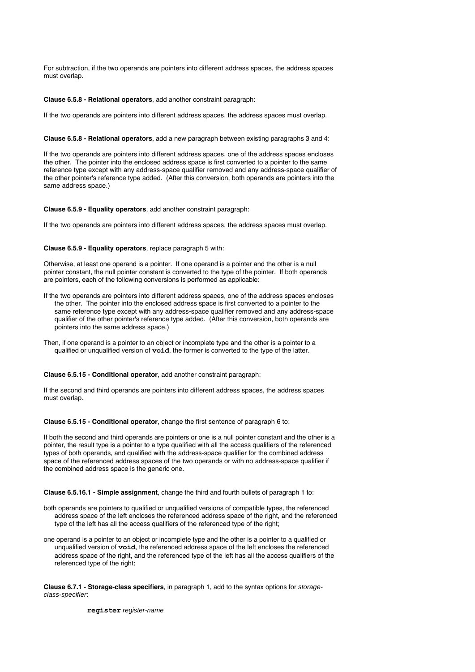For subtraction, if the two operands are pointers into different address spaces, the address spaces must overlap.

#### **Clause 6.5.8 - Relational operators**, add another constraint paragraph:

If the two operands are pointers into different address spaces, the address spaces must overlap.

#### **Clause 6.5.8 - Relational operators**, add a new paragraph between existing paragraphs 3 and 4:

If the two operands are pointers into different address spaces, one of the address spaces encloses the other. The pointer into the enclosed address space is first converted to a pointer to the same reference type except with any address-space qualifier removed and any address-space qualifier of the other pointer's reference type added. (After this conversion, both operands are pointers into the same address space.)

## **Clause 6.5.9 - Equality operators**, add another constraint paragraph:

If the two operands are pointers into different address spaces, the address spaces must overlap.

#### **Clause 6.5.9 - Equality operators**, replace paragraph 5 with:

Otherwise, at least one operand is a pointer. If one operand is a pointer and the other is a null pointer constant, the null pointer constant is converted to the type of the pointer. If both operands are pointers, each of the following conversions is performed as applicable:

- If the two operands are pointers into different address spaces, one of the address spaces encloses the other. The pointer into the enclosed address space is first converted to a pointer to the same reference type except with any address-space qualifier removed and any address-space qualifier of the other pointer's reference type added. (After this conversion, both operands are pointers into the same address space.)
- Then, if one operand is a pointer to an object or incomplete type and the other is a pointer to a qualified or unqualified version of **void**, the former is converted to the type of the latter.

## **Clause 6.5.15 - Conditional operator**, add another constraint paragraph:

If the second and third operands are pointers into different address spaces, the address spaces must overlap.

#### **Clause 6.5.15 - Conditional operator**, change the first sentence of paragraph 6 to:

If both the second and third operands are pointers or one is a null pointer constant and the other is a pointer, the result type is a pointer to a type qualified with all the access qualifiers of the referenced types of both operands, and qualified with the address-space qualifier for the combined address space of the referenced address spaces of the two operands or with no address-space qualifier if the combined address space is the generic one.

**Clause 6.5.16.1 - Simple assignment**, change the third and fourth bullets of paragraph 1 to:

- both operands are pointers to qualified or unqualified versions of compatible types, the referenced address space of the left encloses the referenced address space of the right, and the referenced type of the left has all the access qualifiers of the referenced type of the right;
- one operand is a pointer to an object or incomplete type and the other is a pointer to a qualified or unqualified version of **void**, the referenced address space of the left encloses the referenced address space of the right, and the referenced type of the left has all the access qualifiers of the referenced type of the right;

**Clause 6.7.1 - Storage-class specifiers**, in paragraph 1, add to the syntax options for storageclass-specifier:

**register** register-name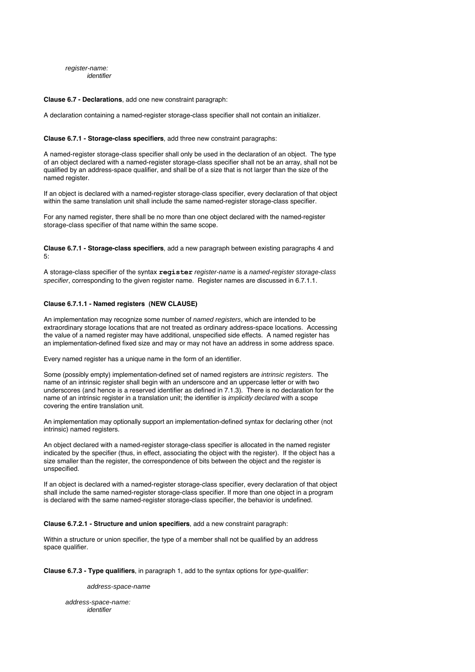register-name: identifier

#### **Clause 6.7 - Declarations**, add one new constraint paragraph:

A declaration containing a named-register storage-class specifier shall not contain an initializer.

#### **Clause 6.7.1 - Storage-class specifiers**, add three new constraint paragraphs:

A named-register storage-class specifier shall only be used in the declaration of an object. The type of an object declared with a named-register storage-class specifier shall not be an array, shall not be qualified by an address-space qualifier, and shall be of a size that is not larger than the size of the named register.

If an object is declared with a named-register storage-class specifier, every declaration of that object within the same translation unit shall include the same named-register storage-class specifier.

For any named register, there shall be no more than one object declared with the named-register storage-class specifier of that name within the same scope.

**Clause 6.7.1 - Storage-class specifiers**, add a new paragraph between existing paragraphs 4 and  $5$ 

A storage-class specifier of the syntax **register** register-name is a named-register storage-class specifier, corresponding to the given register name. Register names are discussed in 6.7.1.1.

## **Clause 6.7.1.1 - Named registers (NEW CLAUSE)**

An implementation may recognize some number of named registers, which are intended to be extraordinary storage locations that are not treated as ordinary address-space locations. Accessing the value of a named register may have additional, unspecified side effects. A named register has an implementation-defined fixed size and may or may not have an address in some address space.

Every named register has a unique name in the form of an identifier.

Some (possibly empty) implementation-defined set of named registers are intrinsic registers. The name of an intrinsic register shall begin with an underscore and an uppercase letter or with two underscores (and hence is a reserved identifier as defined in 7.1.3). There is no declaration for the name of an intrinsic register in a translation unit; the identifier is *implicitly declared* with a scope covering the entire translation unit.

An implementation may optionally support an implementation-defined syntax for declaring other (not intrinsic) named registers.

An object declared with a named-register storage-class specifier is allocated in the named register indicated by the specifier (thus, in effect, associating the object with the register). If the object has a size smaller than the register, the correspondence of bits between the object and the register is unspecified.

If an object is declared with a named-register storage-class specifier, every declaration of that object shall include the same named-register storage-class specifier. If more than one object in a program is declared with the same named-register storage-class specifier, the behavior is undefined.

**Clause 6.7.2.1 - Structure and union specifiers**, add a new constraint paragraph:

Within a structure or union specifier, the type of a member shall not be qualified by an address space qualifier.

**Clause 6.7.3 - Type qualifiers**, in paragraph 1, add to the syntax options for type-qualifier:

address-space-name

address-space-name: identifier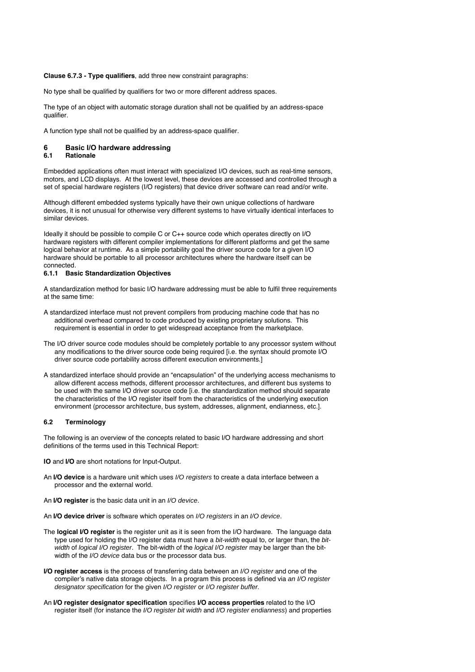## **Clause 6.7.3 - Type qualifiers**, add three new constraint paragraphs:

No type shall be qualified by qualifiers for two or more different address spaces.

The type of an object with automatic storage duration shall not be qualified by an address-space qualifier.

A function type shall not be qualified by an address-space qualifier.

## **6 Basic I/O hardware addressing**

## **6.1 Rationale**

Embedded applications often must interact with specialized I/O devices, such as real-time sensors, motors, and LCD displays. At the lowest level, these devices are accessed and controlled through a set of special hardware registers (I/O registers) that device driver software can read and/or write.

Although different embedded systems typically have their own unique collections of hardware devices, it is not unusual for otherwise very different systems to have virtually identical interfaces to similar devices.

Ideally it should be possible to compile C or C++ source code which operates directly on I/O hardware registers with different compiler implementations for different platforms and get the same logical behavior at runtime. As a simple portability goal the driver source code for a given I/O hardware should be portable to all processor architectures where the hardware itself can be connected.

#### **6.1.1 Basic Standardization Objectives**

A standardization method for basic I/O hardware addressing must be able to fulfil three requirements at the same time:

- A standardized interface must not prevent compilers from producing machine code that has no additional overhead compared to code produced by existing proprietary solutions. This requirement is essential in order to get widespread acceptance from the marketplace.
- The I/O driver source code modules should be completely portable to any processor system without any modifications to the driver source code being required [i.e. the syntax should promote I/O driver source code portability across different execution environments.]
- A standardized interface should provide an "encapsulation" of the underlying access mechanisms to allow different access methods, different processor architectures, and different bus systems to be used with the same I/O driver source code [i.e. the standardization method should separate the characteristics of the I/O register itself from the characteristics of the underlying execution environment (processor architecture, bus system, addresses, alignment, endianness, etc.].

#### **6.2 Terminology**

The following is an overview of the concepts related to basic I/O hardware addressing and short definitions of the terms used in this Technical Report:

**IO** and **I/O** are short notations for Input-Output.

- An **I/O device** is a hardware unit which uses I/O registers to create a data interface between a processor and the external world.
- An **I/O register** is the basic data unit in an I/O device.
- An **I/O device driver** is software which operates on I/O registers in an I/O device.
- The **logical I/O register** is the register unit as it is seen from the I/O hardware. The language data type used for holding the I/O register data must have a bit-width equal to, or larger than, the bitwidth of logical I/O register. The bit-width of the logical I/O register may be larger than the bitwidth of the *I/O device* data bus or the processor data bus.
- **I/O register access** is the process of transferring data between an I/O register and one of the compiler's native data storage objects. In a program this process is defined via an I/O register designator specification for the given I/O register or I/O register buffer.
- An **I/O register designator specification** specifies **I/O access properties** related to the I/O register itself (for instance the I/O register bit width and I/O register endianness) and properties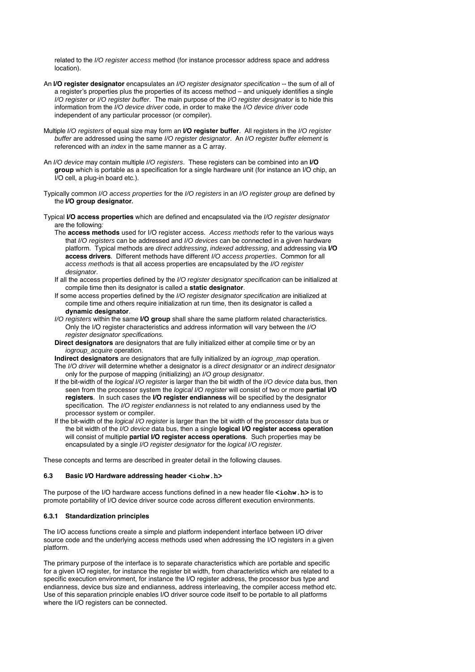related to the I/O register access method (for instance processor address space and address location).

- An **I/O register designator** encapsulates an I/O register designator specification -- the sum of all of a register's properties plus the properties of its access method – and uniquely identifies a single I/O register or I/O register buffer. The main purpose of the I/O register designator is to hide this information from the I/O device driver code, in order to make the I/O device driver code independent of any particular processor (or compiler).
- Multiple I/O registers of equal size may form an **I/O register buffer**. All registers in the I/O register buffer are addressed using the same I/O register designator. An I/O register buffer element is referenced with an index in the same manner as a C array.
- An I/O device may contain multiple I/O registers. These registers can be combined into an **I/O group** which is portable as a specification for a single hardware unit (for instance an I/O chip, an I/O cell, a plug-in board etc.).
- Typically common I/O access properties for the I/O registers in an I/O register group are defined by the **I/O group designator.**
- Typical **I/O access properties** which are defined and encapsulated via the I/O register designator are the following:
	- The **access methods** used for I/O register access. Access methods refer to the various ways that I/O registers can be addressed and I/O devices can be connected in a given hardware platform. Typical methods are direct addressing, indexed addressing, and addressing via **I/O access drivers**. Different methods have different I/O access properties. Common for all access methods is that all access properties are encapsulated by the I/O register designator.
	- If all the access properties defined by the I/O register designator specification can be initialized at compile time then its designator is called a **static designator**.
	- If some access properties defined by the I/O register designator specification are initialized at compile time and others require initialization at run time, then its designator is called a **dynamic designator**.
	- I/O registers within the same **I/O group** shall share the same platform related characteristics. Only the I/O register characteristics and address information will vary between the I/O register designator specifications.
	- **Direct designators** are designators that are fully initialized either at compile time or by an iogroup\_acquire operation.

**Indirect designators** are designators that are fully initialized by an iogroup\_map operation.

- The I/O driver will determine whether a designator is a direct designator or an indirect designator only for the purpose of mapping (initializing) an I/O group designator.
- If the bit-width of the logical I/O register is larger than the bit width of the I/O device data bus, then seen from the processor system the logical I/O register will consist of two or more **partial I/O registers**. In such cases the **I/O register endianness** will be specified by the designator specification. The I/O register endianness is not related to any endianness used by the processor system or compiler.
- If the bit-width of the logical I/O register is larger than the bit width of the processor data bus or the bit width of the I/O device data bus, then a single **logical I/O register access operation** will consist of multiple **partial I/O register access operations**. Such properties may be encapsulated by a single I/O register designator for the logical I/O register.

These concepts and terms are described in greater detail in the following clauses.

## **6.3 Basic I/O Hardware addressing header <iohw.h>**

The purpose of the I/O hardware access functions defined in a new header file <iohw.h> is to promote portability of I/O device driver source code across different execution environments.

#### **6.3.1 Standardization principles**

The I/O access functions create a simple and platform independent interface between I/O driver source code and the underlying access methods used when addressing the I/O registers in a given platform.

The primary purpose of the interface is to separate characteristics which are portable and specific for a given I/O register, for instance the register bit width, from characteristics which are related to a specific execution environment, for instance the I/O register address, the processor bus type and endianness, device bus size and endianness, address interleaving, the compiler access method etc. Use of this separation principle enables I/O driver source code itself to be portable to all platforms where the I/O registers can be connected.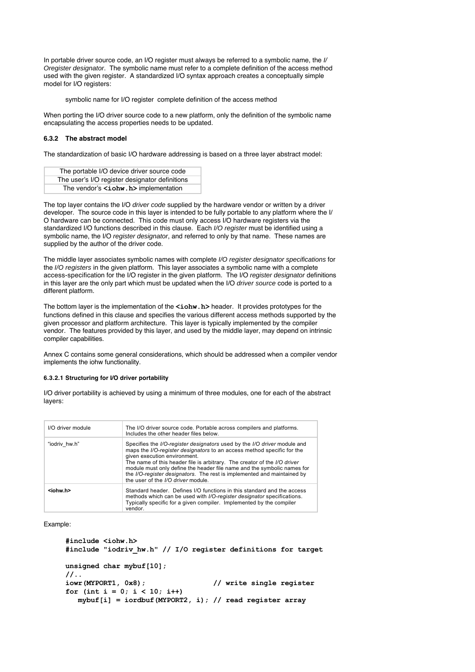In portable driver source code, an I/O register must always be referred to a symbolic name, the I/ Oregister designator. The symbolic name must refer to a complete definition of the access method used with the given register. A standardized I/O syntax approach creates a conceptually simple model for I/O registers:

symbolic name for I/O register complete definition of the access method

When porting the I/O driver source code to a new platform, only the definition of the symbolic name encapsulating the access properties needs to be updated.

## **6.3.2 The abstract model**

The standardization of basic I/O hardware addressing is based on a three layer abstract model:

| The portable I/O device driver source code     |  |
|------------------------------------------------|--|
| The user's I/O register designator definitions |  |
| The vendor's <iohw.h> implementation</iohw.h>  |  |

The top layer contains the I/O driver code supplied by the hardware vendor or written by a driver developer. The source code in this layer is intended to be fully portable to any platform where the I/ O hardware can be connected. This code must only access I/O hardware registers via the standardized I/O functions described in this clause. Each I/O register must be identified using a symbolic name, the I/O register designator, and referred to only by that name. These names are supplied by the author of the driver code.

The middle layer associates symbolic names with complete I/O register designator specifications for the I/O registers in the given platform. This layer associates a symbolic name with a complete access-specification for the I/O register in the given platform. The I/O register designator definitions in this layer are the only part which must be updated when the I/O driver source code is ported to a different platform.

The bottom layer is the implementation of the **<iohw.h>** header. It provides prototypes for the functions defined in this clause and specifies the various different access methods supported by the given processor and platform architecture. This layer is typically implemented by the compiler vendor. The features provided by this layer, and used by the middle layer, may depend on intrinsic compiler capabilities.

Annex C contains some general considerations, which should be addressed when a compiler vendor implements the iohw functionality.

#### **6.3.2.1 Structuring for I/O driver portability**

I/O driver portability is achieved by using a minimum of three modules, one for each of the abstract layers:

| I/O driver module | The I/O driver source code. Portable across compilers and platforms.<br>Includes the other header files below.                                                                                                                                                                                                                                                                                                                                             |
|-------------------|------------------------------------------------------------------------------------------------------------------------------------------------------------------------------------------------------------------------------------------------------------------------------------------------------------------------------------------------------------------------------------------------------------------------------------------------------------|
| "iodriv hw.h"     | Specifies the I/O-register designators used by the I/O driver module and<br>maps the I/O-register designators to an access method specific for the<br>given execution environment.<br>The name of this header file is arbitrary. The creator of the I/O driver<br>module must only define the header file name and the symbolic names for<br>the I/O-register designators. The rest is implemented and maintained by<br>the user of the I/O driver module. |
| <iohw.h></iohw.h> | Standard header. Defines I/O functions in this standard and the access<br>methods which can be used with <i>I/O-register designator</i> specifications.<br>Typically specific for a given compiler. Implemented by the compiler<br>vendor.                                                                                                                                                                                                                 |

Example:

```
#include <iohw.h>
#include "iodriv_hw.h" // I/O register definitions for target 
unsigned char mybuf[10];
//..<br>iowr(MYPORT1, 0x8);
                                       iowr(MYPORT1, 0x8); // write single register
for (int i = 0; i < 10; i++) mybuf[i] = iordbuf(MYPORT2, i); // read register array
```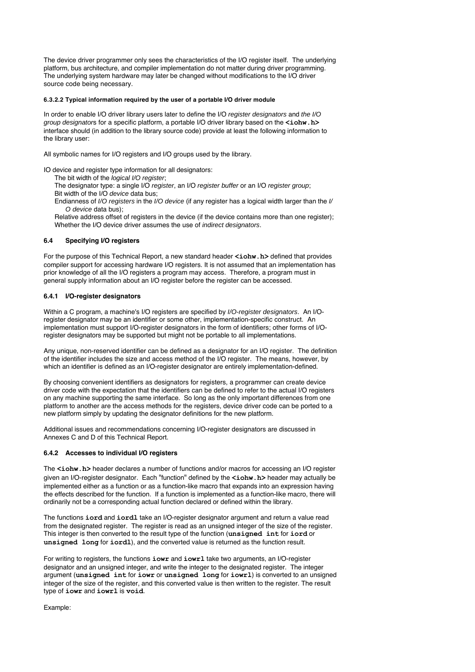The device driver programmer only sees the characteristics of the I/O register itself. The underlying platform, bus architecture, and compiler implementation do not matter during driver programming. The underlying system hardware may later be changed without modifications to the I/O driver source code being necessary.

## **6.3.2.2 Typical information required by the user of a portable I/O driver module**

In order to enable I/O driver library users later to define the I/O register designators and the I/O group designators for a specific platform, a portable I/O driver library based on the **<iohw.h>** interface should (in addition to the library source code) provide at least the following information to the library user:

All symbolic names for I/O registers and I/O groups used by the library.

IO device and register type information for all designators:

The bit width of the *logical I/O register*;

The designator type: a single I/O register, an I/O register buffer or an I/O register group;

Bit width of the I/O device data bus:

Endianness of I/O registers in the I/O device (if any register has a logical width larger than the I/ O device data bus);

Relative address offset of registers in the device (if the device contains more than one register); Whether the I/O device driver assumes the use of indirect designators.

## **6.4 Specifying I/O registers**

For the purpose of this Technical Report, a new standard header **<iohw.h>** defined that provides compiler support for accessing hardware I/O registers. It is not assumed that an implementation has prior knowledge of all the I/O registers a program may access. Therefore, a program must in general supply information about an I/O register before the register can be accessed.

## **6.4.1 I/O-register designators**

Within a C program, a machine's I/O registers are specified by I/O-register designators. An I/Oregister designator may be an identifier or some other, implementation-specific construct. An implementation must support I/O-register designators in the form of identifiers; other forms of I/Oregister designators may be supported but might not be portable to all implementations.

Any unique, non-reserved identifier can be defined as a designator for an I/O register. The definition of the identifier includes the size and access method of the I/O register. The means, however, by which an identifier is defined as an I/O-register designator are entirely implementation-defined.

By choosing convenient identifiers as designators for registers, a programmer can create device driver code with the expectation that the identifiers can be defined to refer to the actual I/O registers on any machine supporting the same interface. So long as the only important differences from one platform to another are the access methods for the registers, device driver code can be ported to a new platform simply by updating the designator definitions for the new platform.

Additional issues and recommendations concerning I/O-register designators are discussed in Annexes C and D of this Technical Report.

## **6.4.2 Accesses to individual I/O registers**

The  $\frac{\text{color}}{\text{left}}$ **.h>** header declares a number of functions and/or macros for accessing an I/O register given an I/O-register designator. Each "function" defined by the **<iohw.h>** header may actually be implemented either as a function or as a function-like macro that expands into an expression having the effects described for the function. If a function is implemented as a function-like macro, there will ordinarily not be a corresponding actual function declared or defined within the library.

The functions **iord** and **iordl** take an I/O-register designator argument and return a value read from the designated register. The register is read as an unsigned integer of the size of the register. This integer is then converted to the result type of the function (**unsigned int** for **iord** or **unsigned long** for **iordl**), and the converted value is returned as the function result.

For writing to registers, the functions **iowr** and **iowrl** take two arguments, an I/O-register designator and an unsigned integer, and write the integer to the designated register. The integer argument (**unsigned int** for **iowr** or **unsigned long** for **iowrl**) is converted to an unsigned integer of the size of the register, and this converted value is then written to the register. The result type of **iowr** and **iowrl** is **void**.

Example: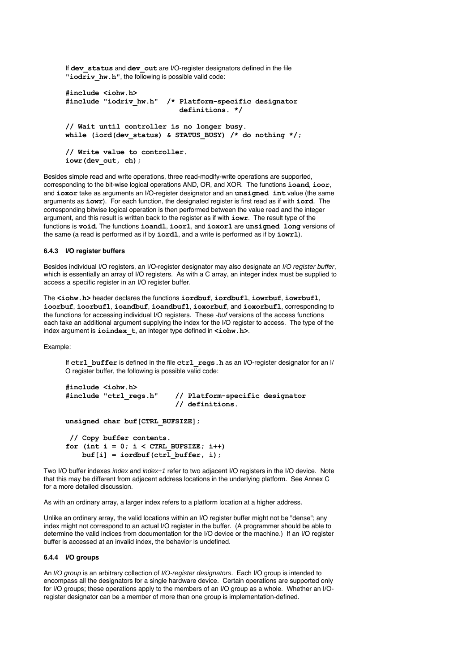If **dev\_status** and **dev\_out** are I/O-register designators defined in the file "iodriv hw.h", the following is possible valid code:

```
#include <iohw.h>
#include "iodriv_hw.h" /* Platform-specific designator 
                            definitions. */
// Wait until controller is no longer busy.
while (iord(dev_status) & STATUS_BUSY) /* do nothing */;
// Write value to controller.
iowr(dev_out, ch);
```
Besides simple read and write operations, three read-modify-write operations are supported, corresponding to the bit-wise logical operations AND, OR, and XOR. The functions **ioand**, **ioor**, and **ioxor** take as arguments an I/O-register designator and an **unsigned int** value (the same arguments as **iowr**). For each function, the designated register is first read as if with **iord**. The corresponding bitwise logical operation is then performed between the value read and the integer argument, and this result is written back to the register as if with **iowr**. The result type of the functions is **void**. The functions **ioandl**, **ioorl**, and **ioxorl** are **unsigned long** versions of the same (a read is performed as if by **iordl**, and a write is performed as if by **iowrl**).

## **6.4.3 I/O register buffers**

Besides individual I/O registers, an I/O-register designator may also designate an I/O register buffer, which is essentially an array of I/O registers. As with a C array, an integer index must be supplied to access a specific register in an I/O register buffer.

The **<iohw.h>** header declares the functions **iordbuf**, **iordbufl**, **iowrbuf**, **iowrbufl**, **ioorbuf**, **ioorbufl**, **ioandbuf**, **ioandbufl**, **ioxorbuf**, and **ioxorbufl**, corresponding to the functions for accessing individual I/O registers. These -buf versions of the access functions each take an additional argument supplying the index for the I/O register to access. The type of the index argument is **ioindex\_t**, an integer type defined in **<iohw.h>**.

Example:

If **ctrl\_buffer** is defined in the file **ctrl\_regs.h** as an I/O-register designator for an I/ O register buffer, the following is possible valid code:

```
#include <iohw.h>
                                 #include "ctrl_regs.h" // Platform-specific designator 
                                  // definitions.
```

```
unsigned char buf[CTRL_BUFSIZE];
```

```
 // Copy buffer contents.
for (int i = 0; i < CTRL BUFSIZE; i++)
    \text{buf}[i] = \text{iordbuf}(\text{ctrl buffer}, i);
```
Two I/O buffer indexes index and index+1 refer to two adjacent I/O registers in the I/O device. Note that this may be different from adjacent address locations in the underlying platform. See Annex C for a more detailed discussion.

As with an ordinary array, a larger index refers to a platform location at a higher address.

Unlike an ordinary array, the valid locations within an I/O register buffer might not be "dense"; any index might not correspond to an actual I/O register in the buffer. (A programmer should be able to determine the valid indices from documentation for the I/O device or the machine.) If an I/O register buffer is accessed at an invalid index, the behavior is undefined.

## **6.4.4 I/O groups**

An I/O group is an arbitrary collection of I/O-register designators. Each I/O group is intended to encompass all the designators for a single hardware device. Certain operations are supported only for I/O groups; these operations apply to the members of an I/O group as a whole. Whether an I/Oregister designator can be a member of more than one group is implementation-defined.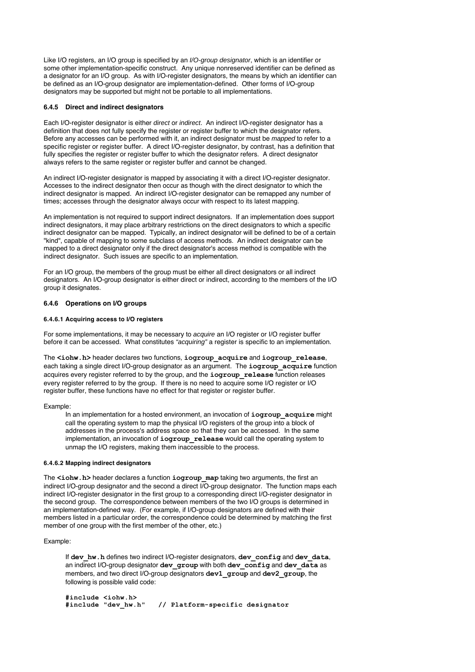Like I/O registers, an I/O group is specified by an I/O-group designator, which is an identifier or some other implementation-specific construct. Any unique nonreserved identifier can be defined as a designator for an I/O group. As with I/O-register designators, the means by which an identifier can be defined as an I/O-group designator are implementation-defined. Other forms of I/O-group designators may be supported but might not be portable to all implementations.

## **6.4.5 Direct and indirect designators**

Each I/O-register designator is either direct or indirect. An indirect I/O-register designator has a definition that does not fully specify the register or register buffer to which the designator refers. Before any accesses can be performed with it, an indirect designator must be *mapped* to refer to a specific register or register buffer. A direct I/O-register designator, by contrast, has a definition that fully specifies the register or register buffer to which the designator refers. A direct designator always refers to the same register or register buffer and cannot be changed.

An indirect I/O-register designator is mapped by associating it with a direct I/O-register designator. Accesses to the indirect designator then occur as though with the direct designator to which the indirect designator is mapped. An indirect I/O-register designator can be remapped any number of times; accesses through the designator always occur with respect to its latest mapping.

An implementation is not required to support indirect designators. If an implementation does support indirect designators, it may place arbitrary restrictions on the direct designators to which a specific indirect designator can be mapped. Typically, an indirect designator will be defined to be of a certain "kind", capable of mapping to some subclass of access methods. An indirect designator can be mapped to a direct designator only if the direct designator's access method is compatible with the indirect designator. Such issues are specific to an implementation.

For an I/O group, the members of the group must be either all direct designators or all indirect designators. An I/O-group designator is either direct or indirect, according to the members of the I/O group it designates.

## **6.4.6 Operations on I/O groups**

## **6.4.6.1 Acquiring access to I/O registers**

For some implementations, it may be necessary to acquire an I/O register or I/O register buffer before it can be accessed. What constitutes "acquiring" a register is specific to an implementation.

The **<iohw.h>** header declares two functions, **iogroup\_acquire** and **iogroup\_release**, each taking a single direct I/O-group designator as an argument. The **iogroup\_acquire** function acquires every register referred to by the group, and the **iogroup\_release** function releases every register referred to by the group. If there is no need to acquire some I/O register or I/O register buffer, these functions have no effect for that register or register buffer.

#### Example:

In an implementation for a hosted environment, an invocation of **iogroup\_acquire** might call the operating system to map the physical I/O registers of the group into a block of addresses in the process's address space so that they can be accessed. In the same implementation, an invocation of **iogroup\_release** would call the operating system to unmap the I/O registers, making them inaccessible to the process.

#### **6.4.6.2 Mapping indirect designators**

The **<iohw.h>** header declares a function **iogroup** map taking two arguments, the first an indirect I/O-group designator and the second a direct I/O-group designator. The function maps each indirect I/O-register designator in the first group to a corresponding direct I/O-register designator in the second group. The correspondence between members of the two I/O groups is determined in an implementation-defined way. (For example, if I/O-group designators are defined with their members listed in a particular order, the correspondence could be determined by matching the first member of one group with the first member of the other, etc.)

## Example:

If **dev\_hw.h** defines two indirect I/O-register designators, **dev\_config** and **dev\_data**, an indirect I/O-group designator **dev\_group** with both **dev\_config** and **dev\_data** as members, and two direct I/O-group designators **dev1\_group** and **dev2\_group**, the following is possible valid code:

**#include <iohw.h> #include "dev\_hw.h" // Platform-specific designator**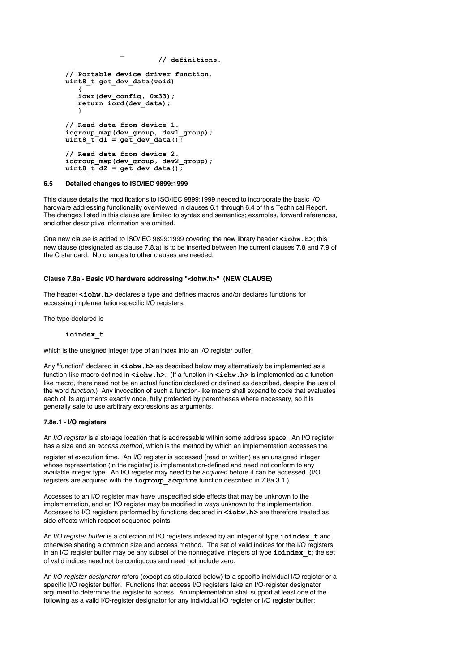```
 // definitions.
// Portable device driver function.
uint8_t get_dev_data(void)
 {
    iowr(dev_config, 0x33);
   return iord(dev data);
    }
// Read data from device 1.
iogroup_map(dev_group, dev1_group);
uint8_t d1 = get_dev_data();
// Read data from device 2.
iogroup_map(dev_group, dev2_group);
uint8_t d2 = get_dev_data();
```
## **6.5 Detailed changes to ISO/IEC 9899:1999**

This clause details the modifications to ISO/IEC 9899:1999 needed to incorporate the basic I/O hardware addressing functionality overviewed in clauses 6.1 through 6.4 of this Technical Report. The changes listed in this clause are limited to syntax and semantics; examples, forward references, and other descriptive information are omitted.

**#include "dev\_hw.h" // Platform-specific designator** 

One new clause is added to ISO/IEC 9899:1999 covering the new library header **<iohw.h>**; this new clause (designated as clause 7.8.a) is to be inserted between the current clauses 7.8 and 7.9 of the C standard. No changes to other clauses are needed.

## **Clause 7.8a - Basic I/O hardware addressing "<iohw.h>" (NEW CLAUSE)**

The header <iohw.h> declares a type and defines macros and/or declares functions for accessing implementation-specific I/O registers.

The type declared is

#### **ioindex\_t**

which is the unsigned integer type of an index into an I/O register buffer.

Any "function" declared in **<iohw.h>** as described below may alternatively be implemented as a function-like macro defined in **<iohw.h>**. (If a function in **<iohw.h>** is implemented as a functionlike macro, there need not be an actual function declared or defined as described, despite the use of the word *function.*) Any invocation of such a function-like macro shall expand to code that evaluates each of its arguments exactly once, fully protected by parentheses where necessary, so it is generally safe to use arbitrary expressions as arguments.

## **7.8a.1 - I/O registers**

An I/O register is a storage location that is addressable within some address space. An I/O register has a size and an *access method*, which is the method by which an implementation accesses the

register at execution time. An I/O register is accessed (read or written) as an unsigned integer whose representation (in the register) is implementation-defined and need not conform to any available integer type. An I/O register may need to be acquired before it can be accessed. (I/O registers are acquired with the **iogroup\_acquire** function described in 7.8a.3.1.)

Accesses to an I/O register may have unspecified side effects that may be unknown to the implementation, and an I/O register may be modified in ways unknown to the implementation. Accesses to I/O registers performed by functions declared in **<iohw.h>** are therefore treated as side effects which respect sequence points.

An I/O register buffer is a collection of I/O registers indexed by an integer of type **ioindex\_t** and otherwise sharing a common size and access method. The set of valid indices for the I/O registers in an I/O register buffer may be any subset of the nonnegative integers of type **ioindex\_t**; the set of valid indices need not be contiguous and need not include zero.

An I/O-register designator refers (except as stipulated below) to a specific individual I/O register or a specific I/O register buffer. Functions that access I/O registers take an I/O-register designator argument to determine the register to access. An implementation shall support at least one of the following as a valid I/O-register designator for any individual I/O register or I/O register buffer: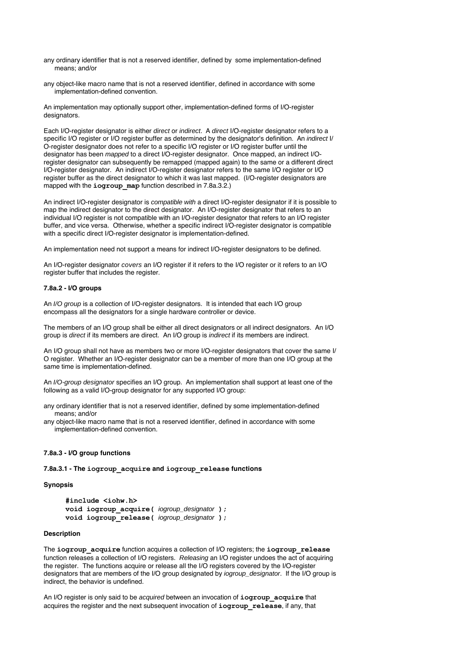- any ordinary identifier that is not a reserved identifier, defined by some implementation-defined means; and/or
- any object-like macro name that is not a reserved identifier, defined in accordance with some implementation-defined convention.

An implementation may optionally support other, implementation-defined forms of I/O-register designators.

Each I/O-register designator is either direct or indirect. A direct I/O-register designator refers to a specific I/O register or I/O register buffer as determined by the designator's definition. An *indirect I/* O-register designator does not refer to a specific I/O register or I/O register buffer until the designator has been mapped to a direct I/O-register designator. Once mapped, an indirect I/Oregister designator can subsequently be remapped (mapped again) to the same or a different direct I/O-register designator. An indirect I/O-register designator refers to the same I/O register or I/O register buffer as the direct designator to which it was last mapped. (I/O-register designators are mapped with the **iogroup** map function described in 7.8a.3.2.)

An indirect I/O-register designator is compatible with a direct I/O-register designator if it is possible to map the indirect designator to the direct designator. An I/O-register designator that refers to an individual I/O register is not compatible with an I/O-register designator that refers to an I/O register buffer, and vice versa. Otherwise, whether a specific indirect I/O-register designator is compatible with a specific direct I/O-register designator is implementation-defined.

An implementation need not support a means for indirect I/O-register designators to be defined.

An I/O-register designator covers an I/O register if it refers to the I/O register or it refers to an I/O register buffer that includes the register.

## **7.8a.2 - I/O groups**

An *I/O group* is a collection of I/O-register designators. It is intended that each I/O group encompass all the designators for a single hardware controller or device.

The members of an I/O group shall be either all direct designators or all indirect designators. An I/O group is direct if its members are direct. An I/O group is indirect if its members are indirect.

An I/O group shall not have as members two or more I/O-register designators that cover the same I/ O register. Whether an I/O-register designator can be a member of more than one I/O group at the same time is implementation-defined.

An I/O-group designator specifies an I/O group. An implementation shall support at least one of the following as a valid I/O-group designator for any supported I/O group:

any ordinary identifier that is not a reserved identifier, defined by some implementation-defined means; and/or

any object-like macro name that is not a reserved identifier, defined in accordance with some implementation-defined convention.

## **7.8a.3 - I/O group functions**

**7.8a.3.1 - The iogroup\_acquire and iogroup\_release functions**

## **Synopsis**

```
#include <iohw.h>
void iogroup_acquire( iogroup_designator );
void iogroup_release( iogroup_designator );
```
## **Description**

The **iogroup\_acquire** function acquires a collection of I/O registers; the **iogroup\_release** function releases a collection of I/O registers. Releasing an I/O register undoes the act of acquiring the register. The functions acquire or release all the I/O registers covered by the I/O-register designators that are members of the I/O group designated by iogroup\_designator. If the I/O group is indirect, the behavior is undefined.

An I/O register is only said to be acquired between an invocation of **iogroup\_acquire** that acquires the register and the next subsequent invocation of **iogroup\_release**, if any, that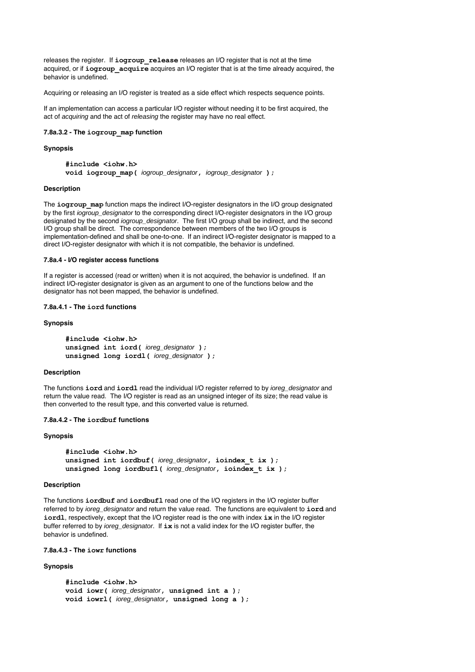releases the register. If **iogroup\_release** releases an I/O register that is not at the time acquired, or if *iogroup* acquire acquires an I/O register that is at the time already acquired, the behavior is undefined.

Acquiring or releasing an I/O register is treated as a side effect which respects sequence points.

If an implementation can access a particular I/O register without needing it to be first acquired, the act of acquiring and the act of releasing the register may have no real effect.

## **7.8a.3.2 - The iogroup\_map function**

#### **Synopsis**

**#include <iohw.h> void iogroup\_map(** iogroup\_designator**,** iogroup\_designator **);**

## **Description**

The *iogroup* map function maps the indirect I/O-register designators in the I/O group designated by the first iogroup\_designator to the corresponding direct I/O-register designators in the I/O group designated by the second iogroup\_designator. The first I/O group shall be indirect, and the second I/O group shall be direct. The correspondence between members of the two I/O groups is implementation-defined and shall be one-to-one. If an indirect I/O-register designator is mapped to a direct I/O-register designator with which it is not compatible, the behavior is undefined.

## **7.8a.4 - I/O register access functions**

If a register is accessed (read or written) when it is not acquired, the behavior is undefined. If an indirect I/O-register designator is given as an argument to one of the functions below and the designator has not been mapped, the behavior is undefined.

## **7.8a.4.1 - The iord functions**

## **Synopsis**

```
#include <iohw.h>
unsigned int iord( ioreg_designator );
unsigned long iordl( ioreg_designator );
```
## **Description**

The functions **iord** and **iordl** read the individual I/O register referred to by ioreg\_designator and return the value read. The I/O register is read as an unsigned integer of its size; the read value is then converted to the result type, and this converted value is returned.

## **7.8a.4.2 - The iordbuf functions**

#### **Synopsis**

```
#include <iohw.h>
unsigned int iordbuf( ioreg_designator, ioindex_t ix );
unsigned long iordbufl( ioreg_designator, ioindex t ix );
```
#### **Description**

The functions **iordbuf** and **iordbufl** read one of the I/O registers in the I/O register buffer referred to by ioreg\_designator and return the value read. The functions are equivalent to **iord** and **iordl**, respectively, except that the I/O register read is the one with index **ix** in the I/O register buffer referred to by ioreg\_designator. If **ix** is not a valid index for the I/O register buffer, the behavior is undefined.

## **7.8a.4.3 - The iowr functions**

#### **Synopsis**

```
#include <iohw.h>
void iowr( ioreg designator, unsigned int a );
void iowrl( ioreg_designator, unsigned long a );
```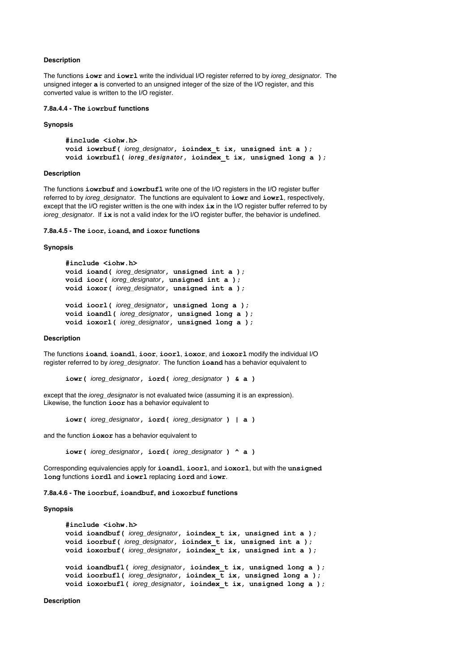## **Description**

The functions **iowr** and **iowrl** write the individual I/O register referred to by ioreg\_designator. The unsigned integer **a** is converted to an unsigned integer of the size of the I/O register, and this converted value is written to the I/O register.

## **7.8a.4.4 - The iowrbuf functions**

#### **Synopsis**

```
#include <iohw.h>
void iowrbuf( ioreg_designator, ioindex_t ix, unsigned int a );
void iowrbufl( ioreg_designator, ioindex_t ix, unsigned long a );
```
## **Description**

The functions **iowrbuf** and **iowrbufl** write one of the I/O registers in the I/O register buffer referred to by ioreg\_designator. The functions are equivalent to **iowr** and **iowrl**, respectively, except that the I/O register written is the one with index **ix** in the I/O register buffer referred to by ioreg\_designator. If ix is not a valid index for the I/O register buffer, the behavior is undefined.

**7.8a.4.5 - The ioor, ioand, and ioxor functions**

#### **Synopsis**

```
#include <iohw.h>
void ioand( ioreg_designator, unsigned int a );
void ioor( ioreg_designator, unsigned int a );
void ioxor( ioreg_designator, unsigned int a );
void ioorl( ioreg_designator, unsigned long a );
void ioandl( ioreg_designator, unsigned long a );
void ioxorl( ioreg_designator, unsigned long a );
```
## **Description**

The functions **ioand**, **ioandl**, **ioor**, **ioorl**, **ioxor**, and **ioxorl** modify the individual I/O register referred to by ioreg\_designator. The function **ioand** has a behavior equivalent to

```
iowr( ioreg_designator, iord( ioreg_designator ) & a )
```
except that the *ioreg\_designator* is not evaluated twice (assuming it is an expression). Likewise, the function **ioor** has a behavior equivalent to

**iowr(** ioreg\_designator**, iord(** ioreg\_designator **) | a )**

and the function **ioxor** has a behavior equivalent to

**iowr(** ioreg\_designator**, iord(** ioreg\_designator **) ^ a )**

Corresponding equivalencies apply for **ioandl**, **ioorl**, and **ioxorl**, but with the **unsigned long** functions **iordl** and **iowrl** replacing **iord** and **iowr**.

**7.8a.4.6 - The ioorbuf, ioandbuf, and ioxorbuf functions**

## **Synopsis**

```
#include <iohw.h>
void ioandbuf( ioreg_designator, ioindex_t ix, unsigned int a );
void ioorbuf( ioreg_designator, ioindex_t ix, unsigned int a );
void ioxorbuf( ioreg_designator, ioindex_t ix, unsigned int a );
void ioandbufl( ioreg_designator, ioindex_t ix, unsigned long a );
void ioorbufl( ioreg_designator, ioindex \overline{t} ix, unsigned long a );
void ioxorbufl( ioreg_designator, ioindex_t ix, unsigned long a );
```
**Description**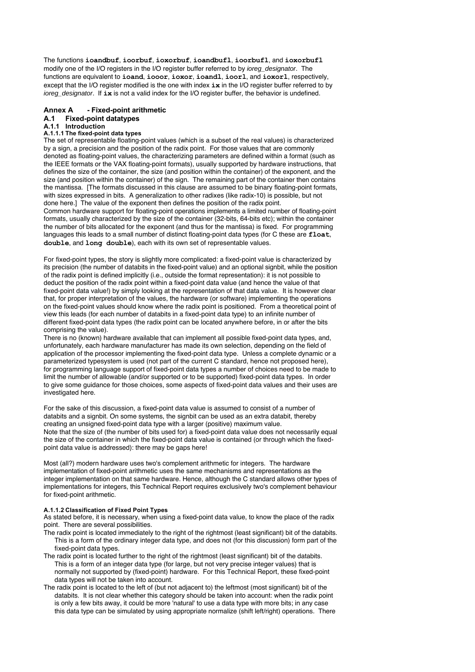The functions **ioandbuf**, **ioorbuf**, **ioxorbuf**, **ioandbufl**, **ioorbufl**, and **ioxorbufl** modify one of the I/O registers in the I/O register buffer referred to by ioreg\_designator. The functions are equivalent to **ioand**, **iooor**, **ioxor**, **ioandl**, **ioorl**, and **ioxorl**, respectively, except that the I/O register modified is the one with index **ix** in the I/O register buffer referred to by ioreg\_designator. If ix is not a valid index for the I/O register buffer, the behavior is undefined.

## **Annex A - Fixed-point arithmetic A.1 Fixed-point datatypes**

# **A.1.1 Introduction**

## **A.1.1.1 The fixed-point data types**

The set of representable floating-point values (which is a subset of the real values) is characterized by a sign, a precision and the position of the radix point. For those values that are commonly denoted as floating-point values, the characterizing parameters are defined within a format (such as the IEEE formats or the VAX floating-point formats), usually supported by hardware instructions, that defines the size of the container, the size (and position within the container) of the exponent, and the size (and position within the container) of the sign. The remaining part of the container then contains the mantissa. [The formats discussed in this clause are assumed to be binary floating-point formats, with sizes expressed in bits. A generalization to other radixes (like radix-10) is possible, but not done here.] The value of the exponent then defines the position of the radix point.

Common hardware support for floating-point operations implements a limited number of floating-point formats, usually characterized by the size of the container (32-bits, 64-bits etc); within the container the number of bits allocated for the exponent (and thus for the mantissa) is fixed. For programming languages this leads to a small number of distinct floating-point data types (for C these are **float**, **double**, and **long double**), each with its own set of representable values.

For fixed-point types, the story is slightly more complicated: a fixed-point value is characterized by its precision (the number of databits in the fixed-point value) and an optional signbit, while the position of the radix point is defined implicitly (i.e., outside the format representation): it is not possible to deduct the position of the radix point within a fixed-point data value (and hence the value of that fixed-point data value!) by simply looking at the representation of that data value. It is however clear that, for proper interpretation of the values, the hardware (or software) implementing the operations on the fixed-point values should know where the radix point is positioned. From a theoretical point of view this leads (for each number of databits in a fixed-point data type) to an infinite number of different fixed-point data types (the radix point can be located anywhere before, in or after the bits comprising the value).

There is no (known) hardware available that can implement all possible fixed-point data types, and, unfortunately, each hardware manufacturer has made its own selection, depending on the field of application of the processor implementing the fixed-point data type. Unless a complete dynamic or a parameterized typesystem is used (not part of the current C standard, hence not proposed here), for programming language support of fixed-point data types a number of choices need to be made to limit the number of allowable (and/or supported or to be supported) fixed-point data types. In order to give some guidance for those choices, some aspects of fixed-point data values and their uses are investigated here.

For the sake of this discussion, a fixed-point data value is assumed to consist of a number of databits and a signbit. On some systems, the signbit can be used as an extra databit, thereby creating an unsigned fixed-point data type with a larger (positive) maximum value. Note that the size of (the number of bits used for) a fixed-point data value does not necessarily equal the size of the container in which the fixed-point data value is contained (or through which the fixedpoint data value is addressed): there may be gaps here!

Most (all?) modern hardware uses two's complement arithmetic for integers. The hardware implementation of fixed-point arithmetic uses the same mechanisms and representations as the integer implementation on that same hardware. Hence, although the C standard allows other types of implementations for integers, this Technical Report requires exclusively two's complement behaviour for fixed-point arithmetic.

#### **A.1.1.2 Classification of Fixed Point Types**

As stated before, it is necessary, when using a fixed-point data value, to know the place of the radix point. There are several possibilities.

- The radix point is located immediately to the right of the rightmost (least significant) bit of the databits. This is a form of the ordinary integer data type, and does not (for this discussion) form part of the fixed-point data types.
- The radix point is located further to the right of the rightmost (least significant) bit of the databits. This is a form of an integer data type (for large, but not very precise integer values) that is normally not supported by (fixed-point) hardware. For this Technical Report, these fixed-point data types will not be taken into account.
- The radix point is located to the left of (but not adjacent to) the leftmost (most significant) bit of the databits. It is not clear whether this category should be taken into account: when the radix point is only a few bits away, it could be more 'natural' to use a data type with more bits; in any case this data type can be simulated by using appropriate normalize (shift left/right) operations. There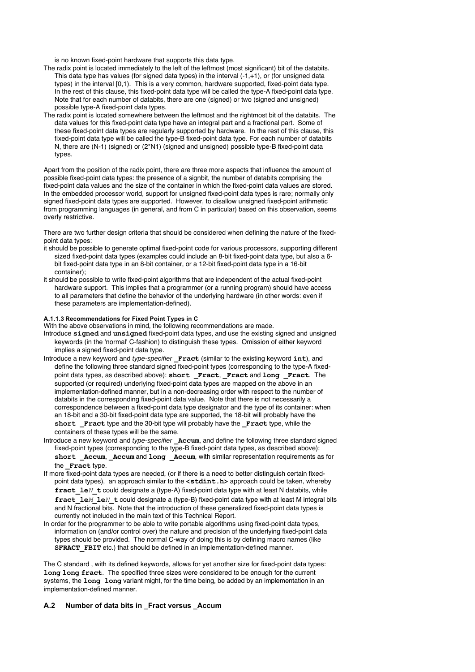is no known fixed-point hardware that supports this data type.

- The radix point is located immediately to the left of the leftmost (most significant) bit of the databits. This data type has values (for signed data types) in the interval (-1,+1), or (for unsigned data types) in the interval [0,1). This is a very common, hardware supported, fixed-point data type. In the rest of this clause, this fixed-point data type will be called the type-A fixed-point data type. Note that for each number of databits, there are one (signed) or two (signed and unsigned) possible type-A fixed-point data types.
- The radix point is located somewhere between the leftmost and the rightmost bit of the databits. The data values for this fixed-point data type have an integral part and a fractional part. Some of these fixed-point data types are regularly supported by hardware. In the rest of this clause, this fixed-point data type will be called the type-B fixed-point data type. For each number of databits N, there are (N-1) (signed) or (2\*N1) (signed and unsigned) possible type-B fixed-point data types.

Apart from the position of the radix point, there are three more aspects that influence the amount of possible fixed-point data types: the presence of a signbit, the number of databits comprising the fixed-point data values and the size of the container in which the fixed-point data values are stored. In the embedded processor world, support for unsigned fixed-point data types is rare; normally only signed fixed-point data types are supported. However, to disallow unsigned fixed-point arithmetic from programming languages (in general, and from C in particular) based on this observation, seems overly restrictive.

There are two further design criteria that should be considered when defining the nature of the fixedpoint data types:

- it should be possible to generate optimal fixed-point code for various processors, supporting different sized fixed-point data types (examples could include an 8-bit fixed-point data type, but also a 6 bit fixed-point data type in an 8-bit container, or a 12-bit fixed-point data type in a 16-bit container);
- it should be possible to write fixed-point algorithms that are independent of the actual fixed-point hardware support. This implies that a programmer (or a running program) should have access to all parameters that define the behavior of the underlying hardware (in other words: even if these parameters are implementation-defined).

#### **A.1.1.3 Recommendations for Fixed Point Types in C**

With the above observations in mind, the following recommendations are made.

- Introduce **signed** and **unsigned** fixed-point data types, and use the existing signed and unsigned keywords (in the 'normal' C-fashion) to distinguish these types. Omission of either keyword implies a signed fixed-point data type.
- Introduce a new keyword and type-specifier **\_Fract** (similar to the existing keyword **int**), and define the following three standard signed fixed-point types (corresponding to the type-A fixedpoint data types, as described above): **short \_Fract**, **\_Fract** and **long \_Fract**. The supported (or required) underlying fixed-point data types are mapped on the above in an implementation-defined manner, but in a non-decreasing order with respect to the number of databits in the corresponding fixed-point data value. Note that there is not necessarily a correspondence between a fixed-point data type designator and the type of its container: when an 18-bit and a 30-bit fixed-point data type are supported, the 18-bit will probably have the **short \_Fract** type and the 30-bit type will probably have the **\_Fract** type, while the containers of these types will be the same.
- Introduce a new keyword and type-specifier **\_Accum**, and define the following three standard signed fixed-point types (corresponding to the type-B fixed-point data types, as described above): **short Accum**, **Accum** and **long Accum**, with similar representation requirements as for the **Fract** type.
- If more fixed-point data types are needed, (or if there is a need to better distinguish certain fixedpoint data types), an approach similar to the **<stdint***.***h>** approach could be taken, whereby **fract** le*N* t could designate a (type-A) fixed-point data type with at least N databits, while **fract**  $\text{1e}$ *M*  $\text{1e}$ *N*  $\text{t}$  could designate a (type-B) fixed-point data type with at least M integral bits and N fractional bits. Note that the introduction of these generalized fixed-point data types is currently not included in the main text of this Technical Report.
- In order for the programmer to be able to write portable algorithms using fixed-point data types, information on (and/or control over) the nature and precision of the underlying fixed-point data types should be provided. The normal C-way of doing this is by defining macro names (like **SFRACT\_FBIT** etc.) that should be defined in an implementation-defined manner.

The C standard , with its defined keywords, allows for yet another size for fixed-point data types: **long long fract**. The specified three sizes were considered to be enough for the current systems, the **long long** variant might, for the time being, be added by an implementation in an implementation-defined manner.

## **A.2 Number of data bits in \_Fract versus \_Accum**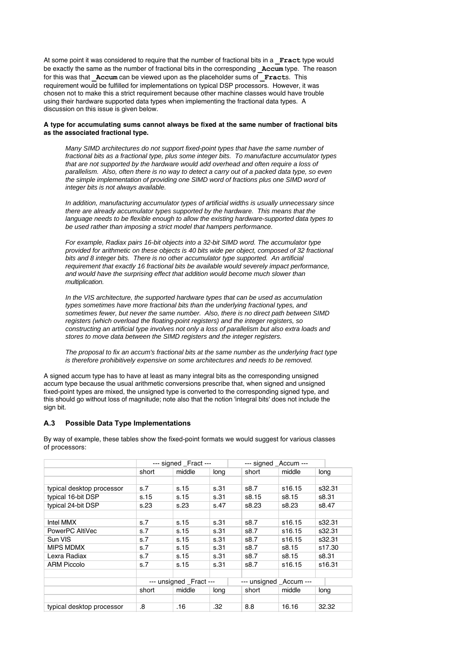At some point it was considered to require that the number of fractional bits in a **Fract** type would be exactly the same as the number of fractional bits in the corresponding **Accum** type. The reason for this was that **Accum** can be viewed upon as the placeholder sums of **Fracts**. This requirement would be fulfilled for implementations on typical DSP processors. However, it was chosen not to make this a strict requirement because other machine classes would have trouble using their hardware supported data types when implementing the fractional data types. A discussion on this issue is given below.

## **A type for accumulating sums cannot always be fixed at the same number of fractional bits as the associated fractional type.**

Many SIMD architectures do not support fixed-point types that have the same number of fractional bits as a fractional type, plus some integer bits. To manufacture accumulator types that are not supported by the hardware would add overhead and often require a loss of parallelism. Also, often there is no way to detect a carry out of a packed data type, so even the simple implementation of providing one SIMD word of fractions plus one SIMD word of integer bits is not always available.

In addition, manufacturing accumulator types of artificial widths is usually unnecessary since there are already accumulator types supported by the hardware. This means that the language needs to be flexible enough to allow the existing hardware-supported data types to be used rather than imposing a strict model that hampers performance.

For example, Radiax pairs 16-bit objects into a 32-bit SIMD word. The accumulator type provided for arithmetic on these objects is 40 bits wide per object, composed of 32 fractional bits and 8 integer bits. There is no other accumulator type supported. An artificial requirement that exactly 16 fractional bits be available would severely impact performance, and would have the surprising effect that addition would become much slower than multiplication.

In the VIS architecture, the supported hardware types that can be used as accumulation types sometimes have more fractional bits than the underlying fractional types, and sometimes fewer, but never the same number. Also, there is no direct path between SIMD registers (which overload the floating-point registers) and the integer registers, so constructing an artificial type involves not only a loss of parallelism but also extra loads and stores to move data between the SIMD registers and the integer registers.

The proposal to fix an accum's fractional bits at the same number as the underlying fract type is therefore prohibitively expensive on some architectures and needs to be removed.

A signed accum type has to have at least as many integral bits as the corresponding unsigned accum type because the usual arithmetic conversions prescribe that, when signed and unsigned fixed-point types are mixed, the unsigned type is converted to the corresponding signed type, and this should go without loss of magnitude; note also that the notion 'integral bits' does not include the sign bit.

## **A.3 Possible Data Type Implementations**

By way of example, these tables show the fixed-point formats we would suggest for various classes of processors:

|                           | --- signed Fract --- |                         |      | --- signed Accum ---   |        |        |
|---------------------------|----------------------|-------------------------|------|------------------------|--------|--------|
|                           | short                | middle                  | long | short                  | middle | long   |
|                           |                      |                         |      |                        |        |        |
| typical desktop processor | s.7                  | s.15                    | s.31 | s8.7                   | s16.15 | s32.31 |
| typical 16-bit DSP        | s.15                 | s.15                    | s.31 | s8.15                  | s8.15  | s8.31  |
| typical 24-bit DSP        | s.23                 | s.23                    | s.47 | s8.23                  | s8.23  | s8.47  |
|                           |                      |                         |      |                        |        |        |
| Intel MMX                 | s.7                  | s.15                    | s.31 | s8.7                   | s16.15 | s32.31 |
| PowerPC AltiVec           | s.7                  | s.15                    | s.31 | s8.7                   | s16.15 | s32.31 |
| Sun VIS                   | s.7                  | s.15                    | s.31 | s8.7                   | s16.15 | s32.31 |
| <b>MIPS MDMX</b>          | s.7                  | s.15                    | s.31 | s8.7                   | s8.15  | s17.30 |
| Lexra Radiax              | s.7                  | s.15                    | s.31 | s8.7                   | s8.15  | s8.31  |
| <b>ARM Piccolo</b>        | s.7                  | s.15                    | s.31 | s8.7                   | s16.15 | s16.31 |
|                           |                      |                         |      |                        |        |        |
|                           |                      | --- unsigned _Fract --- |      | --- unsigned Accum --- |        |        |
|                           | short                | middle                  | long | short                  | middle | long   |
|                           |                      |                         |      |                        |        |        |
| typical desktop processor | .8                   | .16                     | .32  | 8.8                    | 16.16  | 32.32  |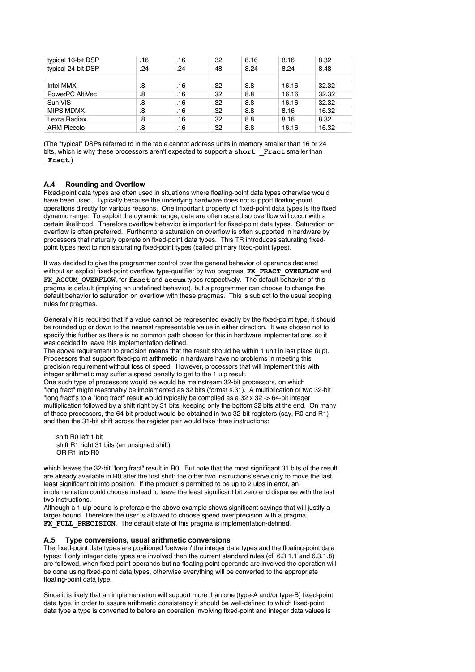| typical 16-bit DSP | .16 | .16 | .32 | 8.16 | 8.16  | 8.32  |
|--------------------|-----|-----|-----|------|-------|-------|
| typical 24-bit DSP | .24 | .24 | .48 | 8.24 | 8.24  | 8.48  |
|                    |     |     |     |      |       |       |
| Intel MMX          | .8  | .16 | .32 | 8.8  | 16.16 | 32.32 |
| PowerPC AltiVec    | .8  | .16 | .32 | 8.8  | 16.16 | 32.32 |
| Sun VIS            | .8  | .16 | .32 | 8.8  | 16.16 | 32.32 |
| <b>MIPS MDMX</b>   | .8  | .16 | .32 | 8.8  | 8.16  | 16.32 |
| Lexra Radiax       | .8  | .16 | .32 | 8.8  | 8.16  | 8.32  |
| <b>ARM Piccolo</b> | .8  | .16 | .32 | 8.8  | 16.16 | 16.32 |

(The "typical" DSPs referred to in the table cannot address units in memory smaller than 16 or 24 bits, which is why these processors aren't expected to support a short Fract smaller than **\_Fract**.)

## **A.4 Rounding and Overflow**

Fixed-point data types are often used in situations where floating-point data types otherwise would have been used. Typically because the underlying hardware does not support floating-point operations directly for various reasons. One important property of fixed-point data types is the fixed dynamic range. To exploit the dynamic range, data are often scaled so overflow will occur with a certain likelihood. Therefore overflow behavior is important for fixed-point data types. Saturation on overflow is often preferred. Furthermore saturation on overflow is often supported in hardware by processors that naturally operate on fixed-point data types. This TR introduces saturating fixedpoint types next to non saturating fixed-point types (called primary fixed-point types).

It was decided to give the programmer control over the general behavior of operands declared without an explicit fixed-point overflow type-qualifier by two pragmas, **FX\_FRACT\_OVERFLOW** and FX ACCUM OVERFLOW, for fract and accum types respectively. The default behavior of this pragma is default (implying an undefined behavior), but a programmer can choose to change the default behavior to saturation on overflow with these pragmas. This is subject to the usual scoping rules for pragmas.

Generally it is required that if a value cannot be represented exactly by the fixed-point type, it should be rounded up or down to the nearest representable value in either direction. It was chosen not to specify this further as there is no common path chosen for this in hardware implementations, so it was decided to leave this implementation defined.

The above requirement to precision means that the result should be within 1 unit in last place (ulp). Processors that support fixed-point arithmetic in hardware have no problems in meeting this precision requirement without loss of speed. However, processors that will implement this with integer arithmetic may suffer a speed penalty to get to the 1 ulp result.

One such type of processors would be would be mainstream 32-bit processors, on which "long fract" might reasonably be implemented as 32 bits (format s.31). A multiplication of two 32-bit "long fract"s to a "long fract" result would typically be compiled as a 32 x 32 -> 64-bit integer multiplication followed by a shift right by 31 bits, keeping only the bottom 32 bits at the end. On many of these processors, the 64-bit product would be obtained in two 32-bit registers (say, R0 and R1) and then the 31-bit shift across the register pair would take three instructions:

 shift R0 left 1 bit shift R1 right 31 bits (an unsigned shift) OR R1 into R0

which leaves the 32-bit "long fract" result in R0. But note that the most significant 31 bits of the result are already available in R0 after the first shift; the other two instructions serve only to move the last, least significant bit into position. If the product is permitted to be up to 2 ulps in error, an implementation could choose instead to leave the least significant bit zero and dispense with the last two instructions.

Although a 1-ulp bound is preferable the above example shows significant savings that will justify a larger bound. Therefore the user is allowed to choose speed over precision with a pragma, FX\_FULL\_PRECISION. The default state of this pragma is implementation-defined.

## **A.5 Type conversions, usual arithmetic conversions**

The fixed-point data types are positioned 'between' the integer data types and the floating-point data types: if only integer data types are involved then the current standard rules (cf. 6.3.1.1 and 6.3.1.8) are followed, when fixed-point operands but no floating-point operands are involved the operation will be done using fixed-point data types, otherwise everything will be converted to the appropriate floating-point data type.

Since it is likely that an implementation will support more than one (type-A and/or type-B) fixed-point data type, in order to assure arithmetic consistency it should be well-defined to which fixed-point data type a type is converted to before an operation involving fixed-point and integer data values is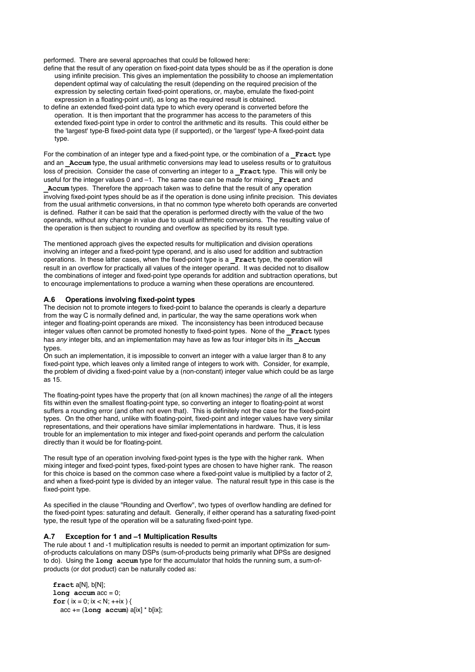performed. There are several approaches that could be followed here:

- define that the result of any operation on fixed-point data types should be as if the operation is done using infinite precision. This gives an implementation the possibility to choose an implementation dependent optimal way of calculating the result (depending on the required precision of the expression by selecting certain fixed-point operations, or, maybe, emulate the fixed-point expression in a floating-point unit), as long as the required result is obtained.
- to define an extended fixed-point data type to which every operand is converted before the operation. It is then important that the programmer has access to the parameters of this extended fixed-point type in order to control the arithmetic and its results. This could either be the 'largest' type-B fixed-point data type (if supported), or the 'largest' type-A fixed-point data type.

For the combination of an integer type and a fixed-point type, or the combination of a **Fract** type and an **Accum** type, the usual arithmetic conversions may lead to useless results or to gratuitous loss of precision. Consider the case of converting an integer to a **Fract** type. This will only be useful for the integer values 0 and -1. The same case can be made for mixing **Fract** and Accum types. Therefore the approach taken was to define that the result of any operation

involving fixed-point types should be as if the operation is done using infinite precision. This deviates from the usual arithmetic conversions, in that no common type whereto both operands are converted is defined. Rather it can be said that the operation is performed directly with the value of the two operands, without any change in value due to usual arithmetic conversions. The resulting value of the operation is then subject to rounding and overflow as specified by its result type.

The mentioned approach gives the expected results for multiplication and division operations involving an integer and a fixed-point type operand, and is also used for addition and subtraction operations. In these latter cases, when the fixed-point type is a **\_Fract** type, the operation will result in an overflow for practically all values of the integer operand. It was decided not to disallow the combinations of integer and fixed-point type operands for addition and subtraction operations, but to encourage implementations to produce a warning when these operations are encountered.

## **A.6 Operations involving fixed-point types**

The decision not to promote integers to fixed-point to balance the operands is clearly a departure from the way C is normally defined and, in particular, the way the same operations work when integer and floating-point operands are mixed. The inconsistency has been introduced because integer values often cannot be promoted honestly to fixed-point types. None of the **Fract** types has *any* integer bits, and an implementation may have as few as four integer bits in its **Accum** types.

On such an implementation, it is impossible to convert an integer with a value larger than 8 to any fixed-point type, which leaves only a limited range of integers to work with. Consider, for example, the problem of dividing a fixed-point value by a (non-constant) integer value which could be as large as 15.

The floating-point types have the property that (on all known machines) the range of all the integers fits within even the smallest floating-point type, so converting an integer to floating-point at worst suffers a rounding error (and often not even that). This is definitely not the case for the fixed-point types. On the other hand, unlike with floating-point, fixed-point and integer values have very similar representations, and their operations have similar implementations in hardware. Thus, it is less trouble for an implementation to mix integer and fixed-point operands and perform the calculation directly than it would be for floating-point.

The result type of an operation involving fixed-point types is the type with the higher rank. When mixing integer and fixed-point types, fixed-point types are chosen to have higher rank. The reason for this choice is based on the common case where a fixed-point value is multiplied by a factor of 2, and when a fixed-point type is divided by an integer value. The natural result type in this case is the fixed-point type.

As specified in the clause "Rounding and Overflow", two types of overflow handling are defined for the fixed-point types: saturating and default. Generally, if either operand has a saturating fixed-point type, the result type of the operation will be a saturating fixed-point type.

## **A.7 Exception for 1 and –1 Multiplication Results**

The rule about 1 and -1 multiplication results is needed to permit an important optimization for sumof-products calculations on many DSPs (sum-of-products being primarily what DPSs are designed to do). Using the **long accum** type for the accumulator that holds the running sum, a sum-ofproducts (or dot product) can be naturally coded as:

```
 fract a[N], b[N];
\text{long} \text{accum} \text{acc} = 0;
for (ix = 0; ix < N; ++ix) {
    acc += (long accum) a[ix] * b[ix];
```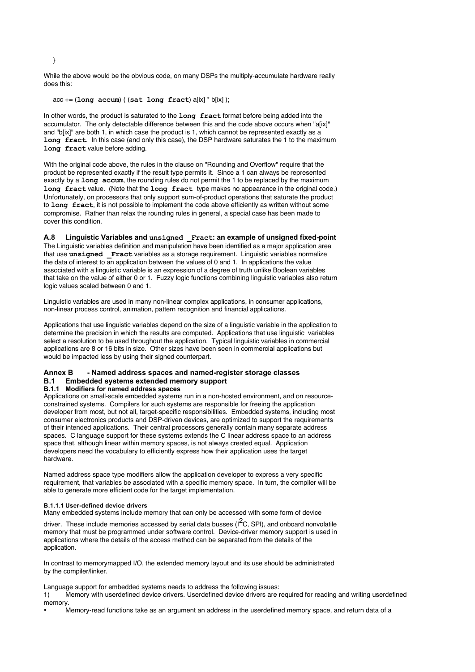While the above would be the obvious code, on many DSPs the multiply-accumulate hardware really does this:

acc += (**long accum**) ( (**sat long fract**) a[ix] \* b[ix] );

In other words, the product is saturated to the **long fract** format before being added into the accumulator. The only detectable difference between this and the code above occurs when "a[ix]" and "b[ix]" are both 1, in which case the product is 1, which cannot be represented exactly as a **long fract**. In this case (and only this case), the DSP hardware saturates the 1 to the maximum **long fract** value before adding.

With the original code above, the rules in the clause on "Rounding and Overflow" require that the product be represented exactly if the result type permits it. Since a 1 can always be represented exactly by a **long accum**, the rounding rules do not permit the 1 to be replaced by the maximum **long fract** value. (Note that the **long fract** type makes no appearance in the original code.) Unfortunately, on processors that only support sum-of-product operations that saturate the product to **long fract**, it is not possible to implement the code above efficiently as written without some compromise. Rather than relax the rounding rules in general, a special case has been made to cover this condition.

**A.8 Linguistic Variables and unsigned \_Fract: an example of unsigned fixed-point** The Linguistic variables definition and manipulation have been identified as a major application area that use **unsigned \_Fract** variables as a storage requirement. Linguistic variables normalize the data of interest to an application between the values of 0 and 1. In applications the value associated with a linguistic variable is an expression of a degree of truth unlike Boolean variables that take on the value of either 0 or 1. Fuzzy logic functions combining linguistic variables also return logic values scaled between 0 and 1.

Linguistic variables are used in many non-linear complex applications, in consumer applications, non-linear process control, animation, pattern recognition and financial applications.

Applications that use linguistic variables depend on the size of a linguistic variable in the application to determine the precision in which the results are computed. Applications that use linguistic variables select a resolution to be used throughout the application. Typical linguistic variables in commercial applications are 8 or 16 bits in size. Other sizes have been seen in commercial applications but would be impacted less by using their signed counterpart.

## **Annex B - Named address spaces and named-register storage classes B.1 Embedded systems extended memory support B.1.1 Modifiers for named address spaces**

Applications on small-scale embedded systems run in a non-hosted environment, and on resourceconstrained systems. Compilers for such systems are responsible for freeing the application developer from most, but not all, target-specific responsibilities. Embedded systems, including most consumer electronics products and DSP-driven devices, are optimized to support the requirements of their intended applications. Their central processors generally contain many separate address spaces. C language support for these systems extends the C linear address space to an address space that, although linear within memory spaces, is not always created equal. Application

developers need the vocabulary to efficiently express how their application uses the target

hardware. Named address space type modifiers allow the application developer to express a very specific requirement, that variables be associated with a specific memory space. In turn, the compiler will be able to generate more efficient code for the target implementation.

#### **B.1.1.1 User-defined device drivers**

Many embedded systems include memory that can only be accessed with some form of device

driver. These include memories accessed by serial data busses (I $^2$ C, SPI), and onboard nonvolatile memory that must be programmed under software control. Device-driver memory support is used in applications where the details of the access method can be separated from the details of the application.

In contrast to memorymapped I/O, the extended memory layout and its use should be administrated by the compiler/linker.

Language support for embedded systems needs to address the following issues:

1) Memory with userdefined device drivers. Userdefined device drivers are required for reading and writing userdefined memory.

• Memory-read functions take as an argument an address in the userdefined memory space, and return data of a

}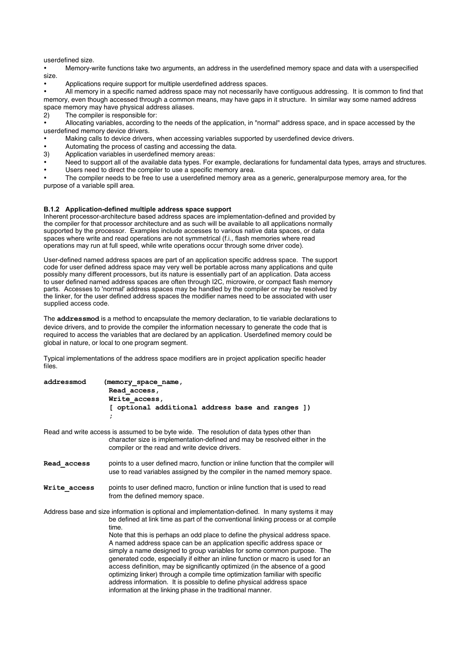$\sim$  Memory-read functions take as an address in the user defined memory space, and return data of and return data of an userdefined size.

• Memory-write functions take two arguments, an address in the userdefined memory space and data with a userspecified size.

• Applications require support for multiple userdefined address spaces.

• All memory in a specific named address space may not necessarily have contiguous addressing. It is common to find that memory, even though accessed through a common means, may have gaps in it structure. In similar way some named address space memory may have physical address aliases.

2) The compiler is responsible for:

• Allocating variables, according to the needs of the application, in "normal" address space, and in space accessed by the userdefined memory device drivers.

- Making calls to device drivers, when accessing variables supported by userdefined device drivers.
- Automating the process of casting and accessing the data.<br>
3) Application variables in userdefined memory areas:
- Application variables in userdefined memory areas:
- Need to support all of the available data types. For example, declarations for fundamental data types, arrays and structures.<br>I lears need to direct the compiler to use a specific memory area.
- Users need to direct the compiler to use a specific memory area.

The compiler needs to be free to use a userdefined memory area as a generic, generalpurpose memory area, for the purpose of a variable spill area.

#### **B.1.2 Application-defined multiple address space support**

Inherent processor-architecture based address spaces are implementation-defined and provided by the compiler for that processor architecture and as such will be available to all applications normally supported by the processor. Examples include accesses to various native data spaces, or data spaces where write and read operations are not symmetrical (f.i., flash memories where read operations may run at full speed, while write operations occur through some driver code).

User-defined named address spaces are part of an application specific address space. The support code for user defined address space may very well be portable across many applications and quite possibly many different processors, but its nature is essentially part of an application. Data access to user defined named address spaces are often through I2C, microwire, or compact flash memory parts. Accesses to 'normal' address spaces may be handled by the compiler or may be resolved by the linker, for the user defined address spaces the modifier names need to be associated with user supplied access code.

The **addressmod** is a method to encapsulate the memory declaration, to tie variable declarations to device drivers, and to provide the compiler the information necessary to generate the code that is required to access the variables that are declared by an application. Userdefined memory could be global in nature, or local to one program segment.

Typical implementations of the address space modifiers are in project application specific header files.

| addressmod | (memory space name,                              |  |  |  |  |  |  |  |  |
|------------|--------------------------------------------------|--|--|--|--|--|--|--|--|
|            | Read access,                                     |  |  |  |  |  |  |  |  |
|            | Write access,                                    |  |  |  |  |  |  |  |  |
|            | [ optional additional address base and ranges ]) |  |  |  |  |  |  |  |  |
|            |                                                  |  |  |  |  |  |  |  |  |
|            |                                                  |  |  |  |  |  |  |  |  |

Read and write access is assumed to be byte wide. The resolution of data types other than character size is implementation-defined and may be resolved either in the compiler or the read and write device drivers.

- **Read\_access** points to a user defined macro, function or inline function that the compiler will use to read variables assigned by the compiler in the named memory space.
- Write access points to user defined macro, function or inline function that is used to read from the defined memory space.
- Address base and size information is optional and implementation-defined. In many systems it may be defined at link time as part of the conventional linking process or at compile time. Note that this is perhaps an odd place to define the physical address space. A named address space can be an application specific address space or simply a name designed to group variables for some common purpose. The

generated code, especially if either an inline function or macro is used for an access definition, may be significantly optimized (in the absence of a good optimizing linker) through a compile time optimization familiar with specific address information. It is possible to define physical address space information at the linking phase in the traditional manner.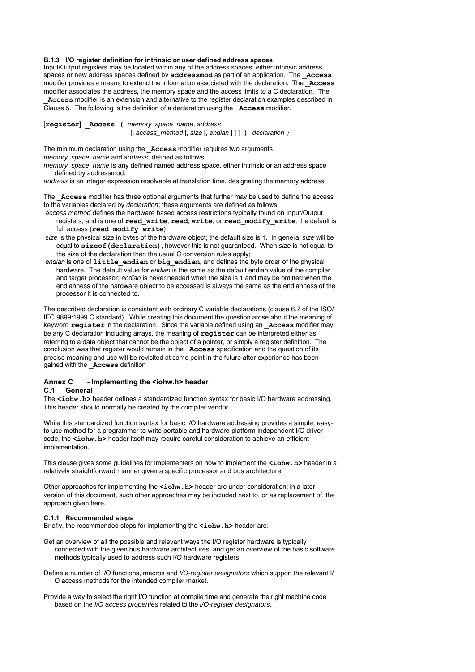## **B.1.3 I/O register definition for intrinsic or user defined address spaces**

Input/Output registers may be located within any of the address spaces: either intrinsic address spaces or new address spaces defined by **addressmod** as part of an application. The **\_Access** modifier provides a means to extend the information associated with the declaration. The **\_Access** modifier associates the address, the memory space and the access limits to a C declaration. The **\_Access** modifier is an extension and alternative to the register declaration examples described in Clause 5. The following is the definition of a declaration using the **\_Access** modifier.

[**register**] **\_Access (** memory\_space\_name, address [, access\_method [, size [, endian ] ] ] **)** declaration **;**

The minimum declaration using the **Access** modifier requires two arguments:

memory\_space\_name and address, defined as follows:

memory space name is any defined named address space, either intrinsic or an address space defined by addressmod;

address is an integer expression resolvable at translation time, designating the memory address.

The **\_Access** modifier has three optional arguments that further may be used to define the access to the variables declared by declaration; these arguments are defined as follows:

- access method defines the hardware based access restrictions typically found on Input/Output registers, and is one of **read\_write**, **read**, **write**, or **read\_modify\_write**; the default is full access (**read\_modify\_write**);
- size is the physical size in bytes of the hardware object; the default size is 1. In general size will be equal to **sizeof(declaration)**, however this is not guaranteed. When size is not equal to the size of the declaration then the usual C conversion rules apply;
- endian is one of **little\_endian** or **big\_endian**, and defines the byte order of the physical hardware. The default value for endian is the same as the default endian value of the compiler and target processor; endian is never needed when the size is 1 and may be omitted when the endianness of the hardware object to be accessed is always the same as the endianness of the processor it is connected to.

The described declaration is consistent with ordinary C variable declarations (clause 6.7 of the ISO/ IEC 9899:1999 C standard). While creating this document the question arose about the meaning of keyword **register** in the declaration. Since the variable defined using an **\_Access** modifier may be any C declaration including arrays, the meaning of **register** can be interpreted either as referring to a data object that cannot be the object of a pointer, or simply a register definition. The conclusion was that register would remain in the **\_Access** specification and the question of its precise meaning and use will be revisited at some point in the future after experience has been gained with the **\_Access** definition

## **Annex C - Implementing the <iohw.h> header**

#### **C.1 General**

The **<iohw.h>** header defines a standardized function syntax for basic I/O hardware addressing. This header should normally be created by the compiler vendor.

While this standardized function syntax for basic I/O hardware addressing provides a simple, easyto-use method for a programmer to write portable and hardware-platform-independent I/O driver code, the <iohw.h> header itself may require careful consideration to achieve an efficient implementation.

This clause gives some guidelines for implementers on how to implement the **<iohw.h>** header in a relatively straightforward manner given a specific processor and bus architecture.

Other approaches for implementing the **<iohw.h>** header are under consideration; in a later version of this document, such other approaches may be included next to, or as replacement of, the approach given here.

#### **C.1.1 Recommended steps**

Briefly, the recommended steps for implementing the **<iohw.h>** header are:

- Get an overview of all the possible and relevant ways the I/O register hardware is typically connected with the given bus hardware architectures, and get an overview of the basic software methods typically used to address such I/O hardware registers.
- Define a number of I/O functions, macros and I/O-register designators which support the relevant I/ O access methods for the intended compiler market.
- Provide a way to select the right I/O function at compile time and generate the right machine code based on the I/O access properties related to the I/O-register designators.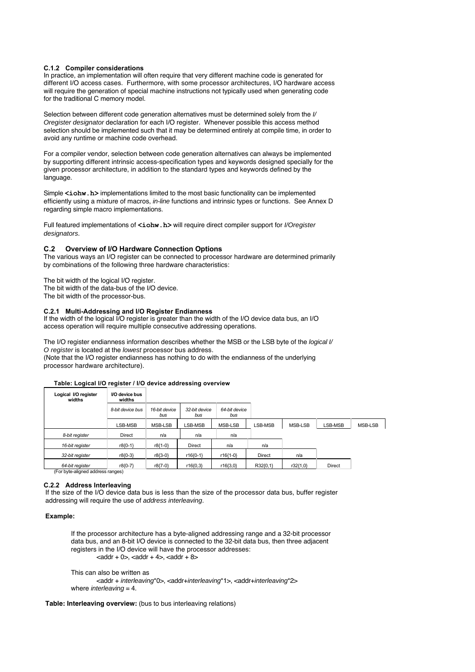## **C.1.2 Compiler considerations**

In practice, an implementation will often require that very different machine code is generated for different I/O access cases. Furthermore, with some processor architectures, I/O hardware access will require the generation of special machine instructions not typically used when generating code for the traditional C memory model.

Selection between different code generation alternatives must be determined solely from the  $V$ Oregister designator declaration for each I/O register. Whenever possible this access method selection should be implemented such that it may be determined entirely at compile time, in order to avoid any runtime or machine code overhead.

For a compiler vendor, selection between code generation alternatives can always be implemented by supporting different intrinsic access-specification types and keywords designed specially for the given processor architecture, in addition to the standard types and keywords defined by the language.

Simple  $\leq$ **iohw.h>** implementations limited to the most basic functionality can be implemented efficiently using a mixture of macros, in-line functions and intrinsic types or functions. See Annex D regarding simple macro implementations.

Full featured implementations of **<iohw.h>** will require direct compiler support for *l/Oregister* designators.

## **C.2 Overview of I/O Hardware Connection Options**

The various ways an I/O register can be connected to processor hardware are determined primarily by combinations of the following three hardware characteristics:

The bit width of the logical I/O register.

The bit width of the data-bus of the I/O device.

The bit width of the processor-bus.

#### **C.2.1 Multi-Addressing and I/O Register Endianness**

If the width of the logical I/O register is greater than the width of the I/O device data bus, an I/O access operation will require multiple consecutive addressing operations.

The I/O register endianness information describes whether the MSB or the LSB byte of the logical I/ O register is located at the lowest processor bus address. (Note that the I/O register endianness has nothing to do with the endianness of the underlying processor hardware architecture).

## **Table: Logical I/O register / I/O device addressing overview**

| Logical I/O register<br>widths | I/O device bus<br>widths |                      |                      |                      |               |          |         |         |
|--------------------------------|--------------------------|----------------------|----------------------|----------------------|---------------|----------|---------|---------|
|                                | 8-bit device bus         | 16-bit device<br>bus | 32-bit device<br>bus | 64-bit device<br>bus |               |          |         |         |
|                                | LSB-MSB                  | MSB-LSB              | LSB-MSB              | MSB-LSB              | LSB-MSB       | MSB-LSB  | LSB-MSB | MSB-LSB |
| 8-bit register                 | <b>Direct</b>            | n/a                  | n/a                  | n/a                  |               |          |         |         |
| 16-bit register                | r8{0-1}                  | r8{1-0}              | <b>Direct</b>        | n/a                  | n/a           |          |         |         |
| 32-bit register                | r8{0-3}                  | $r8{3-0}$            | r16{0-1}             | r16{1-0}             | <b>Direct</b> | n/a      |         |         |
| 64-bit register                | r8{0-7}                  | r8{7-0}              | r16{0,3}             | $r16{3,0}$           | R32{0,1}      | r32{1,0} | Direct  |         |

(For byte-aligned address ranges)

## **C.2.2 Address Interleaving**

If the size of the I/O device data bus is less than the size of the processor data bus, buffer register addressing will require the use of address interleaving.

## **Example:**

If the processor architecture has a byte-aligned addressing range and a 32-bit processor data bus, and an 8-bit I/O device is connected to the 32-bit data bus, then three adjacent registers in the I/O device will have the processor addresses:  $\alpha$  <addr + 0>,  $\alpha$ ddr + 4>,  $\alpha$ ddr + 8>

This can also be written as

<addr + interleaving\*0>, <addr+interleaving\*1>, <addr+interleaving\*2> where *interleaving* =  $4$ .

**Table: Interleaving overview:** (bus to bus interleaving relations)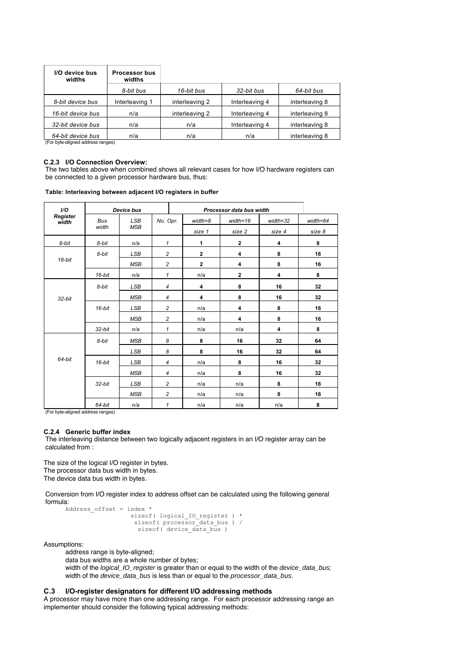| I/O device bus<br>widths | <b>Processor bus</b><br>widths |                |                |                |
|--------------------------|--------------------------------|----------------|----------------|----------------|
|                          | 8-bit bus                      | 16-bit bus     | 32-bit bus     | 64-bit bus     |
| 8-bit device bus         | Interleaving 1                 | interleaving 2 | Interleaving 4 | interleaving 8 |
| 16-bit device bus        | n/a                            | interleaving 2 | Interleaving 4 | interleaving 8 |
| 32-bit device bus        | n/a                            | n/a            | Interleaving 4 | interleaving 8 |
| 64-bit device bus        | n/a                            | n/a            | n/a            | interleaving 8 |

(For byte-aligned address ranges)

#### **C.2.3 I/O Connection Overview:**

The two tables above when combined shows all relevant cases for how I/O hardware registers can be connected to a given processor hardware bus, thus:

| I/O               |            | <b>Device bus</b> |                |  |              | Processor data bus width |          |              |
|-------------------|------------|-------------------|----------------|--|--------------|--------------------------|----------|--------------|
| Register<br>width | <b>Bus</b> | <b>LSB</b>        | No. Opr.       |  | $width = 8$  | $width = 16$             | width=32 | $width = 64$ |
|                   | width      | <b>MSB</b>        |                |  | size 1       | size 2                   | size 4   | size 8       |
| 8-bit             | 8-bit      | n/a               | $\mathbf{1}$   |  | 1            | $\mathbf 2$              | 4        | 8            |
|                   | 8-bit      | <b>LSB</b>        | $\overline{c}$ |  | $\mathbf{2}$ | 4                        | 8        | 16           |
| $16$ -bit         |            | <b>MSB</b>        | $\overline{c}$ |  | $\mathbf{2}$ | 4                        | 8        |              |
|                   | $16$ -bit  | n/a               | $\mathbf{1}$   |  | n/a          | $\mathbf 2$              | 4        | 8            |
| 32-bit            | 8-bit      | <b>LSB</b>        | $\overline{4}$ |  | 4            | 8                        | 16       | 32           |
|                   |            | <b>MSB</b>        | $\overline{4}$ |  | 4            | 8                        | 16       | 32           |
|                   | $16$ -bit  | <b>LSB</b>        | $\overline{c}$ |  | n/a          | 4                        | 8        | 16           |
|                   |            | <b>MSB</b>        | $\overline{c}$ |  | n/a          | 4                        | 8        | 16           |
|                   | 32-bit     | n/a               | $\mathbf{1}$   |  | n/a          | n/a                      | 4        | 8            |
|                   | 8-bit      | <b>MSB</b>        | 8              |  | 8            | 16                       | 32       | 64           |
|                   |            | <b>LSB</b>        | 8              |  | 8            | 16                       | 32       | 64           |
| 64-bit            | $16$ -bit  | <b>LSB</b>        | $\overline{4}$ |  | n/a          | 8                        | 16       | 32           |
|                   |            | <b>MSB</b>        | $\overline{4}$ |  | n/a          | 8                        | 16       | 32           |
|                   | 32-bit     | <b>LSB</b>        | $\overline{c}$ |  | n/a          | n/a                      | 8        | 16           |
|                   |            | <b>MSB</b>        | $\overline{c}$ |  | n/a          | n/a                      | 8        | 16           |
|                   | 64-bit     | n/a               | $\mathbf{1}$   |  | n/a          | n/a                      | n/a      | 8            |

**Table: Interleaving between adjacent I/O registers in buffer**

(For byte-aligned address ranges)

#### **C.2.4 Generic buffer index**

The interleaving distance between two logically adjacent registers in an I/O register array can be calculated from :

The size of the logical I/O register in bytes. The processor data bus width in bytes. The device data bus width in bytes.

Conversion from I/O register index to address offset can be calculated using the following general formula:

```
Address offset = index * sizeof( logical_IO_register ) * 
 sizeof( processor_data_bus ) / 
 sizeof( device_data_bus )
```
Assumptions:

address range is byte-aligned;

data bus widths are a whole number of bytes;

width of the logical\_IO\_register is greater than or equal to the width of the device\_data\_bus; width of the *device\_data\_bus* is less than or equal to the *processor\_data\_bus.* 

## **C.3 I/O-register designators for different I/O addressing methods**

A processor may have more than one addressing range. For each processor addressing range an implementer should consider the following typical addressing methods: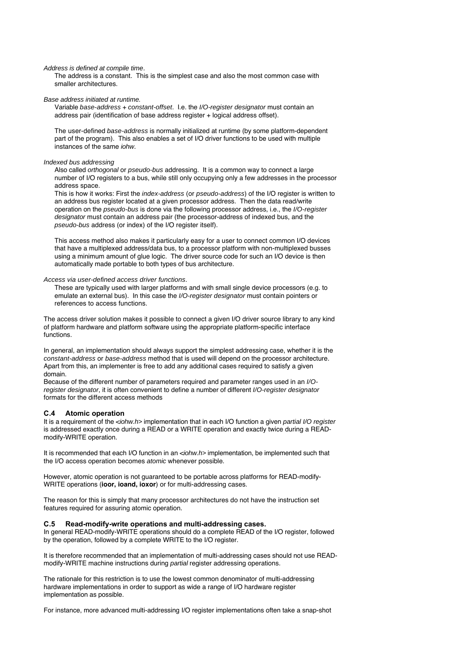Address is defined at compile time.

The address is a constant. This is the simplest case and also the most common case with smaller architectures.

Base address initiated at runtime.

Variable base-address + constant-offset. I.e. the I/O-register designator must contain an address pair (identification of base address register + logical address offset).

The user-defined base-address is normally initialized at runtime (by some platform-dependent part of the program). This also enables a set of I/O driver functions to be used with multiple instances of the same iohw.

#### Indexed bus addressing

Also called orthogonal or pseudo-bus addressing. It is a common way to connect a large number of I/O registers to a bus, while still only occupying only a few addresses in the processor address space.

This is how it works: First the index-address (or pseudo-address) of the I/O register is written to an address bus register located at a given processor address. Then the data read/write operation on the pseudo-bus is done via the following processor address, i.e., the I/O-register designator must contain an address pair (the processor-address of indexed bus, and the pseudo-bus address (or index) of the I/O register itself).

This access method also makes it particularly easy for a user to connect common I/O devices that have a multiplexed address/data bus, to a processor platform with non-multiplexed busses using a minimum amount of glue logic. The driver source code for such an I/O device is then automatically made portable to both types of bus architecture.

#### Access via user-defined access driver functions.

These are typically used with larger platforms and with small single device processors (e.g. to emulate an external bus). In this case the I/O-register designator must contain pointers or references to access functions.

The access driver solution makes it possible to connect a given I/O driver source library to any kind of platform hardware and platform software using the appropriate platform-specific interface functions.

In general, an implementation should always support the simplest addressing case, whether it is the constant-address or base-address method that is used will depend on the processor architecture. Apart from this, an implementer is free to add any additional cases required to satisfy a given domain.

Because of the different number of parameters required and parameter ranges used in an I/Oregister designator, it is often convenient to define a number of different I/O-register designator formats for the different access methods

#### **C.4 Atomic operation**

It is a requirement of the <iohw.h> implementation that in each I/O function a given partial I/O register is addressed exactly once during a READ or a WRITE operation and exactly twice during a READmodify-WRITE operation.

It is recommended that each I/O function in an  $\lt$ iohw.h> implementation, be implemented such that the I/O access operation becomes atomic whenever possible.

However, atomic operation is not guaranteed to be portable across platforms for READ-modify-WRITE operations (**ioor, ioand, ioxor**) or for multi-addressing cases.

The reason for this is simply that many processor architectures do not have the instruction set features required for assuring atomic operation.

## **C.5 Read-modify-write operations and multi-addressing cases.**

In general READ-modify-WRITE operations should do a complete READ of the I/O register, followed by the operation, followed by a complete WRITE to the I/O register.

It is therefore recommended that an implementation of multi-addressing cases should not use READmodify-WRITE machine instructions during partial register addressing operations.

The rationale for this restriction is to use the lowest common denominator of multi-addressing hardware implementations in order to support as wide a range of I/O hardware register implementation as possible.

For instance, more advanced multi-addressing I/O register implementations often take a snap-shot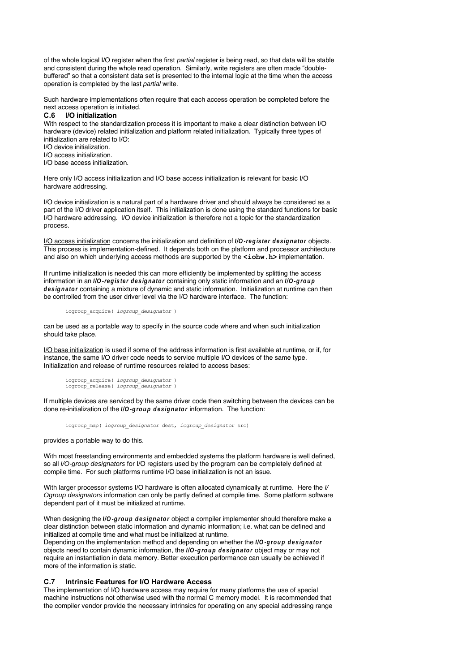of the whole logical I/O register when the first partial register is being read, so that data will be stable and consistent during the whole read operation. Similarly, write registers are often made "doublebuffered" so that a consistent data set is presented to the internal logic at the time when the access operation is completed by the last partial write.

Such hardware implementations often require that each access operation be completed before the next access operation is initiated.

## **C.6 I/O initialization**

With respect to the standardization process it is important to make a clear distinction between I/O hardware (device) related initialization and platform related initialization. Typically three types of initialization are related to I/O:

- I/O device initialization.
- I/O access initialization.
- I/O base access initialization.

Here only I/O access initialization and I/O base access initialization is relevant for basic I/O hardware addressing.

I/O device initialization is a natural part of a hardware driver and should always be considered as a part of the I/O driver application itself. This initialization is done using the standard functions for basic I/O hardware addressing. I/O device initialization is therefore not a topic for the standardization process.

I/O access initialization concerns the initialization and definition of **I/O-register designator** objects. This process is implementation-defined. It depends both on the platform and processor architecture and also on which underlying access methods are supported by the **<iohw.h>** implementation.

If runtime initialization is needed this can more efficiently be implemented by splitting the access information in an **I/O-register designator** containing only static information and an **I/O-group designator** containing a mixture of dynamic and static information. Initialization at runtime can then be controlled from the user driver level via the I/O hardware interface. The function:

#### iogroup\_acquire( *iogroup\_designator* )

can be used as a portable way to specify in the source code where and when such initialization should take place.

I/O base initialization is used if some of the address information is first available at runtime, or if, for instance, the same I/O driver code needs to service multiple I/O devices of the same type. Initialization and release of runtime resources related to access bases:

```
iogroup_acquire( iogroup_designator )
iogroup_release( iogroup_designator )
```
If multiple devices are serviced by the same driver code then switching between the devices can be done re-initialization of the **I/O-group designator** information. The function:

iogroup\_map( *iogroup\_designator* dest, *iogroup\_designator* src)

provides a portable way to do this.

With most freestanding environments and embedded systems the platform hardware is well defined, so all I/O-group designators for I/O registers used by the program can be completely defined at compile time. For such platforms runtime I/O base initialization is not an issue.

With larger processor systems I/O hardware is often allocated dynamically at runtime. Here the I/ Ogroup designators information can only be partly defined at compile time. Some platform software dependent part of it must be initialized at runtime.

When designing the **I/O-group designator** object a compiler implementer should therefore make a clear distinction between static information and dynamic information; i.e. what can be defined and initialized at compile time and what must be initialized at runtime.

Depending on the implementation method and depending on whether the **I/O-group designator** objects need to contain dynamic information, the **I/O-group designator** object may or may not require an instantiation in data memory. Better execution performance can usually be achieved if more of the information is static.

## **C.7 Intrinsic Features for I/O Hardware Access**

The implementation of I/O hardware access may require for many platforms the use of special machine instructions not otherwise used with the normal C memory model. It is recommended that the compiler vendor provide the necessary intrinsics for operating on any special addressing range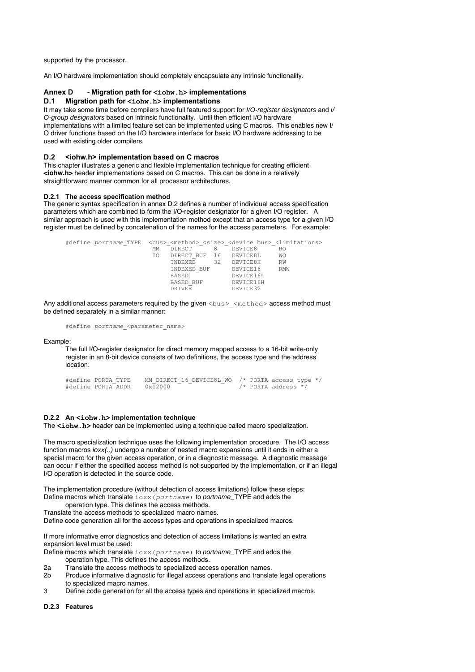supported by the processor.

An I/O hardware implementation should completely encapsulate any intrinsic functionality.

## **Annex D - Migration path for <iohw.h> implementations**

## **D.1 Migration path for <iohw.h> implementations**

It may take some time before compilers have full featured support for *I/O-register designators* and *I/* O-group designators based on intrinsic functionality. Until then efficient I/O hardware implementations with a limited feature set can be implemented using C macros. This enables new I/ O driver functions based on the I/O hardware interface for basic I/O hardware addressing to be used with existing older compilers.

#### **D.2 <iohw.h> implementation based on C macros**

This chapter illustrates a generic and flexible implementation technique for creating efficient **<iohw.h>** header implementations based on C macros. This can be done in a relatively straightforward manner common for all processor architectures.

## **D.2.1 The access specification method**

The generic syntax specification in annex D.2 defines a number of individual access specification parameters which are combined to form the I/O-register designator for a given I/O register. A similar approach is used with this implementation method except that an access type for a given I/O register must be defined by concatenation of the names for the access parameters. For example:

| #define portname TYPE<br>><br><br>><br>device bus> <limitations></limitations> |    |                |    |           |            |
|--------------------------------------------------------------------------------|----|----------------|----|-----------|------------|
|                                                                                | МM | DIRECT         | 8  | DEVICE8   | R0         |
|                                                                                | IΟ | DIRECT BUF 16  |    | DEVICE8L  | <b>WO</b>  |
|                                                                                |    | <b>TNDEXED</b> | 32 | DEVICE8H  | RW         |
|                                                                                |    | INDEXED BUF    |    | DEVICE16  | <b>RMW</b> |
|                                                                                |    | BASED          |    | DEVICE16L |            |
|                                                                                |    | BASED BUF      |    | DEVICE16H |            |
|                                                                                |    | DRIVER         |    | DEVICE32  |            |
|                                                                                |    |                |    |           |            |

Any additional access parameters required by the given <br/>bus> <method> access method must be defined separately in a similar manner:

#define *portname*\_<parameter\_name>

#### Example:

The full I/O-register designator for direct memory mapped access to a 16-bit write-only register in an 8-bit device consists of two definitions, the access type and the address location:

```
#define PORTA_TYPE MM_DIRECT_16_DEVICE8L_WO /* PORTA access type */
                                              /* PORTA address */
```
## **D.2.2 An <iohw.h> implementation technique**

The **<iohw.h>** header can be implemented using a technique called macro specialization.

The macro specialization technique uses the following implementation procedure. The I/O access function macros  $i\text{o}xx$ (..) undergo a number of nested macro expansions until it ends in either a special macro for the given access operation, or in a diagnostic message. A diagnostic message can occur if either the specified access method is not supported by the implementation, or if an illegal I/O operation is detected in the source code.

The implementation procedure (without detection of access limitations) follow these steps: Define macros which translate ioxx(*portname*) to portname\_TYPE and adds the operation type. This defines the access methods.

Translate the access methods to specialized macro names.

Define code generation all for the access types and operations in specialized macros.

If more informative error diagnostics and detection of access limitations is wanted an extra expansion level must be used:

Define macros which translate ioxx(*portname*) to portname\_TYPE and adds the operation type. This defines the access methods.

- 2a Translate the access methods to specialized access operation names.
- 2b Produce informative diagnostic for illegal access operations and translate legal operations to specialized macro names.
- 3 Define code generation for all the access types and operations in specialized macros.

#### **D.2.3 Features**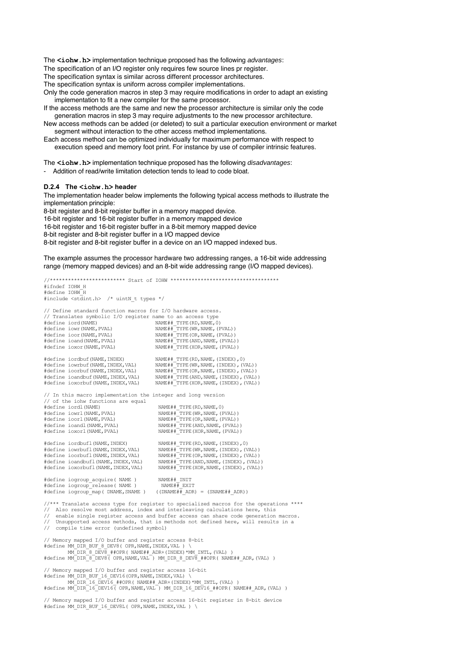The **<iohw.h>** implementation technique proposed has the following advantages:

The specification of an I/O register only requires few source lines pr register.

The specification syntax is similar across different processor architectures.

The specification syntax is uniform across compiler implementations.

Only the code generation macros in step 3 may require modifications in order to adapt an existing implementation to fit a new compiler for the same processor.

If the access methods are the same and new the processor architecture is similar only the code generation macros in step 3 may require adjustments to the new processor architecture.

New access methods can be added (or deleted) to suit a particular execution environment or market segment without interaction to the other access method implementations.

Each access method can be optimized individually for maximum performance with respect to execution speed and memory foot print. For instance by use of compiler intrinsic features.

The **<iohw.h>** implementation technique proposed has the following *disadvantages*:

Addition of read/write limitation detection tends to lead to code bloat.

## **D.2.4 The <iohw.h> header**

The implementation header below implements the following typical access methods to illustrate the implementation principle:

8-bit register and 8-bit register buffer in a memory mapped device. 16-bit register and 16-bit register buffer in a memory mapped device 16-bit register and 16-bit register buffer in a 8-bit memory mapped device 8-bit register and 8-bit register buffer in a I/O mapped device 8-bit register and 8-bit register buffer in a device on an I/O mapped indexed bus.

The example assumes the processor hardware two addressing ranges, a 16-bit wide addressing range (memory mapped devices) and an 8-bit wide addressing range (I/O mapped devices).

//\*\*\*\*\*\*\*\*\*\*\*\*\*\*\*\*\*\*\*\*\*\*\*\*\* Start of IOHW \*\*\*\*\*\*\*\*\*\*\*\*\*\*\*\*\*\*\*\*\*\*\*\*\*\*\*\*\*\*\*\*\*\*\*\* #ifndef IOHW\_H #define IOHW\_H #include <stdint.h> /\* uintN\_t types \*/ // Define standard function macros for I/O hardware access. // Translates symbolic I/O register name to an access type %<br>#define iowr(NAME,PVAL)## #define iowr(NAME,PVAL) NAME##\_TYPE(WR,NAME,(PVAL))<br>#define ioor(NAME,PVAL) NAME##\_TYPE(OR,NAME,(PVAL))<br>#define ioand(NAME,PVAL) NAME##\_TYPE(AND,NAME,(PVAL)) #define ioxor(NAME,PVAL) NAME##\_TYPE(XOR,NAME,(PVAL)) #define iordbuf(NAME,INDEX) NAME##\_TYPE(RD,NAME,(INDEX),0)<br>#define iowrbuf(NAME,INDEX,VAL) NAME##\_TYPE(WR,NAME,(INDEX),(V #define iowrbuf(NAME,INDEX,VAL) NAME##\_TYPE(WR,NAME,(INDEX),(VAL))<br>#define ioorbuf(NAME,INDEX,VAL) NAME##\_TYPE(OR,NAME,(INDEX),(VAL)) #define ioorbuf(NAME,INDEX,VAL) NAME##\_TYPE(OR,NAME,(INDEX),(VAL))<br>#define ioandbuf(NAME,INDEX,VAL) NAME##\_TYPE(AND,NAME,(INDEX),(VAL))<br>#define ioxorbuf(NAME,INDEX,VAL) NAME##\_TYPE(XOR,NAME,(INDEX),(VAL)) // In this macro implementation the integer and long version // of the iohw functions are equal<br>#define iordl(NAME) #define iordl(NAME) NAME##\_TYPE(RD,NAME,0) #define iowrl(NAME,PVAL) NAME##\_TYPE(WR,NAME,(PVAL)) #define ioorl(NAME,PVAL) NAME##\_TYPE(OR,NAME,(PVAL)) #define ioandl(NAME,PVAL) NAME##\_TYPE(AND,NAME,(PVAL)) #define ioxorl(NAME,PVAL) NAME##\_TYPE(XOR,NAME,(PVAL)) #define iordbufl(NAME,INDEX) NAME##\_TYPE(RD,NAME,(INDEX),0)<br>#define iowrbufl(NAME,INDEX,VAL) NAME##\_TYPE(WR,NAME,(INDEX),(V #define iowrbufl(NAME,INDEX,VAL) NAME##\_TYPE(WR,NAME,(INDEX),(VAL))<br>#define ioorbufl(NAME,INDEX,VAL) NAME##\_TYPE(OR,NAME,(INDEX),(VAL))<br>#define ioandbufl(NAME,INDEX,VAL) NAME##\_TYPE(AND,NAME,(INDEX),(VAL)) #define ioxorbufl(NAME,INDEX,VAL) NAME##\_TYPE(XOR,NAME,(INDEX),(VAL)) #define iogroup\_acquire( NAME ) NAME##\_INIT #define iogroup\_release( NAME ) #define iogroup\_map( DNAME,SNAME ) ((DNAME##\_ADR) = (SNAME##\_ADR)) //\*\*\* Translate access type for register to specialized macros for the operations \*\*\*\* // Also resolve most address, index and interleaving calculations here, this enable single register access and buffer access can share code generation macros. // Unsupported access methods, that is methods not defined here, will results in a // compile time error (undefined symbol) // Memory mapped I/O buffer and register access 8-bit #define MM\_DIR\_BUF\_8\_DEV8( OPR,NAME,INDEX,VAL ) \<br>MM\_DIR\_8\_DEV8\_##OPR( NAME##\_ADR+(INDEX)\*MM\_INTL,(VAL) )<br>#define MM\_DIR\_8\_DEV8( OPR,NAME,VAL ) MM\_DIR\_8\_DEV8\_##OPR( NAME##\_ADR,(VAL) ) // Memory mapped I/O buffer and register access 16-bit #define MM\_DIR\_BUF\_16\_DEV16(OPR,NAME,INDEX,VAL) \ MM\_DIR\_16\_DEV16\_##OPR( NAME##\_ADR+(INDEX)\*MM\_INTL,(VAL) ) #define MM\_DIR\_16\_DEV16( OPR,NAME,VAL ) MM\_DIR\_16\_DEV16\_##OPR( NAME##\_ADR,(VAL) )

// Memory mapped I/O buffer and register access 16-bit register in 8-bit device #define MM\_DIR\_BUF\_16\_DEV8L( OPR,NAME,INDEX,VAL ) \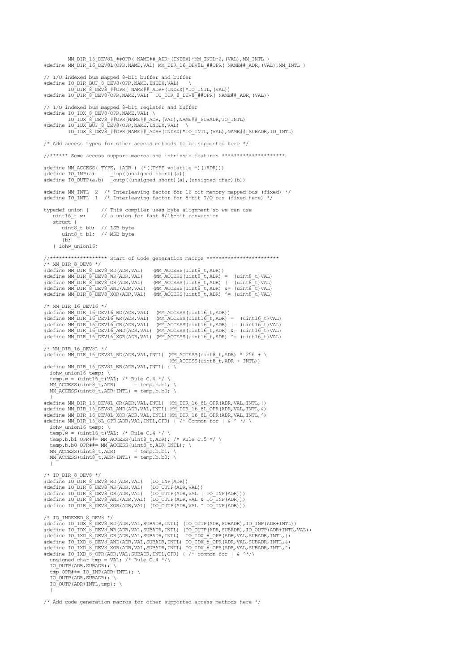```
MM_DIR_16_DEV8L_##OPR( NAME##_ADR+(INDEX)*MM_INTL*2,(VAL),MM_INTL )<br>#define MM_DIR_16_DEV8L(OPR,NAME,VAL) MM_DIR_16_DEV8L_##OPR( NAME##_ADR,(VAL),MM_INTL )
// I/O indexed bus mapped 8-bit buffer and buffer<br>#define IO DIR BUF 8 DEV8(OPR,NAME,INDEX,VAL) \
             IO_DIR_8_DEV8_##OPR( NAME##_ADR+(INDEX)*IO_INTL,(VAL))
#define IO_DIR_8_DEV8(OPR,NAME,VAL) IO_DIR_8_DEV8_##OPR( NAME##_ADR,(VAL))
// I/O indexed bus mapped 8-bit register and buffer
#define IO_IDX_8_DEV8(OPR,NAME,VAL) \
 IO_IDX_8_DEV8_##OPR(NAME##_ADR,(VAL),NAME##_SUBADR,IO_INTL)
#define IO_IDX_BUF_8_DEV8(OPR,NAME, INDEX,VAL)
             IO_IDX_8_DEV8_##OPR(NAME##_ADR+(INDEX)*IO_INTL,(VAL),NAME##_SUBADR,IO_INTL)
/* Add access types for other access methods to be supported here */
//****** Some access support macros and intrinsic features *********************

#define MM_ACCESS( TYPE, lADR ) (*((TYPE volatile *)(lADR)))
#define IO_INP(a) _inp((unsigned short)(a))
#define IO_OUTP(a,b) _outp((unsigned short)(a),(unsigned char)(b))
#define MM_INTL 2 /* Interleaving factor for 16-bit memory mapped bus (fixed) */
#define IO_INTL 1 /* Interleaving factor for 8-bit I/O bus (fixed here) */
typedef union { // This compiler uses byte alignment so we can use uintl6_t w; // a union for fast 8/16-bit conversion
                          \frac{1}{4} a union for fast 8/16-bit conversion
    struct<sup>-</sup>{
 uint8_t b0; // LSB byte 
 uint8_t b1; // MSB byte 
         |b:
     } iohw_union16;
//******************* Start of Code generation macros ************************
/* MM DIR 8 DEV8 */#define MM_DIR_8_DEV8_RD(ADR,VAL) (MM_ACCESS(uint8_t,ADR))
#define MM_DIR_8_DEV8_NR(ADR,VAL) (MM_ACCESS(uint8_t,ADR) = (uint8_t)VAL)<br>#define MM_DIR_8_DEV8_OR(ADR,VAL) (MM_ACCESS(uint8_t,ADR) |= (uint8_t)VAL)<br>#define MM_DIR_8_DEV8_AND(ADR,VAL) (MM_ACCESS(uint8_t,ADR) &= (uint8_t)VA
/* MM_DIR_16_DEV16 */
#define MM_DIR_16_DEV16_RD(ADR,VAL) (MM_ACCESS(uint16_t,ADR))<br>#define MM_DIR_16_DEV16_WR(ADR,VAL) (MM_ACCESS(uint16_t,ADR) = (uint16_t)VAL)<br>#define MM_DIR_16_DEV16_OR(ADR,VAL) (MM_ACCESS(uint16_t,ADR) |= (uint16_t)VAL)<br>#de
/* MM_DIR_16_DEV8L */
#define \overline{M}_DIR_16_DEV8L_RD(ADR,VAL,INTL) (M<sup>_</sup>ACCESS(uint8_t,ADR) * 256 + \
                                                              MMM ACCESS(uint8 t, ADR + INTL))
#define MM_DIR_16_DEV8L_WR(ADR,VAL,INTL) { \
iohw_union16 temp; \<br>temp.w = (uint16 t)VAL; /* Rule C.4 */ \
 MM_ACCESS(uint8_t,ADR) = temp.b.b1; \
 MM_ACCESS(uint8_t,ADR+INTL) = temp.b.b0; \
)<br>#define MM_DIR_16_DEV8L_OR(ADR,VAL,INTL) MM_DIR_16_8L_OPR(ADR,VAL,INTL,|)<br>#define MM_DIR_16_DEV8L_AND(ADR,VAL,INTL) MM_DIR_16_8L_OPR(ADR,VAL,INTL,&)<br>#define MM_DIR_16_DEV8L_XOR(ADR,VAL,INTL) MM_DIR_16_8L_OPR(ADR,VAL,INTL
#define MM_DIR_16_8L_OPR(ADR, VAL, INTL, OPR) { /* Common for | & ^ */
iohw_union16 temp; \<br>temp.w = (uint16_t)VAL; /* Rule C.4 */ \
   temp.b.b1 OPR##= MM ACCESS(uint8 t,ADR); /* Rule C.5 */ \
   temp.b.b0 OPR##= M\overline{ACCESS}(uint8\overline{t},ADR+INTL); \<br>MM_ACCESS(uint8\overline{t},ADR) = temp.b.b1; \
  MM ACCESS (uint8 t, \overline{ADR})
  M \angle ACCESS (uint8 \pm, ADR+INTL) = temp.b.b0;
 }
/* IO_DIR_8_DEV8 */
#define IO_DIR_8_DEV8_RD(ADR,VAL) (IO_INP(ADR))
#define IO_DIR_8_DEV8_WR(ADR,VAL) (IO_OUTP(ADR,VAL))
#define IO_DIR_8_DEV8_OR(ADR,VAL) (IO_OUTP(ADR,VAL | IO_INP(ADR)))
#define IO_DIR_8_DEV8_AND(ADR,VAL) (IO_OUTP(ADR,VAL & IO_INP(ADR)))
#define IO_DIR_8_DEV8_XOR(ADR,VAL) (IO_OUTP(ADR,VAL ^ IO_INP(ADR)))
/* IO INDEXED 8 DEV8 */#define IO_IDX_8_DEV8_RD(ADR,VAL,SUBADR,INTL) (IO_OUTP(ADR,SUBADR),IO_INP(ADR+INTL))
#define IO_IDX_8_DEV8_WR(ADR,VAL,SUBADR,INTL) (IO_OUTP(ADR,SUBADR),IO_OUTP(ADR+INTL,VAL))<br>#define IO_IXD_8_DEV8_OR(ADR,VAL,SUBADR,INTL) IO_IDX_8_OPR(ADR,VAL,SUBADR,INTL,|)
#define IO_IXD_8_DEV8_AND(ADR,VAL,SUBADR,INTL) IO_IDX_8_OPR(ADR,VAL,SUBADR,INTL,&)<br>#define IO_IXD_8_DEV8_XOR(ADR,VAL,SUBADR,INTL) IO_IDX_8_OPR(ADR,VAL,SUBADR,INTL,^)<br>#define IO_IXD_8_OPR(ADR,VAL,SUBADR,INTL,OPR) { /* commo
  unsigned char tmp = VAL; /* Rule C.4 */\
   IO_OUTP(ADR, SUBADR); \setminustmp OPR##= IO INP(ADR+INTL); \
   IO_OUTP(ADR, SUBADR);
  IO_OUTP(ADR+INTL, tmp); \
 }
```
/\* Add code generation macros for other supported access methods here \*/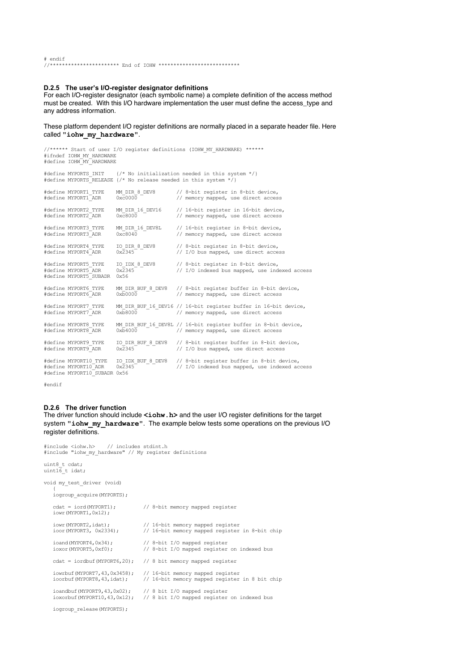# endif //\*\*\*\*\*\*\*\*\*\*\*\*\*\*\*\*\*\*\*\*\*\*\* End of IOHW \*\*\*\*\*\*\*\*\*\*\*\*\*\*\*\*\*\*\*\*\*\*\*\*\*\*\*

#### **D.2.5 The user's I/O-register designator definitions**

For each I/O-register designator (each symbolic name) a complete definition of the access method must be created. With this I/O hardware implementation the user must define the access\_type and any address information.

These platform dependent I/O register definitions are normally placed in a separate header file. Here called **"iohw\_my\_hardware"**.

| #ifndef IOHW MY HARDWARE<br>#define IOHW MY HARDWARE                          |                                                                  | //****** Start of user I/O register definitions (IOHW MY HARDWARE) ******                              |
|-------------------------------------------------------------------------------|------------------------------------------------------------------|--------------------------------------------------------------------------------------------------------|
| #define MYPORTS INIT                                                          | #define MYPORTS RELEASE {/* No release needed in this system */} | $\frac{1}{x}$ No initialization needed in this system $\frac{x}{1}$                                    |
| #define MYPORT1 TYPE<br>#define MYPORT1 ADR                                   | MM DIR 8 DEV8<br>$0 \times 00000$                                | // 8-bit register in 8-bit device,<br>// memory mapped, use direct access                              |
| #define MYPORT2 TYPE<br>#define MYPORT2 ADR                                   | MM DIR 16 DEV16<br>$0 \times 8000$                               | // 16-bit register in 16-bit device,<br>// memory mapped, use direct access                            |
| #define MYPORT3 TYPE<br>#define MYPORT3 ADR                                   | MM DIR 16 DEV8L<br>$0 \times 6040$                               | // 16-bit register in 8-bit device,<br>// memory mapped, use direct access                             |
| #define MYPORT4 TYPE<br>#define MYPORT4 ADR                                   | IO DIR 8 DEV8<br>$0 \times 2345$                                 | // 8-bit register in 8-bit device,<br>// I/O bus mapped, use direct access                             |
| #define MYPORT5 TYPE<br>#define MYPORT5 ADR<br>#define MYPORT5 SUBADR         | IO IDX 8 DEV8<br>$0x\overline{2}345$ <sup>--</sup><br>0x56       | // 8-bit register in 8-bit device,<br>// I/O indexed bus mapped, use indexed access                    |
| #define MYPORT6 TYPE<br>#define MYPORT6 ADR                                   | MM DIR BUF 8 DEV8<br>$0 \times 0.000$                            | // 8-bit register buffer in 8-bit device,<br>// memory mapped, use direct access                       |
| #define MYPORT7 TYPE<br>#define MYPORT7 ADR                                   | $0xb8000$ –                                                      | MM DIR BUF 16 DEV16 // 16-bit register buffer in 16-bit device,<br>// memory mapped, use direct access |
| #define MYPORT8 TYPE<br>#define MYPORT8 ADR                                   | $0x\overline{b}4000$                                             | MM DIR BUF 16 DEV8L // 16-bit register buffer in 8-bit device,<br>// memory mapped, use direct access  |
| #define MYPORT9 TYPE<br>#define MYPORT9 ADR                                   | IO DIR BUF 8 DEV8<br>$0x\overline{2}345$                         | // 8-bit register buffer in 8-bit device,<br>// I/O bus mapped, use direct access                      |
| #define MYPORT10 TYPE<br>#define MYPORT10 ADR<br>#define MYPORT10 SUBADR 0x56 | IO IDX BUF 8 DEV8<br>$0x\overline{2}345$                         | // 8-bit register buffer in 8-bit device,<br>// I/O indexed bus mapped, use indexed access             |

#endif

## **D.2.6 The driver function**

The driver function should include <iohw.h> and the user I/O register definitions for the target system **"iohw\_my\_hardware"**. The example below tests some operations on the previous I/O register definitions.

#include <iohw.h> // includes stdint.h #include "iohw\_my\_hardware" // My register definitions

uint8\_t cdat;<br>uint16 t idat;

void my\_test\_driver (void) {

| iogroup acquire (MYPORTS);                                                                            |                                                                                    |  |
|-------------------------------------------------------------------------------------------------------|------------------------------------------------------------------------------------|--|
| $\text{cdat} = \text{iord}(\text{MYPORT1});$<br>iowr (MYPORT1, 0x12);                                 | // 8-bit memory mapped register                                                    |  |
| iowr(MYPORT2, idat);<br>ioor(MYPORT3, 0x2334);                                                        | // 16-bit memory mapped register<br>// 16-bit memory mapped register in 8-bit chip |  |
| $i$ oand (MYPORT4, 0x34);<br>ioxor (MYPORT5, 0xf0);                                                   | // 8-bit I/O mapped register<br>// 8-bit I/O mapped register on indexed bus        |  |
| $\text{cdat} = \text{iordbuf}(\text{MYPORT6}, 20);$                                                   | // 8 bit memory mapped register                                                    |  |
| iowrbuf (MYPORT7, 43, 0x3458);<br>ioorbuf(MYPORT8,43,idat);                                           | // 16-bit memory mapped register<br>// 16-bit memory mapped register in 8 bit chip |  |
| ioandbuf (MYPORT9, 43, 0x02); // 8 bit $I/O$ mapped register<br>$i$ oxorbuf (MYPORT $10, 43, 0x12$ ); | // 8 bit I/O mapped register on indexed bus                                        |  |
| iogroup release (MYPORTS);                                                                            |                                                                                    |  |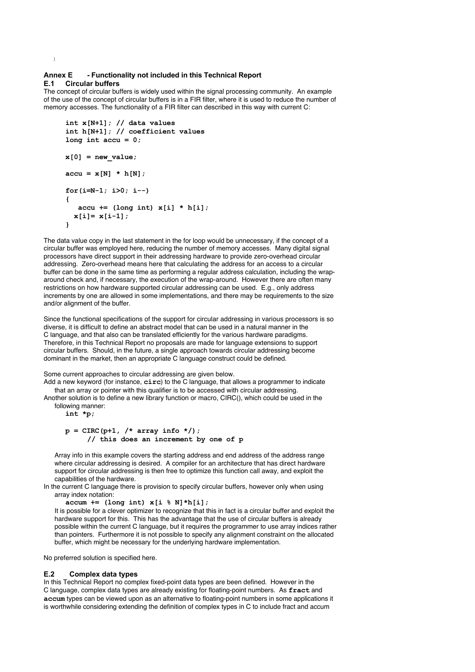## **Annex E - Functionality not included in this Technical Report E.1 Circular buffers**

The concept of circular buffers is widely used within the signal processing community. An example of the use of the concept of circular buffers is in a FIR filter, where it is used to reduce the number of memory accesses. The functionality of a FIR filter can described in this way with current C:

```
int x[N+1]; // data values
int h[N+1]; // coefficient values
long int accu = 0;
x[0] = new value;
accu = x[N] * h[N];for(i=N-1; i>0; i--)
{
    accu += (long int) x[i] * h[i]; 
   x[i]= x[i-1];
}
```
The data value copy in the last statement in the for loop would be unnecessary, if the concept of a circular buffer was employed here, reducing the number of memory accesses. Many digital signal processors have direct support in their addressing hardware to provide zero-overhead circular addressing. Zero-overhead means here that calculating the address for an access to a circular buffer can be done in the same time as performing a regular address calculation, including the wraparound check and, if necessary, the execution of the wrap-around. However there are often many restrictions on how hardware supported circular addressing can be used. E.g., only address increments by one are allowed in some implementations, and there may be requirements to the size and/or alignment of the buffer.

Since the functional specifications of the support for circular addressing in various processors is so diverse, it is difficult to define an abstract model that can be used in a natural manner in the C language, and that also can be translated efficiently for the various hardware paradigms. Therefore, in this Technical Report no proposals are made for language extensions to support circular buffers. Should, in the future, a single approach towards circular addressing become dominant in the market, then an appropriate C language construct could be defined.

## Some current approaches to circular addressing are given below.

Add a new keyword (for instance, **circ**) to the C language, that allows a programmer to indicate that an array or pointer with this qualifier is to be accessed with circular addressing.

Another solution is to define a new library function or macro, CIRC(), which could be used in the following manner:

**int \*p;**

}

```
p = CIRC(p+1, /* array info */);
     // this does an increment by one of p
```
Array info in this example covers the starting address and end address of the address range where circular addressing is desired. A compiler for an architecture that has direct hardware support for circular addressing is then free to optimize this function call away, and exploit the capabilities of the hardware.

In the current C language there is provision to specify circular buffers, however only when using array index notation:

**accum += (long int) x[i % N]\*h[i];**

It is possible for a clever optimizer to recognize that this in fact is a circular buffer and exploit the hardware support for this. This has the advantage that the use of circular buffers is already possible within the current C language, but it requires the programmer to use array indices rather than pointers. Furthermore it is not possible to specify any alignment constraint on the allocated buffer, which might be necessary for the underlying hardware implementation.

No preferred solution is specified here.

#### **E.2 Complex data types**

In this Technical Report no complex fixed-point data types are been defined. However in the C language, complex data types are already existing for floating-point numbers. As **fract** and **accum** types can be viewed upon as an alternative to floating-point numbers in some applications it is worthwhile considering extending the definition of complex types in C to include fract and accum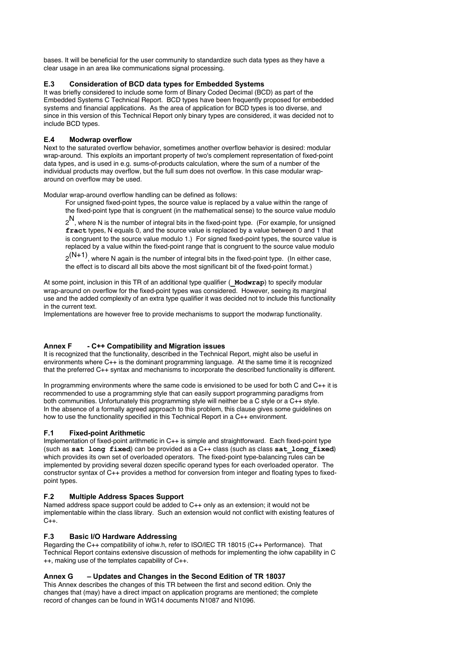bases. It will be beneficial for the user community to standardize such data types as they have a clear usage in an area like communications signal processing.

## **E.3 Consideration of BCD data types for Embedded Systems**

It was briefly considered to include some form of Binary Coded Decimal (BCD) as part of the Embedded Systems C Technical Report. BCD types have been frequently proposed for embedded systems and financial applications. As the area of application for BCD types is too diverse, and since in this version of this Technical Report only binary types are considered, it was decided not to include BCD types.

## **E.4 Modwrap overflow**

Next to the saturated overflow behavior, sometimes another overflow behavior is desired: modular wrap-around. This exploits an important property of two's complement representation of fixed-point data types, and is used in e.g. sums-of-products calculation, where the sum of a number of the individual products may overflow, but the full sum does not overflow. In this case modular wraparound on overflow may be used.

Modular wrap-around overflow handling can be defined as follows:

For unsigned fixed-point types, the source value is replaced by a value within the range of the fixed-point type that is congruent (in the mathematical sense) to the source value modulo

 $2^{\mathsf{N}}$ , where N is the number of integral bits in the fixed-point type. (For example, for unsigned **fract** types, N equals 0, and the source value is replaced by a value between 0 and 1 that is congruent to the source value modulo 1.) For signed fixed-point types, the source value is replaced by a value within the fixed-point range that is congruent to the source value modulo

 $2^{(N+1)}$ , where N again is the number of integral bits in the fixed-point type. (In either case, the effect is to discard all bits above the most significant bit of the fixed-point format.)

At some point, inclusion in this TR of an additional type qualifier (**\_Modwrap**) to specify modular wrap-around on overflow for the fixed-point types was considered. However, seeing its marginal use and the added complexity of an extra type qualifier it was decided not to include this functionality in the current text.

Implementations are however free to provide mechanisms to support the modwrap functionality.

## **Annex F - C++ Compatibility and Migration issues**

It is recognized that the functionality, described in the Technical Report, might also be useful in environments where C++ is the dominant programming language. At the same time it is recognized that the preferred C++ syntax and mechanisms to incorporate the described functionality is different.

In programming environments where the same code is envisioned to be used for both C and C++ it is recommended to use a programming style that can easily support programming paradigms from both communities. Unfortunately this programming style will neither be a C style or a C++ style. In the absence of a formally agreed approach to this problem, this clause gives some guidelines on how to use the functionality specified in this Technical Report in a C++ environment.

# **F.1 Fixed-point Arithmetic**

Implementation of fixed-point arithmetic in C++ is simple and straightforward. Each fixed-point type (such as **sat long fixed**) can be provided as a C++ class (such as class **sat\_long\_fixed**) which provides its own set of overloaded operators. The fixed-point type-balancing rules can be implemented by providing several dozen specific operand types for each overloaded operator. The constructor syntax of C++ provides a method for conversion from integer and floating types to fixedpoint types.

## **F.2 Multiple Address Spaces Support**

Named address space support could be added to C++ only as an extension; it would not be implementable within the class library. Such an extension would not conflict with existing features of  $C++$ .

## **F.3 Basic I/O Hardware Addressing**

Regarding the C++ compatibility of iohw.h, refer to ISO/IEC TR 18015 (C++ Performance). That Technical Report contains extensive discussion of methods for implementing the iohw capability in C ++, making use of the templates capability of C++.

# **Annex G – Updates and Changes in the Second Edition of TR 18037**

This Annex describes the changes of this TR between the first and second edition. Only the changes that (may) have a direct impact on application programs are mentioned; the complete record of changes can be found in WG14 documents N1087 and N1096.